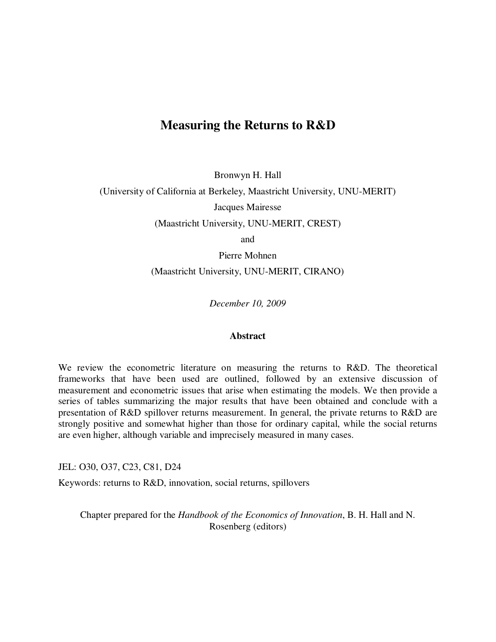## **Measuring the Returns to R&D**

Bronwyn H. Hall

(University of California at Berkeley, Maastricht University, UNU-MERIT) Jacques Mairesse (Maastricht University, UNU-MERIT, CREST)

and

Pierre Mohnen

(Maastricht University, UNU-MERIT, CIRANO)

*December 10, 2009* 

#### **Abstract**

We review the econometric literature on measuring the returns to R&D. The theoretical frameworks that have been used are outlined, followed by an extensive discussion of measurement and econometric issues that arise when estimating the models. We then provide a series of tables summarizing the major results that have been obtained and conclude with a presentation of R&D spillover returns measurement. In general, the private returns to R&D are strongly positive and somewhat higher than those for ordinary capital, while the social returns are even higher, although variable and imprecisely measured in many cases.

JEL: O30, O37, C23, C81, D24

Keywords: returns to R&D, innovation, social returns, spillovers

Chapter prepared for the *Handbook of the Economics of Innovation*, B. H. Hall and N. Rosenberg (editors)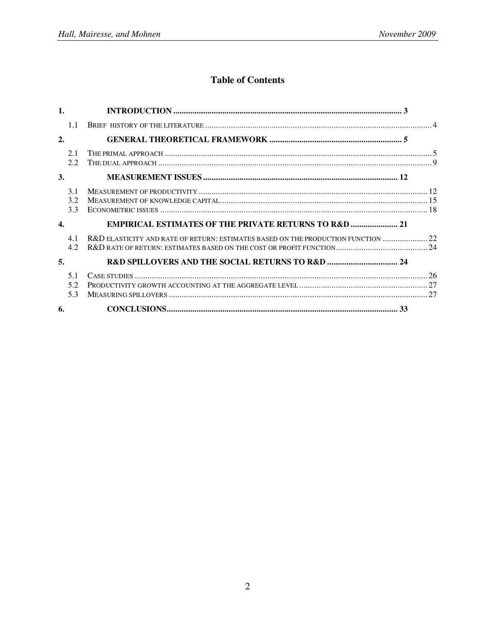### **Table of Contents**

| 1.                |                                                                                   |  |
|-------------------|-----------------------------------------------------------------------------------|--|
| 1.1               |                                                                                   |  |
| 2.                |                                                                                   |  |
| 2.1<br>2.2        |                                                                                   |  |
| 3.                |                                                                                   |  |
| 3.1<br>3.2<br>3.3 |                                                                                   |  |
| $\overline{4}$ .  | <b>EMPIRICAL ESTIMATES OF THE PRIVATE RETURNS TO R&amp;D  21</b>                  |  |
| 41<br>4.2         | R&D ELASTICITY AND RATE OF RETURN: ESTIMATES BASED ON THE PRODUCTION FUNCTION  22 |  |
| 5.                |                                                                                   |  |
| 51<br>5.2<br>5.3  |                                                                                   |  |
| 6.                |                                                                                   |  |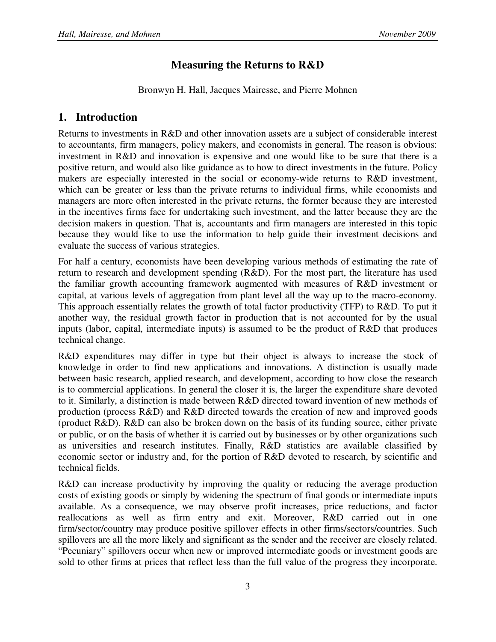### **Measuring the Returns to R&D**

Bronwyn H. Hall, Jacques Mairesse, and Pierre Mohnen

### **1. Introduction**

Returns to investments in R&D and other innovation assets are a subject of considerable interest to accountants, firm managers, policy makers, and economists in general. The reason is obvious: investment in R&D and innovation is expensive and one would like to be sure that there is a positive return, and would also like guidance as to how to direct investments in the future. Policy makers are especially interested in the social or economy-wide returns to R&D investment, which can be greater or less than the private returns to individual firms, while economists and managers are more often interested in the private returns, the former because they are interested in the incentives firms face for undertaking such investment, and the latter because they are the decision makers in question. That is, accountants and firm managers are interested in this topic because they would like to use the information to help guide their investment decisions and evaluate the success of various strategies.

For half a century, economists have been developing various methods of estimating the rate of return to research and development spending (R&D). For the most part, the literature has used the familiar growth accounting framework augmented with measures of R&D investment or capital, at various levels of aggregation from plant level all the way up to the macro-economy. This approach essentially relates the growth of total factor productivity (TFP) to R&D. To put it another way, the residual growth factor in production that is not accounted for by the usual inputs (labor, capital, intermediate inputs) is assumed to be the product of R&D that produces technical change.

R&D expenditures may differ in type but their object is always to increase the stock of knowledge in order to find new applications and innovations. A distinction is usually made between basic research, applied research, and development, according to how close the research is to commercial applications. In general the closer it is, the larger the expenditure share devoted to it. Similarly, a distinction is made between R&D directed toward invention of new methods of production (process R&D) and R&D directed towards the creation of new and improved goods (product R&D). R&D can also be broken down on the basis of its funding source, either private or public, or on the basis of whether it is carried out by businesses or by other organizations such as universities and research institutes. Finally, R&D statistics are available classified by economic sector or industry and, for the portion of R&D devoted to research, by scientific and technical fields.

R&D can increase productivity by improving the quality or reducing the average production costs of existing goods or simply by widening the spectrum of final goods or intermediate inputs available. As a consequence, we may observe profit increases, price reductions, and factor reallocations as well as firm entry and exit. Moreover, R&D carried out in one firm/sector/country may produce positive spillover effects in other firms/sectors/countries. Such spillovers are all the more likely and significant as the sender and the receiver are closely related. "Pecuniary" spillovers occur when new or improved intermediate goods or investment goods are sold to other firms at prices that reflect less than the full value of the progress they incorporate.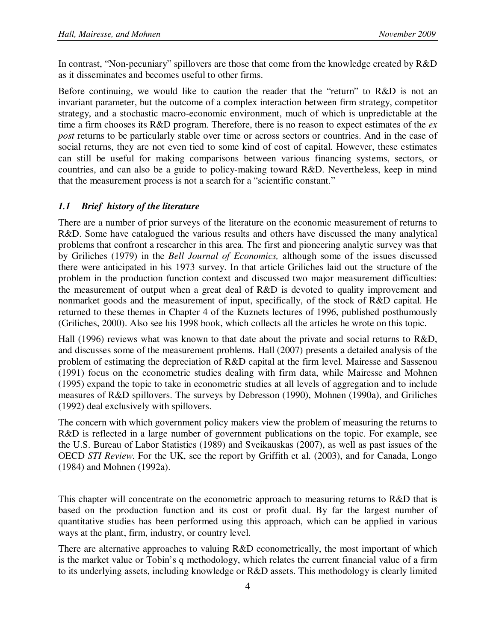In contrast, "Non-pecuniary" spillovers are those that come from the knowledge created by R&D as it disseminates and becomes useful to other firms.

Before continuing, we would like to caution the reader that the "return" to R&D is not an invariant parameter, but the outcome of a complex interaction between firm strategy, competitor strategy, and a stochastic macro-economic environment, much of which is unpredictable at the time a firm chooses its R&D program. Therefore, there is no reason to expect estimates of the *ex post* returns to be particularly stable over time or across sectors or countries. And in the case of social returns, they are not even tied to some kind of cost of capital. However, these estimates can still be useful for making comparisons between various financing systems, sectors, or countries, and can also be a guide to policy-making toward R&D. Nevertheless, keep in mind that the measurement process is not a search for a "scientific constant."

#### *1.1 Brief history of the literature*

There are a number of prior surveys of the literature on the economic measurement of returns to R&D. Some have catalogued the various results and others have discussed the many analytical problems that confront a researcher in this area. The first and pioneering analytic survey was that by Griliches (1979) in the *Bell Journal of Economics,* although some of the issues discussed there were anticipated in his 1973 survey. In that article Griliches laid out the structure of the problem in the production function context and discussed two major measurement difficulties: the measurement of output when a great deal of R&D is devoted to quality improvement and nonmarket goods and the measurement of input, specifically, of the stock of R&D capital. He returned to these themes in Chapter 4 of the Kuznets lectures of 1996, published posthumously (Griliches, 2000). Also see his 1998 book, which collects all the articles he wrote on this topic.

Hall (1996) reviews what was known to that date about the private and social returns to R&D, and discusses some of the measurement problems. Hall (2007) presents a detailed analysis of the problem of estimating the depreciation of R&D capital at the firm level. Mairesse and Sassenou (1991) focus on the econometric studies dealing with firm data, while Mairesse and Mohnen (1995) expand the topic to take in econometric studies at all levels of aggregation and to include measures of R&D spillovers. The surveys by Debresson (1990), Mohnen (1990a), and Griliches (1992) deal exclusively with spillovers.

The concern with which government policy makers view the problem of measuring the returns to R&D is reflected in a large number of government publications on the topic. For example, see the U.S. Bureau of Labor Statistics (1989) and Sveikauskas (2007), as well as past issues of the OECD *STI Review*. For the UK, see the report by Griffith et al. (2003), and for Canada, Longo (1984) and Mohnen (1992a).

This chapter will concentrate on the econometric approach to measuring returns to R&D that is based on the production function and its cost or profit dual. By far the largest number of quantitative studies has been performed using this approach, which can be applied in various ways at the plant, firm, industry, or country level.

There are alternative approaches to valuing R&D econometrically, the most important of which is the market value or Tobin's q methodology, which relates the current financial value of a firm to its underlying assets, including knowledge or R&D assets. This methodology is clearly limited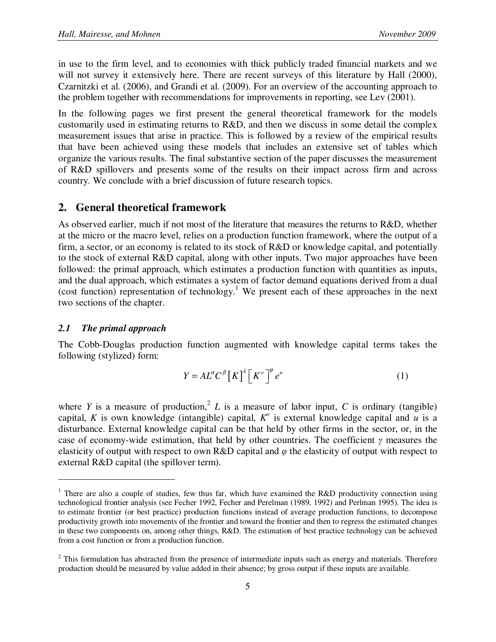in use to the firm level, and to economies with thick publicly traded financial markets and we will not survey it extensively here. There are recent surveys of this literature by Hall (2000), Czarnitzki et al. (2006), and Grandi et al. (2009). For an overview of the accounting approach to the problem together with recommendations for improvements in reporting, see Lev (2001).

In the following pages we first present the general theoretical framework for the models customarily used in estimating returns to R&D, and then we discuss in some detail the complex measurement issues that arise in practice. This is followed by a review of the empirical results that have been achieved using these models that includes an extensive set of tables which organize the various results. The final substantive section of the paper discusses the measurement of R&D spillovers and presents some of the results on their impact across firm and across country. We conclude with a brief discussion of future research topics.

#### **2. General theoretical framework**

As observed earlier, much if not most of the literature that measures the returns to R&D, whether at the micro or the macro level, relies on a production function framework, where the output of a firm, a sector, or an economy is related to its stock of R&D or knowledge capital, and potentially to the stock of external R&D capital, along with other inputs. Two major approaches have been followed: the primal approach, which estimates a production function with quantities as inputs, and the dual approach, which estimates a system of factor demand equations derived from a dual (cost function) representation of technology.<sup>1</sup> We present each of these approaches in the next two sections of the chapter.

#### *2.1 The primal approach*

 $\overline{a}$ 

The Cobb-Douglas production function augmented with knowledge capital terms takes the following (stylized) form:

$$
Y = AL^{\alpha}C^{\beta} \left[K\right]^{\lambda} \left[K^{\circ}\right]^{\varphi} e^{u}
$$
 (1)

where *Y* is a measure of production,<sup>2</sup> *L* is a measure of labor input, *C* is ordinary (tangible) capital, *K* is own knowledge (intangible) capital,  $K^{\circ}$  is external knowledge capital and *u* is a disturbance. External knowledge capital can be that held by other firms in the sector, or, in the case of economy-wide estimation, that held by other countries. The coefficient *γ* measures the elasticity of output with respect to own R&D capital and *φ* the elasticity of output with respect to external R&D capital (the spillover term).

<sup>&</sup>lt;sup>1</sup> There are also a couple of studies, few thus far, which have examined the R&D productivity connection using technological frontier analysis (see Fecher 1992, Fecher and Perelman (1989, 1992) and Perlman 1995). The idea is to estimate frontier (or best practice) production functions instead of average production functions, to decompose productivity growth into movements of the frontier and toward the frontier and then to regress the estimated changes in these two components on, among other things, R&D. The estimation of best practice technology can be achieved from a cost function or from a production function.

 $2$  This formulation has abstracted from the presence of intermediate inputs such as energy and materials. Therefore production should be measured by value added in their absence; by gross output if these inputs are available.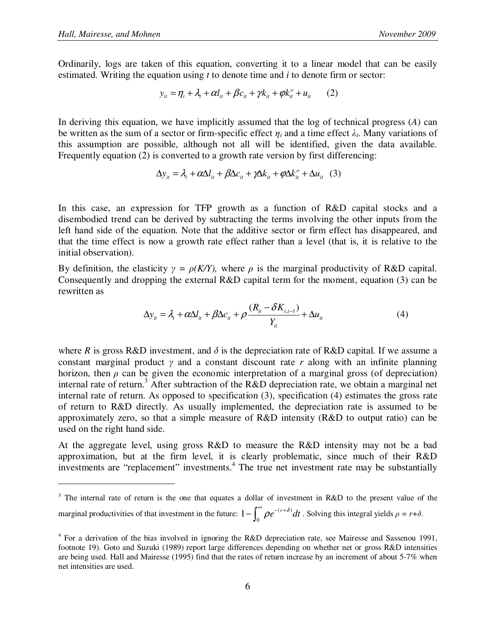Ordinarily, logs are taken of this equation, converting it to a linear model that can be easily estimated. Writing the equation using *t* to denote time and *i* to denote firm or sector:

$$
y_{it} = \eta_i + \lambda_t + \alpha l_{it} + \beta c_{it} + \gamma k_{it} + \varphi k_{it}^o + u_{it} \qquad (2)
$$

In deriving this equation, we have implicitly assumed that the log of technical progress (*A*) can be written as the sum of a sector or firm-specific effect  $\eta_i$  and a time effect  $\lambda_t$ . Many variations of this assumption are possible, although not all will be identified, given the data available. Frequently equation (2) is converted to a growth rate version by first differencing:

$$
\Delta y_{it} = \lambda_t + \alpha \Delta l_{it} + \beta \Delta c_{it} + \gamma \Delta k_{it} + \varphi \Delta k_{it}^{\circ} + \Delta u_{it} \quad (3)
$$

In this case, an expression for TFP growth as a function of R&D capital stocks and a disembodied trend can be derived by subtracting the terms involving the other inputs from the left hand side of the equation. Note that the additive sector or firm effect has disappeared, and that the time effect is now a growth rate effect rather than a level (that is, it is relative to the initial observation).

By definition, the elasticity  $\gamma = \rho(K/Y)$ , where  $\rho$  is the marginal productivity of R&D capital. Consequently and dropping the external R&D capital term for the moment, equation (3) can be rewritten as

$$
\Delta y_{it} = \lambda_t + \alpha \Delta l_{it} + \beta \Delta c_{it} + \rho \frac{(R_{it} - \delta K_{i,t-1})}{Y_{it}} + \Delta u_{it}
$$
(4)

where *R* is gross R&D investment, and  $\delta$  is the depreciation rate of R&D capital. If we assume a constant marginal product *γ* and a constant discount rate *r* along with an infinite planning horizon, then  $\rho$  can be given the economic interpretation of a marginal gross (of depreciation) internal rate of return.<sup>3</sup> After subtraction of the R&D depreciation rate, we obtain a marginal net internal rate of return. As opposed to specification (3), specification (4) estimates the gross rate of return to R&D directly. As usually implemented, the depreciation rate is assumed to be approximately zero, so that a simple measure of R&D intensity (R&D to output ratio) can be used on the right hand side.

At the aggregate level, using gross R&D to measure the R&D intensity may not be a bad approximation, but at the firm level, it is clearly problematic, since much of their R&D investments are "replacement" investments.<sup>4</sup> The true net investment rate may be substantially

 $3$  The internal rate of return is the one that equates a dollar of investment in R&D to the present value of the marginal productivities of that investment in the future:  $1 - \int_0^\infty \rho e^{-(r+\delta)} dt$ . Solving this integral yields  $\rho = r+\delta$ .

<sup>&</sup>lt;sup>4</sup> For a derivation of the bias involved in ignoring the R&D depreciation rate, see Mairesse and Sassenou 1991, footnote 19). Goto and Suzuki (1989) report large differences depending on whether net or gross R&D intensities are being used. Hall and Mairesse (1995) find that the rates of return increase by an increment of about 5-7% when net intensities are used.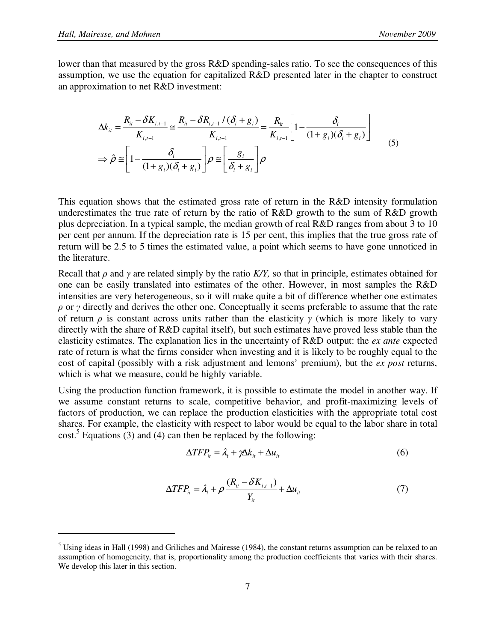lower than that measured by the gross R&D spending-sales ratio. To see the consequences of this assumption, we use the equation for capitalized R&D presented later in the chapter to construct an approximation to net R&D investment:

$$
\Delta k_{ii} = \frac{R_{ii} - \delta K_{i,i-1}}{K_{i,i-1}} \approx \frac{R_{ii} - \delta R_{i,i-1}/(\delta_i + g_i)}{K_{i,i-1}} = \frac{R_{ii}}{K_{i,i-1}} \left[1 - \frac{\delta_i}{(1 + g_i)(\delta_i + g_i)}\right]
$$
  
\n
$$
\Rightarrow \hat{\rho} \approx \left[1 - \frac{\delta_i}{(1 + g_i)(\delta_i + g_i)}\right] \rho \approx \left[\frac{g_i}{\delta_i + g_i}\right] \rho
$$
 (5)

This equation shows that the estimated gross rate of return in the R&D intensity formulation underestimates the true rate of return by the ratio of R&D growth to the sum of R&D growth plus depreciation. In a typical sample, the median growth of real R&D ranges from about 3 to 10 per cent per annum. If the depreciation rate is 15 per cent, this implies that the true gross rate of return will be 2.5 to 5 times the estimated value, a point which seems to have gone unnoticed in the literature.

Recall that  $\rho$  and  $\gamma$  are related simply by the ratio *K/Y*, so that in principle, estimates obtained for one can be easily translated into estimates of the other. However, in most samples the R&D intensities are very heterogeneous, so it will make quite a bit of difference whether one estimates *ρ* or *γ* directly and derives the other one. Conceptually it seems preferable to assume that the rate of return  $\rho$  is constant across units rather than the elasticity  $\gamma$  (which is more likely to vary directly with the share of R&D capital itself), but such estimates have proved less stable than the elasticity estimates. The explanation lies in the uncertainty of R&D output: the *ex ante* expected rate of return is what the firms consider when investing and it is likely to be roughly equal to the cost of capital (possibly with a risk adjustment and lemons' premium), but the *ex post* returns, which is what we measure, could be highly variable.

Using the production function framework, it is possible to estimate the model in another way. If we assume constant returns to scale, competitive behavior, and profit-maximizing levels of factors of production, we can replace the production elasticities with the appropriate total cost shares. For example, the elasticity with respect to labor would be equal to the labor share in total  $\cos t$ <sup>5</sup> Equations (3) and (4) can then be replaced by the following:

$$
\Delta T F P_{it} = \lambda_t + \gamma \Delta k_{it} + \Delta u_{it} \tag{6}
$$

$$
\Delta TFP_{it} = \lambda_t + \rho \frac{(R_{it} - \delta K_{i,t-1})}{Y_{it}} + \Delta u_{it}
$$
\n(7)

<sup>&</sup>lt;sup>5</sup> Using ideas in Hall (1998) and Griliches and Mairesse (1984), the constant returns assumption can be relaxed to an assumption of homogeneity, that is, proportionality among the production coefficients that varies with their shares. We develop this later in this section.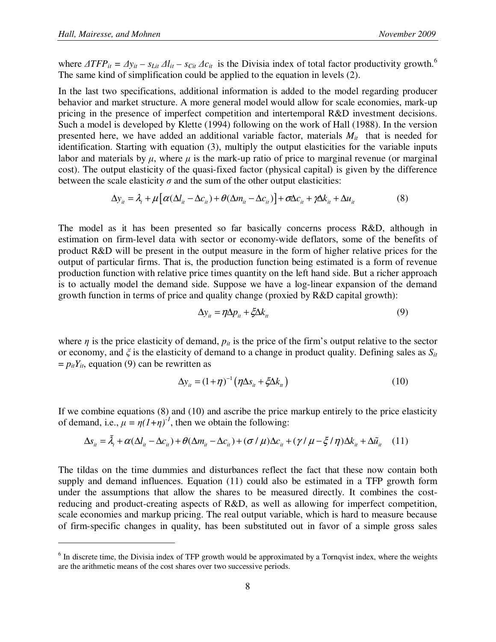where  $\Delta TFP_{it} = \Delta y_{it} - s_{Lit} \Delta l_{it} - s_{Cit} \Delta c_{it}$  is the Divisia index of total factor productivity growth.<sup>6</sup> The same kind of simplification could be applied to the equation in levels (2).

In the last two specifications, additional information is added to the model regarding producer behavior and market structure. A more general model would allow for scale economies, mark-up pricing in the presence of imperfect competition and intertemporal R&D investment decisions. Such a model is developed by Klette (1994) following on the work of Hall (1988). In the version presented here, we have added an additional variable factor, materials  $M<sub>it</sub>$  that is needed for identification. Starting with equation (3), multiply the output elasticities for the variable inputs labor and materials by  $\mu$ , where  $\mu$  is the mark-up ratio of price to marginal revenue (or marginal cost). The output elasticity of the quasi-fixed factor (physical capital) is given by the difference between the scale elasticity  $\sigma$  and the sum of the other output elasticities:

$$
\Delta y_{it} = \lambda_t + \mu \big[ \alpha (\Delta l_{it} - \Delta c_{it}) + \theta (\Delta m_{it} - \Delta c_{it}) \big] + \sigma \Delta c_{it} + \gamma \Delta k_{it} + \Delta u_{it} \tag{8}
$$

The model as it has been presented so far basically concerns process R&D, although in estimation on firm-level data with sector or economy-wide deflators, some of the benefits of product R&D will be present in the output measure in the form of higher relative prices for the output of particular firms. That is, the production function being estimated is a form of revenue production function with relative price times quantity on the left hand side. But a richer approach is to actually model the demand side. Suppose we have a log-linear expansion of the demand growth function in terms of price and quality change (proxied by R&D capital growth):

$$
\Delta y_{it} = \eta \Delta p_{it} + \xi \Delta k_{tt} \tag{9}
$$

where  $\eta$  is the price elasticity of demand,  $p_{it}$  is the price of the firm's output relative to the sector or economy, and *ξ* is the elasticity of demand to a change in product quality. Defining sales as *Sit*  $= p_{it}Y_{it}$ , equation (9) can be rewritten as

$$
\Delta y_{it} = (1 + \eta)^{-1} \left( \eta \Delta s_{it} + \xi \Delta k_{it} \right) \tag{10}
$$

If we combine equations (8) and (10) and ascribe the price markup entirely to the price elasticity of demand, i.e.,  $\mu = \eta (1+\eta)^{-1}$ , then we obtain the following:

$$
\Delta s_{ii} = \tilde{\lambda}_t + \alpha (\Delta l_{ii} - \Delta c_{ii}) + \theta (\Delta m_{ii} - \Delta c_{ii}) + (\sigma / \mu) \Delta c_{ii} + (\gamma / \mu - \xi / \eta) \Delta k_{ii} + \Delta \tilde{u}_{ii} \quad (11)
$$

The tildas on the time dummies and disturbances reflect the fact that these now contain both supply and demand influences. Equation (11) could also be estimated in a TFP growth form under the assumptions that allow the shares to be measured directly. It combines the costreducing and product-creating aspects of R&D, as well as allowing for imperfect competition, scale economies and markup pricing. The real output variable, which is hard to measure because of firm-specific changes in quality, has been substituted out in favor of a simple gross sales

<sup>&</sup>lt;sup>6</sup> In discrete time, the Divisia index of TFP growth would be approximated by a Tornqvist index, where the weights are the arithmetic means of the cost shares over two successive periods.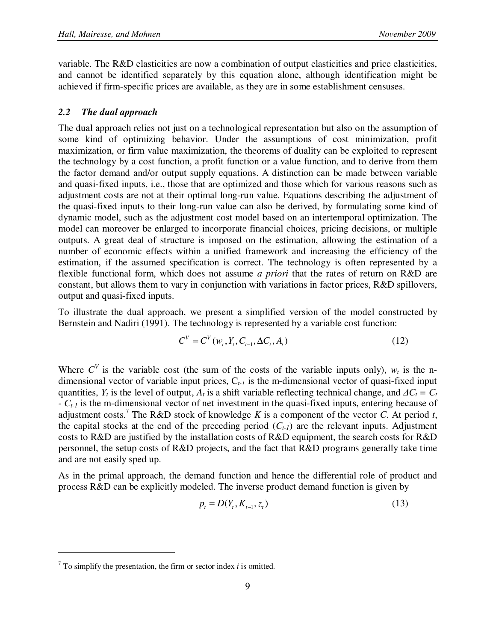variable. The R&D elasticities are now a combination of output elasticities and price elasticities, and cannot be identified separately by this equation alone, although identification might be achieved if firm-specific prices are available, as they are in some establishment censuses.

#### *2.2 The dual approach*

The dual approach relies not just on a technological representation but also on the assumption of some kind of optimizing behavior. Under the assumptions of cost minimization, profit maximization, or firm value maximization, the theorems of duality can be exploited to represent the technology by a cost function, a profit function or a value function, and to derive from them the factor demand and/or output supply equations. A distinction can be made between variable and quasi-fixed inputs, i.e., those that are optimized and those which for various reasons such as adjustment costs are not at their optimal long-run value. Equations describing the adjustment of the quasi-fixed inputs to their long-run value can also be derived, by formulating some kind of dynamic model, such as the adjustment cost model based on an intertemporal optimization. The model can moreover be enlarged to incorporate financial choices, pricing decisions, or multiple outputs. A great deal of structure is imposed on the estimation, allowing the estimation of a number of economic effects within a unified framework and increasing the efficiency of the estimation, if the assumed specification is correct. The technology is often represented by a flexible functional form, which does not assume *a priori* that the rates of return on R&D are constant, but allows them to vary in conjunction with variations in factor prices, R&D spillovers, output and quasi-fixed inputs.

To illustrate the dual approach, we present a simplified version of the model constructed by Bernstein and Nadiri (1991). The technology is represented by a variable cost function:

$$
C^V = C^V(w_t, Y_t, C_{t-1}, \Delta C_t, A_t)
$$
\n(12)

Where  $C^V$  is the variable cost (the sum of the costs of the variable inputs only),  $w_t$  is the ndimensional vector of variable input prices, C*t-1* is the m-dimensional vector of quasi-fixed input quantities,  $Y_t$  is the level of output,  $A_t$  is a shift variable reflecting technical change, and  $\Delta C_t = C_t$ *- Ct-1* is the m-dimensional vector of net investment in the quasi-fixed inputs, entering because of adjustment costs.<sup>7</sup> The R&D stock of knowledge *K* is a component of the vector *C*. At period *t*, the capital stocks at the end of the preceding period  $(C<sub>t-1</sub>)$  are the relevant inputs. Adjustment costs to R&D are justified by the installation costs of R&D equipment, the search costs for R&D personnel, the setup costs of R&D projects, and the fact that R&D programs generally take time and are not easily sped up.

As in the primal approach, the demand function and hence the differential role of product and process R&D can be explicitly modeled. The inverse product demand function is given by

$$
p_t = D(Y_t, K_{t-1}, z_t)
$$
\n(13)

 $\overline{a}$ 

 $7$  To simplify the presentation, the firm or sector index  $i$  is omitted.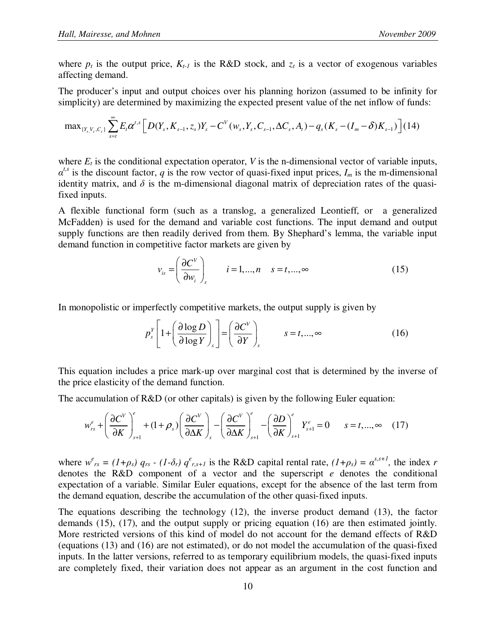where  $p_t$  is the output price,  $K_{t-1}$  is the R&D stock, and  $z_t$  is a vector of exogenous variables affecting demand.

The producer's input and output choices over his planning horizon (assumed to be infinity for simplicity) are determined by maximizing the expected present value of the net inflow of funds:

$$
\max_{\{Y_{s}, V_{s}, C_{s}\}} \sum_{s=t}^{\infty} E_{t} \alpha^{t,s} \Big[ D(Y_{s}, K_{s-1}, z_{s}) Y_{s} - C^{V}(w_{s}, Y_{s}, C_{s-1}, \Delta C_{s}, A_{t}) - q_{s}(K_{s} - (I_{m} - \delta)K_{s-1}) \Big] (14)
$$

where  $E_t$  is the conditional expectation operator, *V* is the n-dimensional vector of variable inputs,  $\alpha^{t,s}$  is the discount factor, *q* is the row vector of quasi-fixed input prices,  $I_m$  is the m-dimensional identity matrix, and  $\delta$  is the m-dimensional diagonal matrix of depreciation rates of the quasifixed inputs.

A flexible functional form (such as a translog, a generalized Leontieff, or a generalized McFadden) is used for the demand and variable cost functions. The input demand and output supply functions are then readily derived from them. By Shephard's lemma, the variable input demand function in competitive factor markets are given by

$$
v_{is} = \left(\frac{\partial C^V}{\partial w_i}\right)_s \qquad i = 1,...,n \quad s = t,...,\infty
$$
 (15)

In monopolistic or imperfectly competitive markets, the output supply is given by

$$
p_s^Y \left[ 1 + \left( \frac{\partial \log D}{\partial \log Y} \right)_s \right] = \left( \frac{\partial C^V}{\partial Y} \right)_s \qquad s = t, ..., \infty \tag{16}
$$

This equation includes a price mark-up over marginal cost that is determined by the inverse of the price elasticity of the demand function.

The accumulation of R&D (or other capitals) is given by the following Euler equation:

$$
w_{rs}^{e} + \left(\frac{\partial C^{V}}{\partial K}\right)_{s+1}^{e} + (1+\rho_{s})\left(\frac{\partial C^{V}}{\partial \Delta K}\right)_{s} - \left(\frac{\partial C^{V}}{\partial \Delta K}\right)_{s+1}^{e} - \left(\frac{\partial D}{\partial K}\right)_{s+1}^{e} Y_{s+1}^{e} = 0 \qquad s = t, ..., \infty \quad (17)
$$

where  $w_{rs}^e = (1+\rho_s) q_{rs} - (1-\delta_r) q_{rs+1}^e$  is the R&D capital rental rate,  $(1+\rho_s) = \alpha^{s,s+1}$ , the index r denotes the R&D component of a vector and the superscript *e* denotes the conditional expectation of a variable. Similar Euler equations, except for the absence of the last term from the demand equation, describe the accumulation of the other quasi-fixed inputs.

The equations describing the technology (12), the inverse product demand (13), the factor demands (15), (17), and the output supply or pricing equation (16) are then estimated jointly. More restricted versions of this kind of model do not account for the demand effects of R&D (equations (13) and (16) are not estimated), or do not model the accumulation of the quasi-fixed inputs. In the latter versions, referred to as temporary equilibrium models, the quasi-fixed inputs are completely fixed, their variation does not appear as an argument in the cost function and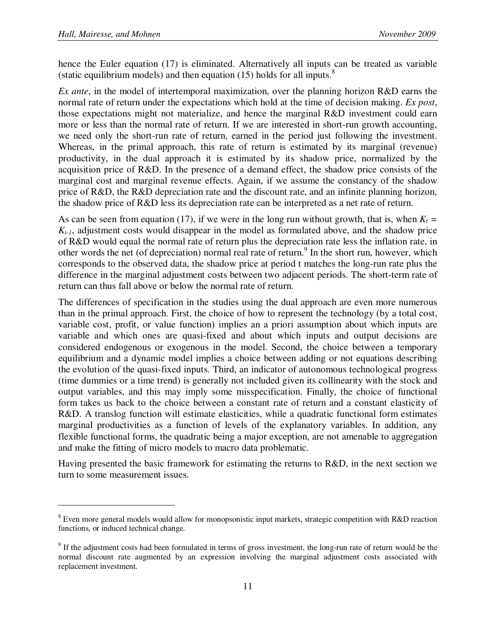hence the Euler equation (17) is eliminated. Alternatively all inputs can be treated as variable (static equilibrium models) and then equation  $(15)$  holds for all inputs.<sup>8</sup>

*Ex ante*, in the model of intertemporal maximization, over the planning horizon R&D earns the normal rate of return under the expectations which hold at the time of decision making. *Ex post*, those expectations might not materialize, and hence the marginal R&D investment could earn more or less than the normal rate of return. If we are interested in short-run growth accounting, we need only the short-run rate of return, earned in the period just following the investment. Whereas, in the primal approach, this rate of return is estimated by its marginal (revenue) productivity, in the dual approach it is estimated by its shadow price, normalized by the acquisition price of R&D. In the presence of a demand effect, the shadow price consists of the marginal cost and marginal revenue effects. Again, if we assume the constancy of the shadow price of R&D, the R&D depreciation rate and the discount rate, and an infinite planning horizon, the shadow price of R&D less its depreciation rate can be interpreted as a net rate of return.

As can be seen from equation (17), if we were in the long run without growth, that is, when  $K_t =$ *Kt-1*, adjustment costs would disappear in the model as formulated above, and the shadow price of R&D would equal the normal rate of return plus the depreciation rate less the inflation rate, in other words the net (of depreciation) normal real rate of return.<sup>9</sup> In the short run, however, which corresponds to the observed data, the shadow price at period t matches the long-run rate plus the difference in the marginal adjustment costs between two adjacent periods. The short-term rate of return can thus fall above or below the normal rate of return.

The differences of specification in the studies using the dual approach are even more numerous than in the primal approach. First, the choice of how to represent the technology (by a total cost, variable cost, profit, or value function) implies an a priori assumption about which inputs are variable and which ones are quasi-fixed and about which inputs and output decisions are considered endogenous or exogenous in the model. Second, the choice between a temporary equilibrium and a dynamic model implies a choice between adding or not equations describing the evolution of the quasi-fixed inputs. Third, an indicator of autonomous technological progress (time dummies or a time trend) is generally not included given its collinearity with the stock and output variables, and this may imply some misspecification. Finally, the choice of functional form takes us back to the choice between a constant rate of return and a constant elasticity of R&D. A translog function will estimate elasticities, while a quadratic functional form estimates marginal productivities as a function of levels of the explanatory variables. In addition, any flexible functional forms, the quadratic being a major exception, are not amenable to aggregation and make the fitting of micro models to macro data problematic.

Having presented the basic framework for estimating the returns to R&D, in the next section we turn to some measurement issues.

<sup>&</sup>lt;sup>8</sup> Even more general models would allow for monopsonistic input markets, strategic competition with R&D reaction functions, or induced technical change.

 $9$  If the adjustment costs had been formulated in terms of gross investment, the long-run rate of return would be the normal discount rate augmented by an expression involving the marginal adjustment costs associated with replacement investment.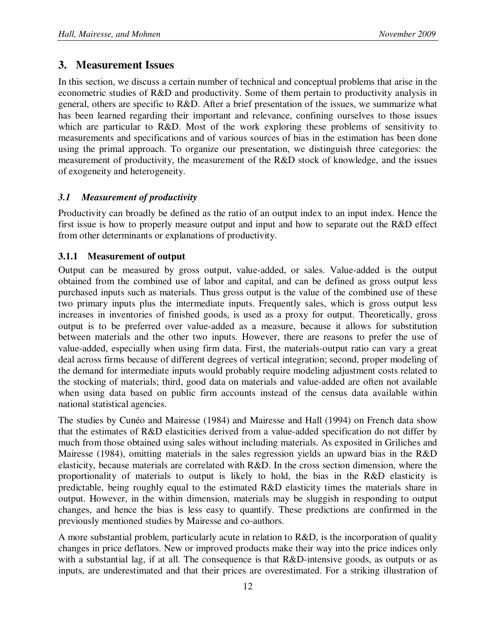### **3. Measurement Issues**

In this section, we discuss a certain number of technical and conceptual problems that arise in the econometric studies of R&D and productivity. Some of them pertain to productivity analysis in general, others are specific to R&D. After a brief presentation of the issues, we summarize what has been learned regarding their important and relevance, confining ourselves to those issues which are particular to R&D. Most of the work exploring these problems of sensitivity to measurements and specifications and of various sources of bias in the estimation has been done using the primal approach. To organize our presentation, we distinguish three categories: the measurement of productivity, the measurement of the R&D stock of knowledge, and the issues of exogeneity and heterogeneity.

#### *3.1 Measurement of productivity*

Productivity can broadly be defined as the ratio of an output index to an input index. Hence the first issue is how to properly measure output and input and how to separate out the R&D effect from other determinants or explanations of productivity.

#### **3.1.1 Measurement of output**

Output can be measured by gross output, value-added, or sales. Value-added is the output obtained from the combined use of labor and capital, and can be defined as gross output less purchased inputs such as materials. Thus gross output is the value of the combined use of these two primary inputs plus the intermediate inputs. Frequently sales, which is gross output less increases in inventories of finished goods, is used as a proxy for output. Theoretically, gross output is to be preferred over value-added as a measure, because it allows for substitution between materials and the other two inputs. However, there are reasons to prefer the use of value-added, especially when using firm data. First, the materials-output ratio can vary a great deal across firms because of different degrees of vertical integration; second, proper modeling of the demand for intermediate inputs would probably require modeling adjustment costs related to the stocking of materials; third, good data on materials and value-added are often not available when using data based on public firm accounts instead of the census data available within national statistical agencies.

The studies by Cunéo and Mairesse (1984) and Mairesse and Hall (1994) on French data show that the estimates of R&D elasticities derived from a value-added specification do not differ by much from those obtained using sales without including materials. As exposited in Griliches and Mairesse (1984), omitting materials in the sales regression yields an upward bias in the R&D elasticity, because materials are correlated with R&D. In the cross section dimension, where the proportionality of materials to output is likely to hold, the bias in the R&D elasticity is predictable, being roughly equal to the estimated R&D elasticity times the materials share in output. However, in the within dimension, materials may be sluggish in responding to output changes, and hence the bias is less easy to quantify. These predictions are confirmed in the previously mentioned studies by Mairesse and co-authors.

A more substantial problem, particularly acute in relation to R&D, is the incorporation of quality changes in price deflators. New or improved products make their way into the price indices only with a substantial lag, if at all. The consequence is that R&D-intensive goods, as outputs or as inputs, are underestimated and that their prices are overestimated. For a striking illustration of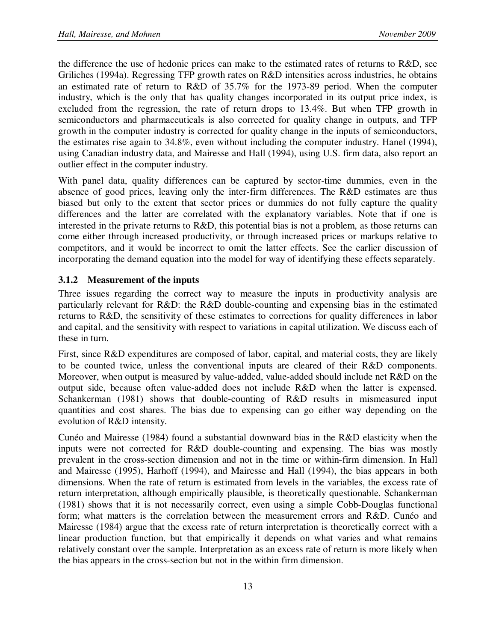the difference the use of hedonic prices can make to the estimated rates of returns to R&D, see Griliches (1994a). Regressing TFP growth rates on R&D intensities across industries, he obtains an estimated rate of return to R&D of 35.7% for the 1973-89 period. When the computer industry, which is the only that has quality changes incorporated in its output price index, is excluded from the regression, the rate of return drops to 13.4%. But when TFP growth in semiconductors and pharmaceuticals is also corrected for quality change in outputs, and TFP growth in the computer industry is corrected for quality change in the inputs of semiconductors, the estimates rise again to 34.8%, even without including the computer industry. Hanel (1994), using Canadian industry data, and Mairesse and Hall (1994), using U.S. firm data, also report an outlier effect in the computer industry.

With panel data, quality differences can be captured by sector-time dummies, even in the absence of good prices, leaving only the inter-firm differences. The R&D estimates are thus biased but only to the extent that sector prices or dummies do not fully capture the quality differences and the latter are correlated with the explanatory variables. Note that if one is interested in the private returns to R&D, this potential bias is not a problem, as those returns can come either through increased productivity, or through increased prices or markups relative to competitors, and it would be incorrect to omit the latter effects. See the earlier discussion of incorporating the demand equation into the model for way of identifying these effects separately.

#### **3.1.2 Measurement of the inputs**

Three issues regarding the correct way to measure the inputs in productivity analysis are particularly relevant for R&D: the R&D double-counting and expensing bias in the estimated returns to R&D, the sensitivity of these estimates to corrections for quality differences in labor and capital, and the sensitivity with respect to variations in capital utilization. We discuss each of these in turn.

First, since R&D expenditures are composed of labor, capital, and material costs, they are likely to be counted twice, unless the conventional inputs are cleared of their R&D components. Moreover, when output is measured by value-added, value-added should include net R&D on the output side, because often value-added does not include R&D when the latter is expensed. Schankerman (1981) shows that double-counting of R&D results in mismeasured input quantities and cost shares. The bias due to expensing can go either way depending on the evolution of R&D intensity.

Cunéo and Mairesse (1984) found a substantial downward bias in the R&D elasticity when the inputs were not corrected for R&D double-counting and expensing. The bias was mostly prevalent in the cross-section dimension and not in the time or within-firm dimension. In Hall and Mairesse (1995), Harhoff (1994), and Mairesse and Hall (1994), the bias appears in both dimensions. When the rate of return is estimated from levels in the variables, the excess rate of return interpretation, although empirically plausible, is theoretically questionable. Schankerman (1981) shows that it is not necessarily correct, even using a simple Cobb-Douglas functional form; what matters is the correlation between the measurement errors and R&D. Cunéo and Mairesse (1984) argue that the excess rate of return interpretation is theoretically correct with a linear production function, but that empirically it depends on what varies and what remains relatively constant over the sample. Interpretation as an excess rate of return is more likely when the bias appears in the cross-section but not in the within firm dimension.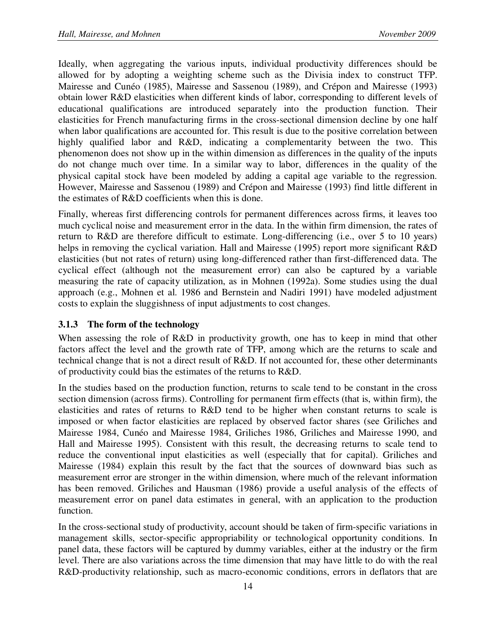Ideally, when aggregating the various inputs, individual productivity differences should be allowed for by adopting a weighting scheme such as the Divisia index to construct TFP. Mairesse and Cunéo (1985), Mairesse and Sassenou (1989), and Crépon and Mairesse (1993) obtain lower R&D elasticities when different kinds of labor, corresponding to different levels of educational qualifications are introduced separately into the production function. Their elasticities for French manufacturing firms in the cross-sectional dimension decline by one half when labor qualifications are accounted for. This result is due to the positive correlation between highly qualified labor and R&D, indicating a complementarity between the two. This phenomenon does not show up in the within dimension as differences in the quality of the inputs do not change much over time. In a similar way to labor, differences in the quality of the physical capital stock have been modeled by adding a capital age variable to the regression. However, Mairesse and Sassenou (1989) and Crépon and Mairesse (1993) find little different in the estimates of R&D coefficients when this is done.

Finally, whereas first differencing controls for permanent differences across firms, it leaves too much cyclical noise and measurement error in the data. In the within firm dimension, the rates of return to R&D are therefore difficult to estimate. Long-differencing (i.e., over 5 to 10 years) helps in removing the cyclical variation. Hall and Mairesse (1995) report more significant R&D elasticities (but not rates of return) using long-differenced rather than first-differenced data. The cyclical effect (although not the measurement error) can also be captured by a variable measuring the rate of capacity utilization, as in Mohnen (1992a). Some studies using the dual approach (e.g., Mohnen et al. 1986 and Bernstein and Nadiri 1991) have modeled adjustment costs to explain the sluggishness of input adjustments to cost changes.

#### **3.1.3 The form of the technology**

When assessing the role of R&D in productivity growth, one has to keep in mind that other factors affect the level and the growth rate of TFP, among which are the returns to scale and technical change that is not a direct result of R&D. If not accounted for, these other determinants of productivity could bias the estimates of the returns to R&D.

In the studies based on the production function, returns to scale tend to be constant in the cross section dimension (across firms). Controlling for permanent firm effects (that is, within firm), the elasticities and rates of returns to R&D tend to be higher when constant returns to scale is imposed or when factor elasticities are replaced by observed factor shares (see Griliches and Mairesse 1984, Cunéo and Mairesse 1984, Griliches 1986, Griliches and Mairesse 1990, and Hall and Mairesse 1995). Consistent with this result, the decreasing returns to scale tend to reduce the conventional input elasticities as well (especially that for capital). Griliches and Mairesse (1984) explain this result by the fact that the sources of downward bias such as measurement error are stronger in the within dimension, where much of the relevant information has been removed. Griliches and Hausman (1986) provide a useful analysis of the effects of measurement error on panel data estimates in general, with an application to the production function.

In the cross-sectional study of productivity, account should be taken of firm-specific variations in management skills, sector-specific appropriability or technological opportunity conditions. In panel data, these factors will be captured by dummy variables, either at the industry or the firm level. There are also variations across the time dimension that may have little to do with the real R&D-productivity relationship, such as macro-economic conditions, errors in deflators that are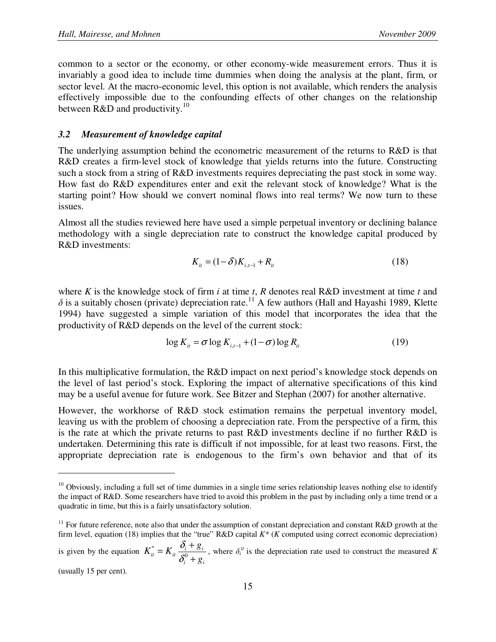common to a sector or the economy, or other economy-wide measurement errors. Thus it is invariably a good idea to include time dummies when doing the analysis at the plant, firm, or sector level. At the macro-economic level, this option is not available, which renders the analysis effectively impossible due to the confounding effects of other changes on the relationship between  $R&D$  and productivity.<sup>10</sup>

#### *3.2 Measurement of knowledge capital*

The underlying assumption behind the econometric measurement of the returns to R&D is that R&D creates a firm-level stock of knowledge that yields returns into the future. Constructing such a stock from a string of R&D investments requires depreciating the past stock in some way. How fast do R&D expenditures enter and exit the relevant stock of knowledge? What is the starting point? How should we convert nominal flows into real terms? We now turn to these issues.

Almost all the studies reviewed here have used a simple perpetual inventory or declining balance methodology with a single depreciation rate to construct the knowledge capital produced by R&D investments:

$$
K_{it} = (1 - \delta)K_{i, t-1} + R_{it}
$$
\n(18)

where *K* is the knowledge stock of firm *i* at time *t*, *R* denotes real R&D investment at time *t* and  $\delta$  is a suitably chosen (private) depreciation rate.<sup>11</sup> A few authors (Hall and Hayashi 1989, Klette 1994) have suggested a simple variation of this model that incorporates the idea that the productivity of R&D depends on the level of the current stock:

$$
\log K_{it} = \sigma \log K_{i,t-1} + (1 - \sigma) \log R_{it}
$$
 (19)

In this multiplicative formulation, the R&D impact on next period's knowledge stock depends on the level of last period's stock. Exploring the impact of alternative specifications of this kind may be a useful avenue for future work. See Bitzer and Stephan (2007) for another alternative.

However, the workhorse of R&D stock estimation remains the perpetual inventory model, leaving us with the problem of choosing a depreciation rate. From the perspective of a firm, this is the rate at which the private returns to past R&D investments decline if no further R&D is undertaken. Determining this rate is difficult if not impossible, for at least two reasons. First, the appropriate depreciation rate is endogenous to the firm's own behavior and that of its

is given by the equation  $K_{it}^* = K_{it} \frac{v_i}{s^0}$  $\frac{1}{it} = K_{it} \frac{C_i + S_i}{S_i}$  $i$ <sup> $\tau$ </sup> $\delta$ *i*  $K_{it}^* = K_{it} \frac{\delta_i + g}{\delta_i}$ *g*  $\delta$  $\delta$  $= K_{it} \frac{\delta_i +}{\delta_i}$ + , where  $\delta_i^0$  is the depreciation rate used to construct the measured *K* 

(usually 15 per cent).

 $\overline{a}$ 

<sup>&</sup>lt;sup>10</sup> Obviously, including a full set of time dummies in a single time series relationship leaves nothing else to identify the impact of R&D. Some researchers have tried to avoid this problem in the past by including only a time trend or a quadratic in time, but this is a fairly unsatisfactory solution.

 $11$  For future reference, note also that under the assumption of constant depreciation and constant R&D growth at the firm level, equation (18) implies that the "true" R&D capital *K\** (*K* computed using correct economic depreciation)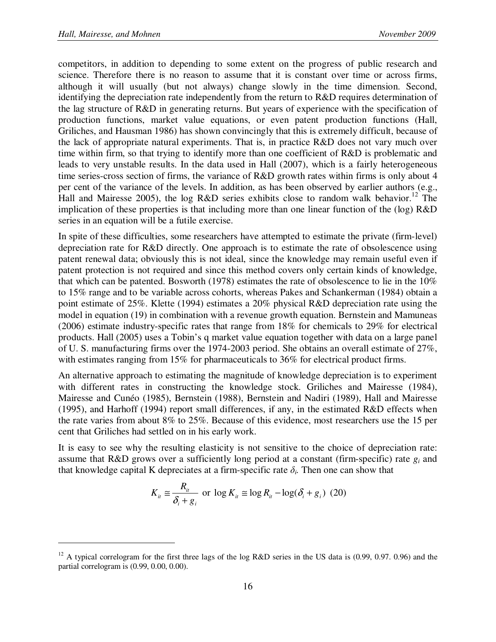competitors, in addition to depending to some extent on the progress of public research and science. Therefore there is no reason to assume that it is constant over time or across firms, although it will usually (but not always) change slowly in the time dimension. Second, identifying the depreciation rate independently from the return to R&D requires determination of the lag structure of R&D in generating returns. But years of experience with the specification of production functions, market value equations, or even patent production functions (Hall, Griliches, and Hausman 1986) has shown convincingly that this is extremely difficult, because of the lack of appropriate natural experiments. That is, in practice R&D does not vary much over time within firm, so that trying to identify more than one coefficient of R&D is problematic and leads to very unstable results. In the data used in Hall (2007), which is a fairly heterogeneous time series-cross section of firms, the variance of R&D growth rates within firms is only about 4 per cent of the variance of the levels. In addition, as has been observed by earlier authors (e.g., Hall and Mairesse 2005), the log R&D series exhibits close to random walk behavior.<sup>12</sup> The implication of these properties is that including more than one linear function of the (log) R&D series in an equation will be a futile exercise.

In spite of these difficulties, some researchers have attempted to estimate the private (firm-level) depreciation rate for R&D directly. One approach is to estimate the rate of obsolescence using patent renewal data; obviously this is not ideal, since the knowledge may remain useful even if patent protection is not required and since this method covers only certain kinds of knowledge, that which can be patented. Bosworth (1978) estimates the rate of obsolescence to lie in the 10% to 15% range and to be variable across cohorts, whereas Pakes and Schankerman (1984) obtain a point estimate of 25%. Klette (1994) estimates a 20% physical R&D depreciation rate using the model in equation (19) in combination with a revenue growth equation. Bernstein and Mamuneas (2006) estimate industry-specific rates that range from 18% for chemicals to 29% for electrical products. Hall (2005) uses a Tobin's q market value equation together with data on a large panel of U. S. manufacturing firms over the 1974-2003 period. She obtains an overall estimate of 27%, with estimates ranging from 15% for pharmaceuticals to 36% for electrical product firms.

An alternative approach to estimating the magnitude of knowledge depreciation is to experiment with different rates in constructing the knowledge stock. Griliches and Mairesse (1984), Mairesse and Cunéo (1985), Bernstein (1988), Bernstein and Nadiri (1989), Hall and Mairesse (1995), and Harhoff (1994) report small differences, if any, in the estimated R&D effects when the rate varies from about 8% to 25%. Because of this evidence, most researchers use the 15 per cent that Griliches had settled on in his early work.

It is easy to see why the resulting elasticity is not sensitive to the choice of depreciation rate: assume that R&D grows over a sufficiently long period at a constant (firm-specific) rate *gi* and that knowledge capital K depreciates at a firm-specific rate  $\delta_i$ . Then one can show that

$$
K_{ii} \cong \frac{R_{ii}}{\delta_i + g_i} \text{ or } \log K_{ii} \cong \log R_{ii} - \log(\delta_i + g_i) \tag{20}
$$

<sup>&</sup>lt;sup>12</sup> A typical correlogram for the first three lags of the log R&D series in the US data is  $(0.99, 0.97, 0.96)$  and the partial correlogram is (0.99, 0.00, 0.00).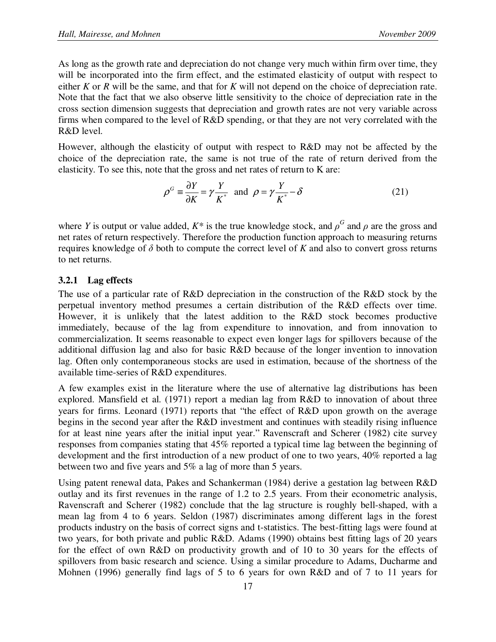As long as the growth rate and depreciation do not change very much within firm over time, they will be incorporated into the firm effect, and the estimated elasticity of output with respect to either *K* or *R* will be the same, and that for *K* will not depend on the choice of depreciation rate. Note that the fact that we also observe little sensitivity to the choice of depreciation rate in the cross section dimension suggests that depreciation and growth rates are not very variable across firms when compared to the level of R&D spending, or that they are not very correlated with the R&D level.

However, although the elasticity of output with respect to R&D may not be affected by the choice of the depreciation rate, the same is not true of the rate of return derived from the elasticity. To see this, note that the gross and net rates of return to K are:

$$
\rho^G \equiv \frac{\partial Y}{\partial K} = \gamma \frac{Y}{K^*} \text{ and } \rho = \gamma \frac{Y}{K^*} - \delta \tag{21}
$$

where *Y* is output or value added,  $K^*$  is the true knowledge stock, and  $\rho^G$  and  $\rho$  are the gross and net rates of return respectively. Therefore the production function approach to measuring returns requires knowledge of  $\delta$  both to compute the correct level of *K* and also to convert gross returns to net returns.

#### **3.2.1 Lag effects**

The use of a particular rate of R&D depreciation in the construction of the R&D stock by the perpetual inventory method presumes a certain distribution of the R&D effects over time. However, it is unlikely that the latest addition to the R&D stock becomes productive immediately, because of the lag from expenditure to innovation, and from innovation to commercialization. It seems reasonable to expect even longer lags for spillovers because of the additional diffusion lag and also for basic R&D because of the longer invention to innovation lag. Often only contemporaneous stocks are used in estimation, because of the shortness of the available time-series of R&D expenditures.

A few examples exist in the literature where the use of alternative lag distributions has been explored. Mansfield et al. (1971) report a median lag from R&D to innovation of about three years for firms. Leonard (1971) reports that "the effect of R&D upon growth on the average begins in the second year after the R&D investment and continues with steadily rising influence for at least nine years after the initial input year." Ravenscraft and Scherer (1982) cite survey responses from companies stating that 45% reported a typical time lag between the beginning of development and the first introduction of a new product of one to two years, 40% reported a lag between two and five years and 5% a lag of more than 5 years.

Using patent renewal data, Pakes and Schankerman (1984) derive a gestation lag between R&D outlay and its first revenues in the range of 1.2 to 2.5 years. From their econometric analysis, Ravenscraft and Scherer (1982) conclude that the lag structure is roughly bell-shaped, with a mean lag from 4 to 6 years. Seldon (1987) discriminates among different lags in the forest products industry on the basis of correct signs and t-statistics. The best-fitting lags were found at two years, for both private and public R&D. Adams (1990) obtains best fitting lags of 20 years for the effect of own R&D on productivity growth and of 10 to 30 years for the effects of spillovers from basic research and science. Using a similar procedure to Adams, Ducharme and Mohnen (1996) generally find lags of 5 to 6 years for own R&D and of 7 to 11 years for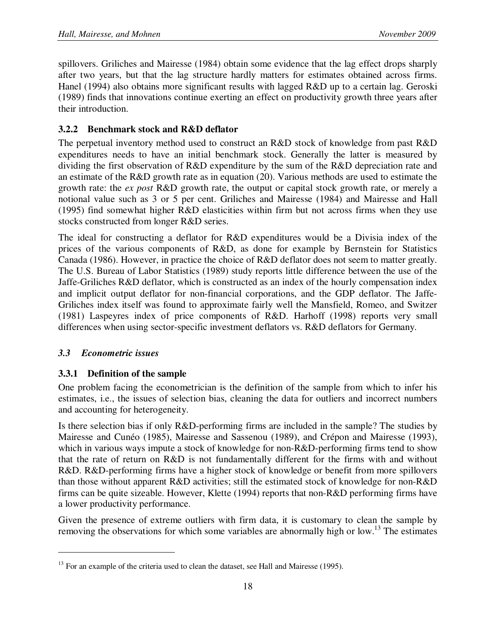spillovers. Griliches and Mairesse (1984) obtain some evidence that the lag effect drops sharply after two years, but that the lag structure hardly matters for estimates obtained across firms. Hanel (1994) also obtains more significant results with lagged R&D up to a certain lag. Geroski (1989) finds that innovations continue exerting an effect on productivity growth three years after their introduction.

#### **3.2.2 Benchmark stock and R&D deflator**

The perpetual inventory method used to construct an R&D stock of knowledge from past R&D expenditures needs to have an initial benchmark stock. Generally the latter is measured by dividing the first observation of R&D expenditure by the sum of the R&D depreciation rate and an estimate of the R&D growth rate as in equation (20). Various methods are used to estimate the growth rate: the *ex post* R&D growth rate, the output or capital stock growth rate, or merely a notional value such as 3 or 5 per cent. Griliches and Mairesse (1984) and Mairesse and Hall (1995) find somewhat higher R&D elasticities within firm but not across firms when they use stocks constructed from longer R&D series.

The ideal for constructing a deflator for R&D expenditures would be a Divisia index of the prices of the various components of R&D, as done for example by Bernstein for Statistics Canada (1986). However, in practice the choice of R&D deflator does not seem to matter greatly. The U.S. Bureau of Labor Statistics (1989) study reports little difference between the use of the Jaffe-Griliches R&D deflator, which is constructed as an index of the hourly compensation index and implicit output deflator for non-financial corporations, and the GDP deflator. The Jaffe-Griliches index itself was found to approximate fairly well the Mansfield, Romeo, and Switzer (1981) Laspeyres index of price components of R&D. Harhoff (1998) reports very small differences when using sector-specific investment deflators vs. R&D deflators for Germany.

#### *3.3 Econometric issues*

 $\overline{a}$ 

#### **3.3.1 Definition of the sample**

One problem facing the econometrician is the definition of the sample from which to infer his estimates, i.e., the issues of selection bias, cleaning the data for outliers and incorrect numbers and accounting for heterogeneity.

Is there selection bias if only R&D-performing firms are included in the sample? The studies by Mairesse and Cunéo (1985), Mairesse and Sassenou (1989), and Crépon and Mairesse (1993), which in various ways impute a stock of knowledge for non-R&D-performing firms tend to show that the rate of return on R&D is not fundamentally different for the firms with and without R&D. R&D-performing firms have a higher stock of knowledge or benefit from more spillovers than those without apparent R&D activities; still the estimated stock of knowledge for non-R&D firms can be quite sizeable. However, Klette (1994) reports that non-R&D performing firms have a lower productivity performance.

Given the presence of extreme outliers with firm data, it is customary to clean the sample by removing the observations for which some variables are abnormally high or low.<sup>13</sup> The estimates

 $13$  For an example of the criteria used to clean the dataset, see Hall and Mairesse (1995).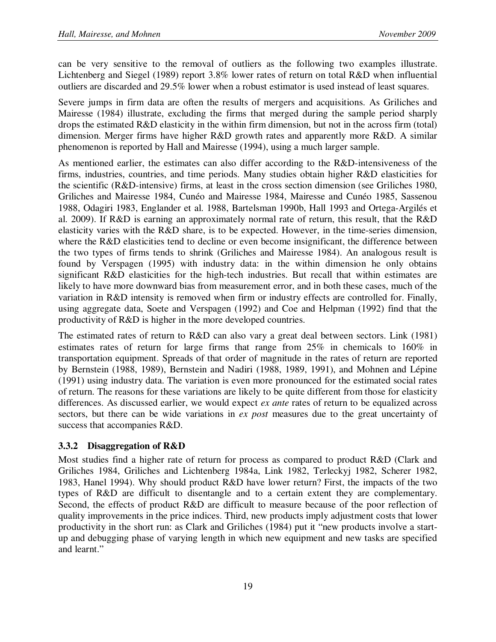can be very sensitive to the removal of outliers as the following two examples illustrate. Lichtenberg and Siegel (1989) report 3.8% lower rates of return on total R&D when influential outliers are discarded and 29.5% lower when a robust estimator is used instead of least squares.

Severe jumps in firm data are often the results of mergers and acquisitions. As Griliches and Mairesse (1984) illustrate, excluding the firms that merged during the sample period sharply drops the estimated R&D elasticity in the within firm dimension, but not in the across firm (total) dimension. Merger firms have higher R&D growth rates and apparently more R&D. A similar phenomenon is reported by Hall and Mairesse (1994), using a much larger sample.

As mentioned earlier, the estimates can also differ according to the R&D-intensiveness of the firms, industries, countries, and time periods. Many studies obtain higher R&D elasticities for the scientific (R&D-intensive) firms, at least in the cross section dimension (see Griliches 1980, Griliches and Mairesse 1984, Cunéo and Mairesse 1984, Mairesse and Cunéo 1985, Sassenou 1988, Odagiri 1983, Englander et al. 1988, Bartelsman 1990b, Hall 1993 and Ortega-Argilés et al. 2009). If R&D is earning an approximately normal rate of return, this result, that the R&D elasticity varies with the R&D share, is to be expected. However, in the time-series dimension, where the R&D elasticities tend to decline or even become insignificant, the difference between the two types of firms tends to shrink (Griliches and Mairesse 1984). An analogous result is found by Verspagen (1995) with industry data: in the within dimension he only obtains significant R&D elasticities for the high-tech industries. But recall that within estimates are likely to have more downward bias from measurement error, and in both these cases, much of the variation in R&D intensity is removed when firm or industry effects are controlled for. Finally, using aggregate data, Soete and Verspagen (1992) and Coe and Helpman (1992) find that the productivity of R&D is higher in the more developed countries.

The estimated rates of return to R&D can also vary a great deal between sectors. Link (1981) estimates rates of return for large firms that range from 25% in chemicals to 160% in transportation equipment. Spreads of that order of magnitude in the rates of return are reported by Bernstein (1988, 1989), Bernstein and Nadiri (1988, 1989, 1991), and Mohnen and Lépine (1991) using industry data. The variation is even more pronounced for the estimated social rates of return. The reasons for these variations are likely to be quite different from those for elasticity differences. As discussed earlier, we would expect *ex ante* rates of return to be equalized across sectors, but there can be wide variations in *ex post* measures due to the great uncertainty of success that accompanies R&D.

#### **3.3.2 Disaggregation of R&D**

Most studies find a higher rate of return for process as compared to product R&D (Clark and Griliches 1984, Griliches and Lichtenberg 1984a, Link 1982, Terleckyj 1982, Scherer 1982, 1983, Hanel 1994). Why should product R&D have lower return? First, the impacts of the two types of R&D are difficult to disentangle and to a certain extent they are complementary. Second, the effects of product R&D are difficult to measure because of the poor reflection of quality improvements in the price indices. Third, new products imply adjustment costs that lower productivity in the short run: as Clark and Griliches (1984) put it "new products involve a startup and debugging phase of varying length in which new equipment and new tasks are specified and learnt."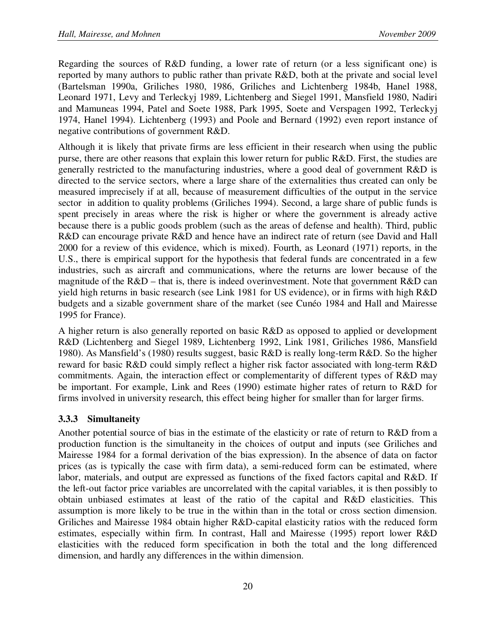Regarding the sources of R&D funding, a lower rate of return (or a less significant one) is reported by many authors to public rather than private R&D, both at the private and social level (Bartelsman 1990a, Griliches 1980, 1986, Griliches and Lichtenberg 1984b, Hanel 1988, Leonard 1971, Levy and Terleckyj 1989, Lichtenberg and Siegel 1991, Mansfield 1980, Nadiri and Mamuneas 1994, Patel and Soete 1988, Park 1995, Soete and Verspagen 1992, Terleckyj 1974, Hanel 1994). Lichtenberg (1993) and Poole and Bernard (1992) even report instance of negative contributions of government R&D.

Although it is likely that private firms are less efficient in their research when using the public purse, there are other reasons that explain this lower return for public R&D. First, the studies are generally restricted to the manufacturing industries, where a good deal of government R&D is directed to the service sectors, where a large share of the externalities thus created can only be measured imprecisely if at all, because of measurement difficulties of the output in the service sector in addition to quality problems (Griliches 1994). Second, a large share of public funds is spent precisely in areas where the risk is higher or where the government is already active because there is a public goods problem (such as the areas of defense and health). Third, public R&D can encourage private R&D and hence have an indirect rate of return (see David and Hall 2000 for a review of this evidence, which is mixed). Fourth, as Leonard (1971) reports, in the U.S., there is empirical support for the hypothesis that federal funds are concentrated in a few industries, such as aircraft and communications, where the returns are lower because of the magnitude of the R&D – that is, there is indeed overinvestment. Note that government R&D can yield high returns in basic research (see Link 1981 for US evidence), or in firms with high R&D budgets and a sizable government share of the market (see Cunéo 1984 and Hall and Mairesse 1995 for France).

A higher return is also generally reported on basic R&D as opposed to applied or development R&D (Lichtenberg and Siegel 1989, Lichtenberg 1992, Link 1981, Griliches 1986, Mansfield 1980). As Mansfield's (1980) results suggest, basic R&D is really long-term R&D. So the higher reward for basic R&D could simply reflect a higher risk factor associated with long-term R&D commitments. Again, the interaction effect or complementarity of different types of R&D may be important. For example, Link and Rees (1990) estimate higher rates of return to R&D for firms involved in university research, this effect being higher for smaller than for larger firms.

#### **3.3.3 Simultaneity**

Another potential source of bias in the estimate of the elasticity or rate of return to R&D from a production function is the simultaneity in the choices of output and inputs (see Griliches and Mairesse 1984 for a formal derivation of the bias expression). In the absence of data on factor prices (as is typically the case with firm data), a semi-reduced form can be estimated, where labor, materials, and output are expressed as functions of the fixed factors capital and R&D. If the left-out factor price variables are uncorrelated with the capital variables, it is then possibly to obtain unbiased estimates at least of the ratio of the capital and R&D elasticities. This assumption is more likely to be true in the within than in the total or cross section dimension. Griliches and Mairesse 1984 obtain higher R&D-capital elasticity ratios with the reduced form estimates, especially within firm. In contrast, Hall and Mairesse (1995) report lower R&D elasticities with the reduced form specification in both the total and the long differenced dimension, and hardly any differences in the within dimension.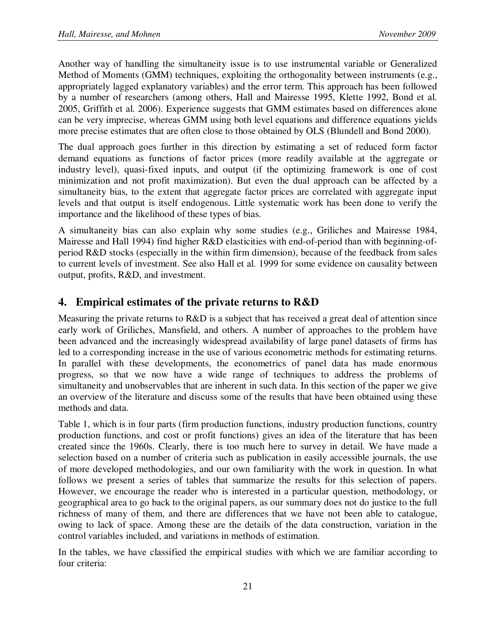Another way of handling the simultaneity issue is to use instrumental variable or Generalized Method of Moments (GMM) techniques, exploiting the orthogonality between instruments (e.g., appropriately lagged explanatory variables) and the error term. This approach has been followed by a number of researchers (among others, Hall and Mairesse 1995, Klette 1992, Bond et al. 2005, Griffith et al. 2006). Experience suggests that GMM estimates based on differences alone can be very imprecise, whereas GMM using both level equations and difference equations yields more precise estimates that are often close to those obtained by OLS (Blundell and Bond 2000).

The dual approach goes further in this direction by estimating a set of reduced form factor demand equations as functions of factor prices (more readily available at the aggregate or industry level), quasi-fixed inputs, and output (if the optimizing framework is one of cost minimization and not profit maximization). But even the dual approach can be affected by a simultaneity bias, to the extent that aggregate factor prices are correlated with aggregate input levels and that output is itself endogenous. Little systematic work has been done to verify the importance and the likelihood of these types of bias.

A simultaneity bias can also explain why some studies (e.g., Griliches and Mairesse 1984, Mairesse and Hall 1994) find higher R&D elasticities with end-of-period than with beginning-ofperiod R&D stocks (especially in the within firm dimension), because of the feedback from sales to current levels of investment. See also Hall et al. 1999 for some evidence on causality between output, profits, R&D, and investment.

### **4. Empirical estimates of the private returns to R&D**

Measuring the private returns to R&D is a subject that has received a great deal of attention since early work of Griliches, Mansfield, and others. A number of approaches to the problem have been advanced and the increasingly widespread availability of large panel datasets of firms has led to a corresponding increase in the use of various econometric methods for estimating returns. In parallel with these developments, the econometrics of panel data has made enormous progress, so that we now have a wide range of techniques to address the problems of simultaneity and unobservables that are inherent in such data. In this section of the paper we give an overview of the literature and discuss some of the results that have been obtained using these methods and data.

Table 1, which is in four parts (firm production functions, industry production functions, country production functions, and cost or profit functions) gives an idea of the literature that has been created since the 1960s. Clearly, there is too much here to survey in detail. We have made a selection based on a number of criteria such as publication in easily accessible journals, the use of more developed methodologies, and our own familiarity with the work in question. In what follows we present a series of tables that summarize the results for this selection of papers. However, we encourage the reader who is interested in a particular question, methodology, or geographical area to go back to the original papers, as our summary does not do justice to the full richness of many of them, and there are differences that we have not been able to catalogue, owing to lack of space. Among these are the details of the data construction, variation in the control variables included, and variations in methods of estimation.

In the tables, we have classified the empirical studies with which we are familiar according to four criteria: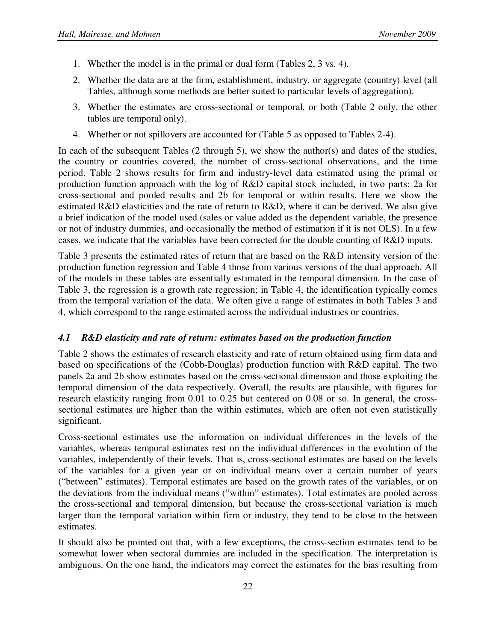- 1. Whether the model is in the primal or dual form (Tables 2, 3 vs. 4).
- 2. Whether the data are at the firm, establishment, industry, or aggregate (country) level (all Tables, although some methods are better suited to particular levels of aggregation).
- 3. Whether the estimates are cross-sectional or temporal, or both (Table 2 only, the other tables are temporal only).
- 4. Whether or not spillovers are accounted for (Table 5 as opposed to Tables 2-4).

In each of the subsequent Tables (2 through 5), we show the author(s) and dates of the studies, the country or countries covered, the number of cross-sectional observations, and the time period. Table 2 shows results for firm and industry-level data estimated using the primal or production function approach with the log of R&D capital stock included, in two parts: 2a for cross-sectional and pooled results and 2b for temporal or within results. Here we show the estimated R&D elasticities and the rate of return to R&D, where it can be derived. We also give a brief indication of the model used (sales or value added as the dependent variable, the presence or not of industry dummies, and occasionally the method of estimation if it is not OLS). In a few cases, we indicate that the variables have been corrected for the double counting of R&D inputs.

Table 3 presents the estimated rates of return that are based on the R&D intensity version of the production function regression and Table 4 those from various versions of the dual approach. All of the models in these tables are essentially estimated in the temporal dimension. In the case of Table 3, the regression is a growth rate regression; in Table 4, the identification typically comes from the temporal variation of the data. We often give a range of estimates in both Tables 3 and 4, which correspond to the range estimated across the individual industries or countries.

#### *4.1 R&D elasticity and rate of return: estimates based on the production function*

Table 2 shows the estimates of research elasticity and rate of return obtained using firm data and based on specifications of the (Cobb-Douglas) production function with R&D capital. The two panels 2a and 2b show estimates based on the cross-sectional dimension and those exploiting the temporal dimension of the data respectively. Overall, the results are plausible, with figures for research elasticity ranging from 0.01 to 0.25 but centered on 0.08 or so. In general, the crosssectional estimates are higher than the within estimates, which are often not even statistically significant.

Cross-sectional estimates use the information on individual differences in the levels of the variables, whereas temporal estimates rest on the individual differences in the evolution of the variables, independently of their levels. That is, cross-sectional estimates are based on the levels of the variables for a given year or on individual means over a certain number of years ("between" estimates). Temporal estimates are based on the growth rates of the variables, or on the deviations from the individual means ("within" estimates). Total estimates are pooled across the cross-sectional and temporal dimension, but because the cross-sectional variation is much larger than the temporal variation within firm or industry, they tend to be close to the between estimates.

It should also be pointed out that, with a few exceptions, the cross-section estimates tend to be somewhat lower when sectoral dummies are included in the specification. The interpretation is ambiguous. On the one hand, the indicators may correct the estimates for the bias resulting from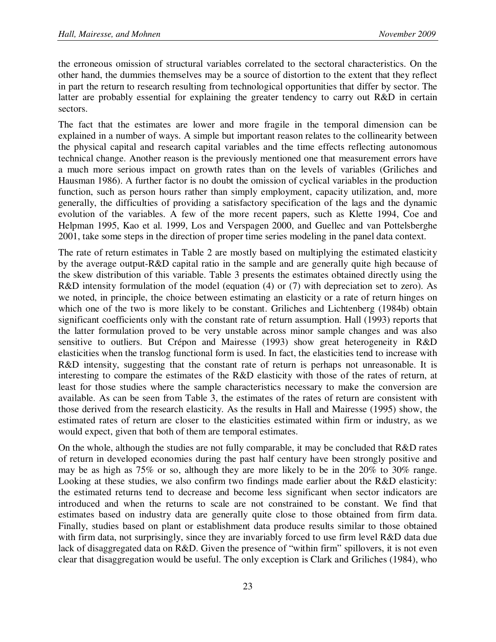the erroneous omission of structural variables correlated to the sectoral characteristics. On the other hand, the dummies themselves may be a source of distortion to the extent that they reflect in part the return to research resulting from technological opportunities that differ by sector. The latter are probably essential for explaining the greater tendency to carry out R&D in certain sectors.

The fact that the estimates are lower and more fragile in the temporal dimension can be explained in a number of ways. A simple but important reason relates to the collinearity between the physical capital and research capital variables and the time effects reflecting autonomous technical change. Another reason is the previously mentioned one that measurement errors have a much more serious impact on growth rates than on the levels of variables (Griliches and Hausman 1986). A further factor is no doubt the omission of cyclical variables in the production function, such as person hours rather than simply employment, capacity utilization, and, more generally, the difficulties of providing a satisfactory specification of the lags and the dynamic evolution of the variables. A few of the more recent papers, such as Klette 1994, Coe and Helpman 1995, Kao et al. 1999, Los and Verspagen 2000, and Guellec and van Pottelsberghe 2001, take some steps in the direction of proper time series modeling in the panel data context.

The rate of return estimates in Table 2 are mostly based on multiplying the estimated elasticity by the average output-R&D capital ratio in the sample and are generally quite high because of the skew distribution of this variable. Table 3 presents the estimates obtained directly using the R&D intensity formulation of the model (equation (4) or (7) with depreciation set to zero). As we noted, in principle, the choice between estimating an elasticity or a rate of return hinges on which one of the two is more likely to be constant. Griliches and Lichtenberg (1984b) obtain significant coefficients only with the constant rate of return assumption. Hall (1993) reports that the latter formulation proved to be very unstable across minor sample changes and was also sensitive to outliers. But Crépon and Mairesse (1993) show great heterogeneity in R&D elasticities when the translog functional form is used. In fact, the elasticities tend to increase with R&D intensity, suggesting that the constant rate of return is perhaps not unreasonable. It is interesting to compare the estimates of the R&D elasticity with those of the rates of return, at least for those studies where the sample characteristics necessary to make the conversion are available. As can be seen from Table 3, the estimates of the rates of return are consistent with those derived from the research elasticity. As the results in Hall and Mairesse (1995) show, the estimated rates of return are closer to the elasticities estimated within firm or industry, as we would expect, given that both of them are temporal estimates.

On the whole, although the studies are not fully comparable, it may be concluded that R&D rates of return in developed economies during the past half century have been strongly positive and may be as high as 75% or so, although they are more likely to be in the 20% to 30% range. Looking at these studies, we also confirm two findings made earlier about the R&D elasticity: the estimated returns tend to decrease and become less significant when sector indicators are introduced and when the returns to scale are not constrained to be constant. We find that estimates based on industry data are generally quite close to those obtained from firm data. Finally, studies based on plant or establishment data produce results similar to those obtained with firm data, not surprisingly, since they are invariably forced to use firm level R&D data due lack of disaggregated data on R&D. Given the presence of "within firm" spillovers, it is not even clear that disaggregation would be useful. The only exception is Clark and Griliches (1984), who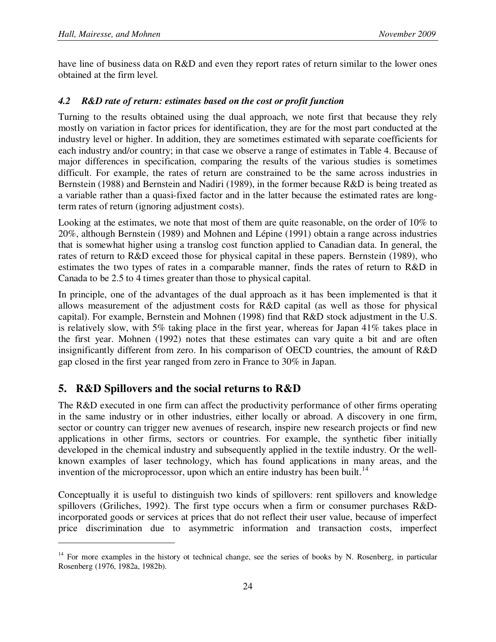have line of business data on R&D and even they report rates of return similar to the lower ones obtained at the firm level.

#### *4.2 R&D rate of return: estimates based on the cost or profit function*

Turning to the results obtained using the dual approach, we note first that because they rely mostly on variation in factor prices for identification, they are for the most part conducted at the industry level or higher. In addition, they are sometimes estimated with separate coefficients for each industry and/or country; in that case we observe a range of estimates in Table 4. Because of major differences in specification, comparing the results of the various studies is sometimes difficult. For example, the rates of return are constrained to be the same across industries in Bernstein (1988) and Bernstein and Nadiri (1989), in the former because R&D is being treated as a variable rather than a quasi-fixed factor and in the latter because the estimated rates are longterm rates of return (ignoring adjustment costs).

Looking at the estimates, we note that most of them are quite reasonable, on the order of 10% to 20%, although Bernstein (1989) and Mohnen and Lépine (1991) obtain a range across industries that is somewhat higher using a translog cost function applied to Canadian data. In general, the rates of return to R&D exceed those for physical capital in these papers. Bernstein (1989), who estimates the two types of rates in a comparable manner, finds the rates of return to R&D in Canada to be 2.5 to 4 times greater than those to physical capital.

In principle, one of the advantages of the dual approach as it has been implemented is that it allows measurement of the adjustment costs for R&D capital (as well as those for physical capital). For example, Bernstein and Mohnen (1998) find that R&D stock adjustment in the U.S. is relatively slow, with 5% taking place in the first year, whereas for Japan 41% takes place in the first year. Mohnen (1992) notes that these estimates can vary quite a bit and are often insignificantly different from zero. In his comparison of OECD countries, the amount of R&D gap closed in the first year ranged from zero in France to 30% in Japan.

### **5. R&D Spillovers and the social returns to R&D**

The R&D executed in one firm can affect the productivity performance of other firms operating in the same industry or in other industries, either locally or abroad. A discovery in one firm, sector or country can trigger new avenues of research, inspire new research projects or find new applications in other firms, sectors or countries. For example, the synthetic fiber initially developed in the chemical industry and subsequently applied in the textile industry. Or the wellknown examples of laser technology, which has found applications in many areas, and the invention of the microprocessor, upon which an entire industry has been built.<sup>14</sup>

Conceptually it is useful to distinguish two kinds of spillovers: rent spillovers and knowledge spillovers (Griliches, 1992). The first type occurs when a firm or consumer purchases R&Dincorporated goods or services at prices that do not reflect their user value, because of imperfect price discrimination due to asymmetric information and transaction costs, imperfect

<sup>&</sup>lt;sup>14</sup> For more examples in the history ot technical change, see the series of books by N. Rosenberg, in particular Rosenberg (1976, 1982a, 1982b).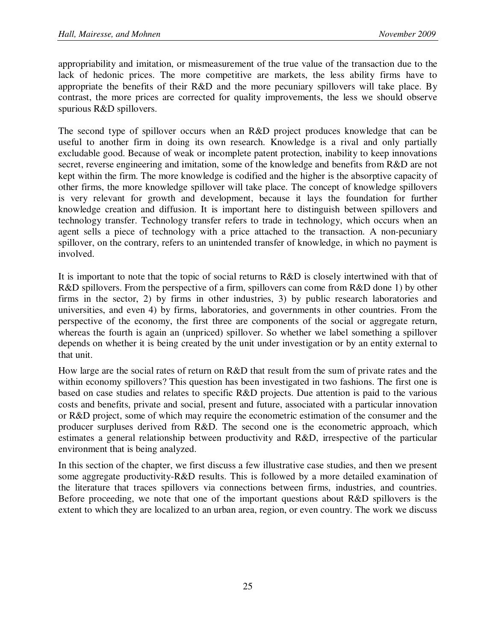appropriability and imitation, or mismeasurement of the true value of the transaction due to the lack of hedonic prices. The more competitive are markets, the less ability firms have to appropriate the benefits of their R&D and the more pecuniary spillovers will take place. By contrast, the more prices are corrected for quality improvements, the less we should observe spurious R&D spillovers.

The second type of spillover occurs when an R&D project produces knowledge that can be useful to another firm in doing its own research. Knowledge is a rival and only partially excludable good. Because of weak or incomplete patent protection, inability to keep innovations secret, reverse engineering and imitation, some of the knowledge and benefits from R&D are not kept within the firm. The more knowledge is codified and the higher is the absorptive capacity of other firms, the more knowledge spillover will take place. The concept of knowledge spillovers is very relevant for growth and development, because it lays the foundation for further knowledge creation and diffusion. It is important here to distinguish between spillovers and technology transfer. Technology transfer refers to trade in technology, which occurs when an agent sells a piece of technology with a price attached to the transaction. A non-pecuniary spillover, on the contrary, refers to an unintended transfer of knowledge, in which no payment is involved.

It is important to note that the topic of social returns to R&D is closely intertwined with that of R&D spillovers. From the perspective of a firm, spillovers can come from R&D done 1) by other firms in the sector, 2) by firms in other industries, 3) by public research laboratories and universities, and even 4) by firms, laboratories, and governments in other countries. From the perspective of the economy, the first three are components of the social or aggregate return, whereas the fourth is again an (unpriced) spillover. So whether we label something a spillover depends on whether it is being created by the unit under investigation or by an entity external to that unit.

How large are the social rates of return on R&D that result from the sum of private rates and the within economy spillovers? This question has been investigated in two fashions. The first one is based on case studies and relates to specific R&D projects. Due attention is paid to the various costs and benefits, private and social, present and future, associated with a particular innovation or R&D project, some of which may require the econometric estimation of the consumer and the producer surpluses derived from R&D. The second one is the econometric approach, which estimates a general relationship between productivity and R&D, irrespective of the particular environment that is being analyzed.

In this section of the chapter, we first discuss a few illustrative case studies, and then we present some aggregate productivity-R&D results. This is followed by a more detailed examination of the literature that traces spillovers via connections between firms, industries, and countries. Before proceeding, we note that one of the important questions about R&D spillovers is the extent to which they are localized to an urban area, region, or even country. The work we discuss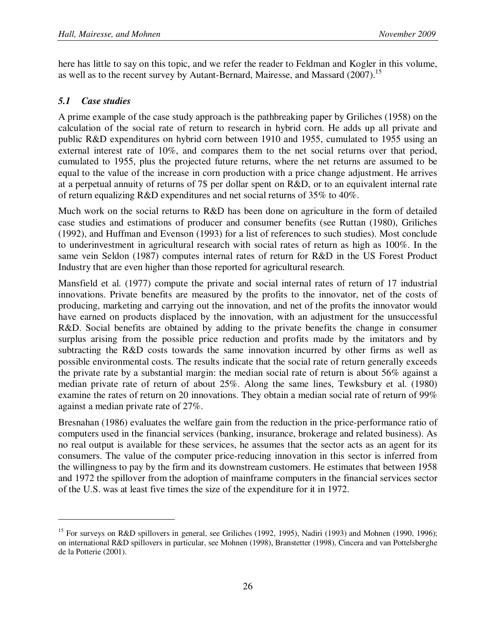here has little to say on this topic, and we refer the reader to Feldman and Kogler in this volume, as well as to the recent survey by Autant-Bernard, Mairesse, and Massard (2007).<sup>15</sup>

#### *5.1 Case studies*

 $\overline{a}$ 

A prime example of the case study approach is the pathbreaking paper by Griliches (1958) on the calculation of the social rate of return to research in hybrid corn. He adds up all private and public R&D expenditures on hybrid corn between 1910 and 1955, cumulated to 1955 using an external interest rate of 10%, and compares them to the net social returns over that period, cumulated to 1955, plus the projected future returns, where the net returns are assumed to be equal to the value of the increase in corn production with a price change adjustment. He arrives at a perpetual annuity of returns of 7\$ per dollar spent on R&D, or to an equivalent internal rate of return equalizing R&D expenditures and net social returns of 35% to 40%.

Much work on the social returns to R&D has been done on agriculture in the form of detailed case studies and estimations of producer and consumer benefits (see Ruttan (1980), Griliches (1992), and Huffman and Evenson (1993) for a list of references to such studies). Most conclude to underinvestment in agricultural research with social rates of return as high as 100%. In the same vein Seldon (1987) computes internal rates of return for R&D in the US Forest Product Industry that are even higher than those reported for agricultural research.

Mansfield et al. (1977) compute the private and social internal rates of return of 17 industrial innovations. Private benefits are measured by the profits to the innovator, net of the costs of producing, marketing and carrying out the innovation, and net of the profits the innovator would have earned on products displaced by the innovation, with an adjustment for the unsuccessful R&D. Social benefits are obtained by adding to the private benefits the change in consumer surplus arising from the possible price reduction and profits made by the imitators and by subtracting the R&D costs towards the same innovation incurred by other firms as well as possible environmental costs. The results indicate that the social rate of return generally exceeds the private rate by a substantial margin: the median social rate of return is about 56% against a median private rate of return of about 25%. Along the same lines, Tewksbury et al. (1980) examine the rates of return on 20 innovations. They obtain a median social rate of return of 99% against a median private rate of 27%.

Bresnahan (1986) evaluates the welfare gain from the reduction in the price-performance ratio of computers used in the financial services (banking, insurance, brokerage and related business). As no real output is available for these services, he assumes that the sector acts as an agent for its consumers. The value of the computer price-reducing innovation in this sector is inferred from the willingness to pay by the firm and its downstream customers. He estimates that between 1958 and 1972 the spillover from the adoption of mainframe computers in the financial services sector of the U.S. was at least five times the size of the expenditure for it in 1972.

<sup>&</sup>lt;sup>15</sup> For surveys on R&D spillovers in general, see Griliches (1992, 1995), Nadiri (1993) and Mohnen (1990, 1996); on international R&D spillovers in particular, see Mohnen (1998), Branstetter (1998), Cincera and van Pottelsberghe de la Potterie (2001).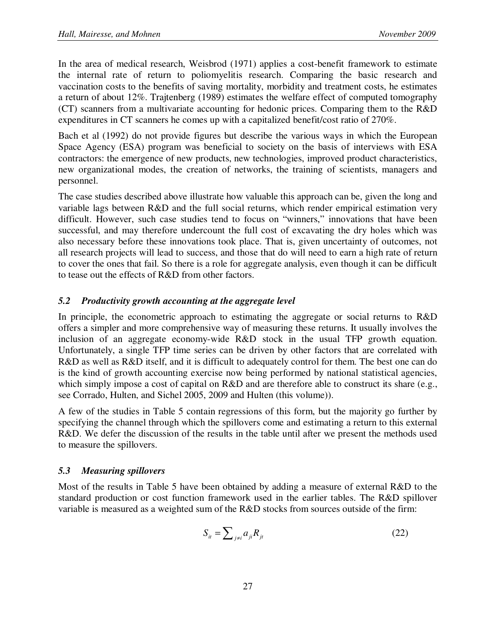In the area of medical research, Weisbrod (1971) applies a cost-benefit framework to estimate the internal rate of return to poliomyelitis research. Comparing the basic research and vaccination costs to the benefits of saving mortality, morbidity and treatment costs, he estimates a return of about 12%. Trajtenberg (1989) estimates the welfare effect of computed tomography (CT) scanners from a multivariate accounting for hedonic prices. Comparing them to the R&D expenditures in CT scanners he comes up with a capitalized benefit/cost ratio of 270%.

Bach et al (1992) do not provide figures but describe the various ways in which the European Space Agency (ESA) program was beneficial to society on the basis of interviews with ESA contractors: the emergence of new products, new technologies, improved product characteristics, new organizational modes, the creation of networks, the training of scientists, managers and personnel.

The case studies described above illustrate how valuable this approach can be, given the long and variable lags between R&D and the full social returns, which render empirical estimation very difficult. However, such case studies tend to focus on "winners," innovations that have been successful, and may therefore undercount the full cost of excavating the dry holes which was also necessary before these innovations took place. That is, given uncertainty of outcomes, not all research projects will lead to success, and those that do will need to earn a high rate of return to cover the ones that fail. So there is a role for aggregate analysis, even though it can be difficult to tease out the effects of R&D from other factors.

#### *5.2 Productivity growth accounting at the aggregate level*

In principle, the econometric approach to estimating the aggregate or social returns to R&D offers a simpler and more comprehensive way of measuring these returns. It usually involves the inclusion of an aggregate economy-wide R&D stock in the usual TFP growth equation. Unfortunately, a single TFP time series can be driven by other factors that are correlated with R&D as well as R&D itself, and it is difficult to adequately control for them. The best one can do is the kind of growth accounting exercise now being performed by national statistical agencies, which simply impose a cost of capital on R&D and are therefore able to construct its share (e.g., see Corrado, Hulten, and Sichel 2005, 2009 and Hulten (this volume)).

A few of the studies in Table 5 contain regressions of this form, but the majority go further by specifying the channel through which the spillovers come and estimating a return to this external R&D. We defer the discussion of the results in the table until after we present the methods used to measure the spillovers.

#### *5.3 Measuring spillovers*

Most of the results in Table 5 have been obtained by adding a measure of external R&D to the standard production or cost function framework used in the earlier tables. The R&D spillover variable is measured as a weighted sum of the R&D stocks from sources outside of the firm:

$$
S_{it} = \sum_{j \neq i} a_{ji} R_{jt}
$$
 (22)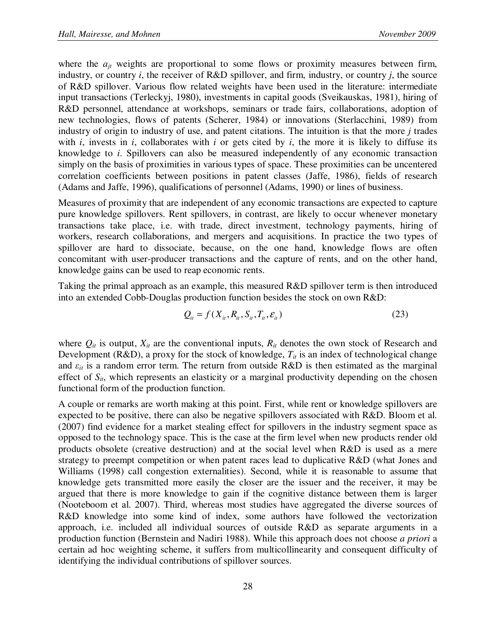where the  $a_{it}$  weights are proportional to some flows or proximity measures between firm, industry, or country *i*, the receiver of R&D spillover, and firm, industry, or country *j*, the source of R&D spillover. Various flow related weights have been used in the literature: intermediate input transactions (Terleckyj, 1980), investments in capital goods (Sveikauskas, 1981), hiring of R&D personnel, attendance at workshops, seminars or trade fairs, collaborations, adoption of new technologies, flows of patents (Scherer, 1984) or innovations (Sterlacchini, 1989) from industry of origin to industry of use, and patent citations. The intuition is that the more *j* trades with *i*, invests in *i*, collaborates with *i* or gets cited by *i*, the more it is likely to diffuse its knowledge to *i*. Spillovers can also be measured independently of any economic transaction simply on the basis of proximities in various types of space. These proximities can be uncentered correlation coefficients between positions in patent classes (Jaffe, 1986), fields of research (Adams and Jaffe, 1996), qualifications of personnel (Adams, 1990) or lines of business.

Measures of proximity that are independent of any economic transactions are expected to capture pure knowledge spillovers. Rent spillovers, in contrast, are likely to occur whenever monetary transactions take place, i.e. with trade, direct investment, technology payments, hiring of workers, research collaborations, and mergers and acquisitions. In practice the two types of spillover are hard to dissociate, because, on the one hand, knowledge flows are often concomitant with user-producer transactions and the capture of rents, and on the other hand, knowledge gains can be used to reap economic rents.

Taking the primal approach as an example, this measured R&D spillover term is then introduced into an extended Cobb-Douglas production function besides the stock on own R&D:

$$
Q_{it} = f(X_{it}, R_{it}, S_{it}, T_{it}, \varepsilon_{it})
$$
\n(23)

where  $Q_{it}$  is output,  $X_{it}$  are the conventional inputs,  $R_{it}$  denotes the own stock of Research and Development (R&D), a proxy for the stock of knowledge,  $T_{it}$  is an index of technological change and  $\varepsilon_{it}$  is a random error term. The return from outside R&D is then estimated as the marginal effect of  $S$ <sub>*it*</sub>, which represents an elasticity or a marginal productivity depending on the chosen functional form of the production function.

A couple or remarks are worth making at this point. First, while rent or knowledge spillovers are expected to be positive, there can also be negative spillovers associated with R&D. Bloom et al. (2007) find evidence for a market stealing effect for spillovers in the industry segment space as opposed to the technology space. This is the case at the firm level when new products render old products obsolete (creative destruction) and at the social level when R&D is used as a mere strategy to preempt competition or when patent races lead to duplicative R&D (what Jones and Williams (1998) call congestion externalities). Second, while it is reasonable to assume that knowledge gets transmitted more easily the closer are the issuer and the receiver, it may be argued that there is more knowledge to gain if the cognitive distance between them is larger (Nooteboom et al. 2007). Third, whereas most studies have aggregated the diverse sources of R&D knowledge into some kind of index, some authors have followed the vectorization approach, i.e. included all individual sources of outside R&D as separate arguments in a production function (Bernstein and Nadiri 1988). While this approach does not choose *a priori* a certain ad hoc weighting scheme, it suffers from multicollinearity and consequent difficulty of identifying the individual contributions of spillover sources.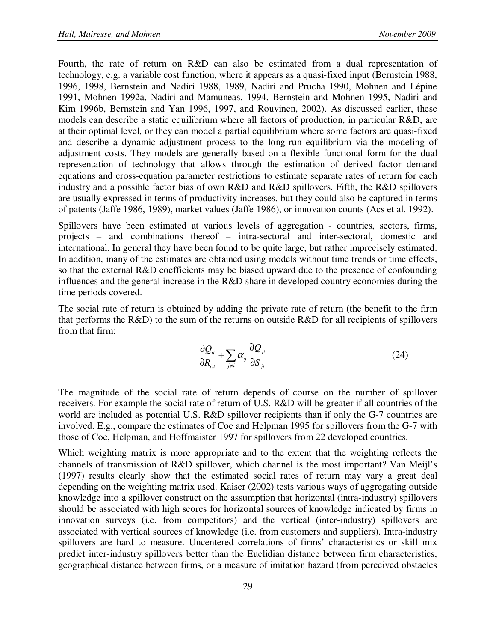Fourth, the rate of return on R&D can also be estimated from a dual representation of technology, e.g. a variable cost function, where it appears as a quasi-fixed input (Bernstein 1988, 1996, 1998, Bernstein and Nadiri 1988, 1989, Nadiri and Prucha 1990, Mohnen and Lépine 1991, Mohnen 1992a, Nadiri and Mamuneas, 1994, Bernstein and Mohnen 1995, Nadiri and Kim 1996b, Bernstein and Yan 1996, 1997, and Rouvinen, 2002). As discussed earlier, these models can describe a static equilibrium where all factors of production, in particular R&D, are at their optimal level, or they can model a partial equilibrium where some factors are quasi-fixed and describe a dynamic adjustment process to the long-run equilibrium via the modeling of adjustment costs. They models are generally based on a flexible functional form for the dual representation of technology that allows through the estimation of derived factor demand equations and cross-equation parameter restrictions to estimate separate rates of return for each industry and a possible factor bias of own R&D and R&D spillovers. Fifth, the R&D spillovers are usually expressed in terms of productivity increases, but they could also be captured in terms of patents (Jaffe 1986, 1989), market values (Jaffe 1986), or innovation counts (Acs et al. 1992).

Spillovers have been estimated at various levels of aggregation - countries, sectors, firms, projects – and combinations thereof – intra-sectoral and inter-sectoral, domestic and international. In general they have been found to be quite large, but rather imprecisely estimated. In addition, many of the estimates are obtained using models without time trends or time effects, so that the external R&D coefficients may be biased upward due to the presence of confounding influences and the general increase in the R&D share in developed country economies during the time periods covered.

The social rate of return is obtained by adding the private rate of return (the benefit to the firm that performs the R&D) to the sum of the returns on outside R&D for all recipients of spillovers from that firm:

$$
\frac{\partial Q_{it}}{\partial R_{i,t}} + \sum_{j \neq i} \alpha_{ij} \frac{\partial Q_{jt}}{\partial S_{jt}}
$$
(24)

The magnitude of the social rate of return depends of course on the number of spillover receivers. For example the social rate of return of U.S. R&D will be greater if all countries of the world are included as potential U.S. R&D spillover recipients than if only the G-7 countries are involved. E.g., compare the estimates of Coe and Helpman 1995 for spillovers from the G-7 with those of Coe, Helpman, and Hoffmaister 1997 for spillovers from 22 developed countries.

Which weighting matrix is more appropriate and to the extent that the weighting reflects the channels of transmission of R&D spillover, which channel is the most important? Van Meijl's (1997) results clearly show that the estimated social rates of return may vary a great deal depending on the weighting matrix used. Kaiser (2002) tests various ways of aggregating outside knowledge into a spillover construct on the assumption that horizontal (intra-industry) spillovers should be associated with high scores for horizontal sources of knowledge indicated by firms in innovation surveys (i.e. from competitors) and the vertical (inter-industry) spillovers are associated with vertical sources of knowledge (i.e. from customers and suppliers). Intra-industry spillovers are hard to measure. Uncentered correlations of firms' characteristics or skill mix predict inter-industry spillovers better than the Euclidian distance between firm characteristics, geographical distance between firms, or a measure of imitation hazard (from perceived obstacles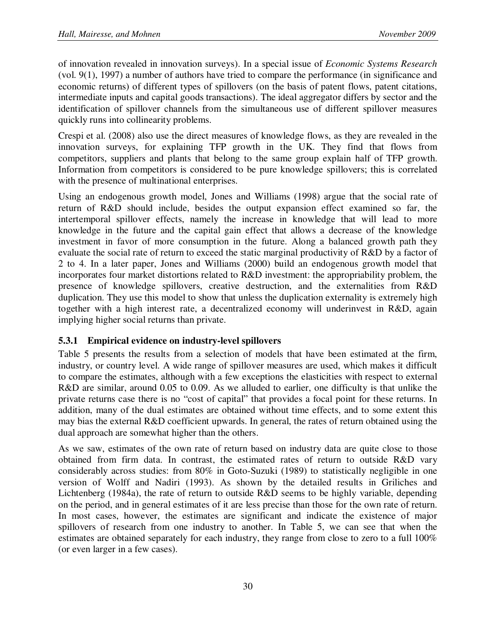of innovation revealed in innovation surveys). In a special issue of *Economic Systems Research* (vol. 9(1), 1997) a number of authors have tried to compare the performance (in significance and economic returns) of different types of spillovers (on the basis of patent flows, patent citations, intermediate inputs and capital goods transactions). The ideal aggregator differs by sector and the identification of spillover channels from the simultaneous use of different spillover measures quickly runs into collinearity problems.

Crespi et al. (2008) also use the direct measures of knowledge flows, as they are revealed in the innovation surveys, for explaining TFP growth in the UK. They find that flows from competitors, suppliers and plants that belong to the same group explain half of TFP growth. Information from competitors is considered to be pure knowledge spillovers; this is correlated with the presence of multinational enterprises.

Using an endogenous growth model, Jones and Williams (1998) argue that the social rate of return of R&D should include, besides the output expansion effect examined so far, the intertemporal spillover effects, namely the increase in knowledge that will lead to more knowledge in the future and the capital gain effect that allows a decrease of the knowledge investment in favor of more consumption in the future. Along a balanced growth path they evaluate the social rate of return to exceed the static marginal productivity of R&D by a factor of 2 to 4. In a later paper, Jones and Williams (2000) build an endogenous growth model that incorporates four market distortions related to R&D investment: the appropriability problem, the presence of knowledge spillovers, creative destruction, and the externalities from R&D duplication. They use this model to show that unless the duplication externality is extremely high together with a high interest rate, a decentralized economy will underinvest in R&D, again implying higher social returns than private.

#### **5.3.1 Empirical evidence on industry-level spillovers**

Table 5 presents the results from a selection of models that have been estimated at the firm, industry, or country level. A wide range of spillover measures are used, which makes it difficult to compare the estimates, although with a few exceptions the elasticities with respect to external R&D are similar, around 0.05 to 0.09. As we alluded to earlier, one difficulty is that unlike the private returns case there is no "cost of capital" that provides a focal point for these returns. In addition, many of the dual estimates are obtained without time effects, and to some extent this may bias the external R&D coefficient upwards. In general, the rates of return obtained using the dual approach are somewhat higher than the others.

As we saw, estimates of the own rate of return based on industry data are quite close to those obtained from firm data. In contrast, the estimated rates of return to outside R&D vary considerably across studies: from 80% in Goto-Suzuki (1989) to statistically negligible in one version of Wolff and Nadiri (1993). As shown by the detailed results in Griliches and Lichtenberg (1984a), the rate of return to outside R&D seems to be highly variable, depending on the period, and in general estimates of it are less precise than those for the own rate of return. In most cases, however, the estimates are significant and indicate the existence of major spillovers of research from one industry to another. In Table 5, we can see that when the estimates are obtained separately for each industry, they range from close to zero to a full 100% (or even larger in a few cases).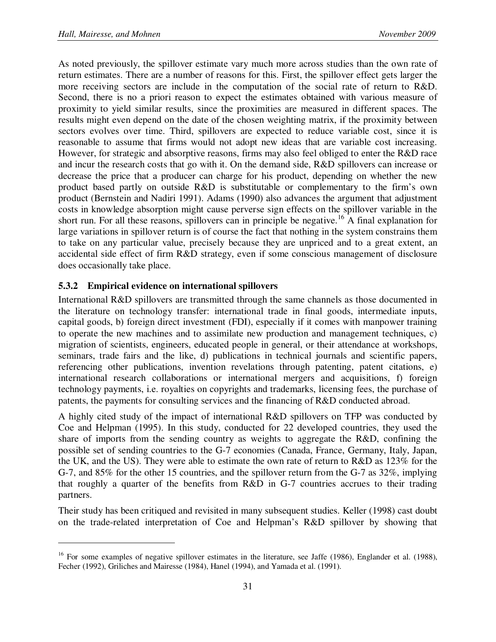As noted previously, the spillover estimate vary much more across studies than the own rate of return estimates. There are a number of reasons for this. First, the spillover effect gets larger the more receiving sectors are include in the computation of the social rate of return to R&D. Second, there is no a priori reason to expect the estimates obtained with various measure of proximity to yield similar results, since the proximities are measured in different spaces. The results might even depend on the date of the chosen weighting matrix, if the proximity between sectors evolves over time. Third, spillovers are expected to reduce variable cost, since it is reasonable to assume that firms would not adopt new ideas that are variable cost increasing. However, for strategic and absorptive reasons, firms may also feel obliged to enter the R&D race and incur the research costs that go with it. On the demand side, R&D spillovers can increase or decrease the price that a producer can charge for his product, depending on whether the new product based partly on outside R&D is substitutable or complementary to the firm's own product (Bernstein and Nadiri 1991). Adams (1990) also advances the argument that adjustment costs in knowledge absorption might cause perverse sign effects on the spillover variable in the short run. For all these reasons, spillovers can in principle be negative.<sup>16</sup> A final explanation for large variations in spillover return is of course the fact that nothing in the system constrains them to take on any particular value, precisely because they are unpriced and to a great extent, an accidental side effect of firm R&D strategy, even if some conscious management of disclosure does occasionally take place.

#### **5.3.2 Empirical evidence on international spillovers**

International R&D spillovers are transmitted through the same channels as those documented in the literature on technology transfer: international trade in final goods, intermediate inputs, capital goods, b) foreign direct investment (FDI), especially if it comes with manpower training to operate the new machines and to assimilate new production and management techniques, c) migration of scientists, engineers, educated people in general, or their attendance at workshops, seminars, trade fairs and the like, d) publications in technical journals and scientific papers, referencing other publications, invention revelations through patenting, patent citations, e) international research collaborations or international mergers and acquisitions, f) foreign technology payments, i.e. royalties on copyrights and trademarks, licensing fees, the purchase of patents, the payments for consulting services and the financing of R&D conducted abroad.

A highly cited study of the impact of international R&D spillovers on TFP was conducted by Coe and Helpman (1995). In this study, conducted for 22 developed countries, they used the share of imports from the sending country as weights to aggregate the R&D, confining the possible set of sending countries to the G-7 economies (Canada, France, Germany, Italy, Japan, the UK, and the US). They were able to estimate the own rate of return to R&D as 123% for the G-7, and 85% for the other 15 countries, and the spillover return from the G-7 as 32%, implying that roughly a quarter of the benefits from R&D in G-7 countries accrues to their trading partners.

Their study has been critiqued and revisited in many subsequent studies. Keller (1998) cast doubt on the trade-related interpretation of Coe and Helpman's R&D spillover by showing that

<sup>&</sup>lt;sup>16</sup> For some examples of negative spillover estimates in the literature, see Jaffe (1986), Englander et al. (1988), Fecher (1992), Griliches and Mairesse (1984), Hanel (1994), and Yamada et al. (1991).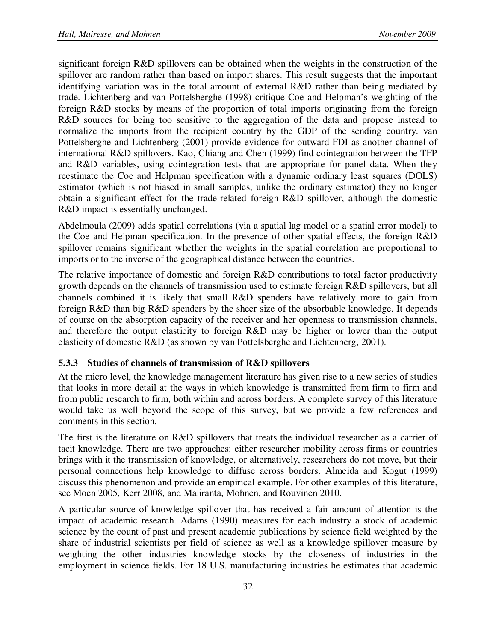significant foreign R&D spillovers can be obtained when the weights in the construction of the spillover are random rather than based on import shares. This result suggests that the important identifying variation was in the total amount of external R&D rather than being mediated by trade. Lichtenberg and van Pottelsberghe (1998) critique Coe and Helpman's weighting of the foreign R&D stocks by means of the proportion of total imports originating from the foreign R&D sources for being too sensitive to the aggregation of the data and propose instead to normalize the imports from the recipient country by the GDP of the sending country. van Pottelsberghe and Lichtenberg (2001) provide evidence for outward FDI as another channel of international R&D spillovers. Kao, Chiang and Chen (1999) find cointegration between the TFP and R&D variables, using cointegration tests that are appropriate for panel data. When they reestimate the Coe and Helpman specification with a dynamic ordinary least squares (DOLS) estimator (which is not biased in small samples, unlike the ordinary estimator) they no longer obtain a significant effect for the trade-related foreign R&D spillover, although the domestic R&D impact is essentially unchanged.

Abdelmoula (2009) adds spatial correlations (via a spatial lag model or a spatial error model) to the Coe and Helpman specification. In the presence of other spatial effects, the foreign R&D spillover remains significant whether the weights in the spatial correlation are proportional to imports or to the inverse of the geographical distance between the countries.

The relative importance of domestic and foreign R&D contributions to total factor productivity growth depends on the channels of transmission used to estimate foreign R&D spillovers, but all channels combined it is likely that small R&D spenders have relatively more to gain from foreign R&D than big R&D spenders by the sheer size of the absorbable knowledge. It depends of course on the absorption capacity of the receiver and her openness to transmission channels, and therefore the output elasticity to foreign R&D may be higher or lower than the output elasticity of domestic R&D (as shown by van Pottelsberghe and Lichtenberg, 2001).

#### **5.3.3 Studies of channels of transmission of R&D spillovers**

At the micro level, the knowledge management literature has given rise to a new series of studies that looks in more detail at the ways in which knowledge is transmitted from firm to firm and from public research to firm, both within and across borders. A complete survey of this literature would take us well beyond the scope of this survey, but we provide a few references and comments in this section.

The first is the literature on R&D spillovers that treats the individual researcher as a carrier of tacit knowledge. There are two approaches: either researcher mobility across firms or countries brings with it the transmission of knowledge, or alternatively, researchers do not move, but their personal connections help knowledge to diffuse across borders. Almeida and Kogut (1999) discuss this phenomenon and provide an empirical example. For other examples of this literature, see Moen 2005, Kerr 2008, and Maliranta, Mohnen, and Rouvinen 2010.

A particular source of knowledge spillover that has received a fair amount of attention is the impact of academic research. Adams (1990) measures for each industry a stock of academic science by the count of past and present academic publications by science field weighted by the share of industrial scientists per field of science as well as a knowledge spillover measure by weighting the other industries knowledge stocks by the closeness of industries in the employment in science fields. For 18 U.S. manufacturing industries he estimates that academic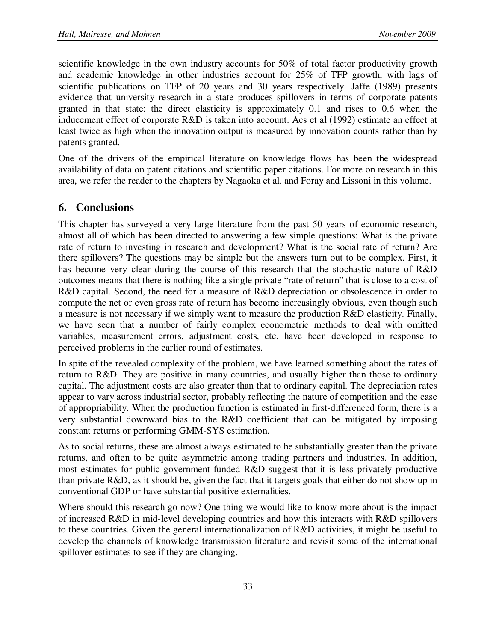scientific knowledge in the own industry accounts for 50% of total factor productivity growth and academic knowledge in other industries account for 25% of TFP growth, with lags of scientific publications on TFP of 20 years and 30 years respectively. Jaffe (1989) presents evidence that university research in a state produces spillovers in terms of corporate patents granted in that state: the direct elasticity is approximately 0.1 and rises to 0.6 when the inducement effect of corporate R&D is taken into account. Acs et al (1992) estimate an effect at least twice as high when the innovation output is measured by innovation counts rather than by patents granted.

One of the drivers of the empirical literature on knowledge flows has been the widespread availability of data on patent citations and scientific paper citations. For more on research in this area, we refer the reader to the chapters by Nagaoka et al. and Foray and Lissoni in this volume.

### **6. Conclusions**

This chapter has surveyed a very large literature from the past 50 years of economic research, almost all of which has been directed to answering a few simple questions: What is the private rate of return to investing in research and development? What is the social rate of return? Are there spillovers? The questions may be simple but the answers turn out to be complex. First, it has become very clear during the course of this research that the stochastic nature of R&D outcomes means that there is nothing like a single private "rate of return" that is close to a cost of R&D capital. Second, the need for a measure of R&D depreciation or obsolescence in order to compute the net or even gross rate of return has become increasingly obvious, even though such a measure is not necessary if we simply want to measure the production R&D elasticity. Finally, we have seen that a number of fairly complex econometric methods to deal with omitted variables, measurement errors, adjustment costs, etc. have been developed in response to perceived problems in the earlier round of estimates.

In spite of the revealed complexity of the problem, we have learned something about the rates of return to R&D. They are positive in many countries, and usually higher than those to ordinary capital. The adjustment costs are also greater than that to ordinary capital. The depreciation rates appear to vary across industrial sector, probably reflecting the nature of competition and the ease of appropriability. When the production function is estimated in first-differenced form, there is a very substantial downward bias to the R&D coefficient that can be mitigated by imposing constant returns or performing GMM-SYS estimation.

As to social returns, these are almost always estimated to be substantially greater than the private returns, and often to be quite asymmetric among trading partners and industries. In addition, most estimates for public government-funded R&D suggest that it is less privately productive than private R&D, as it should be, given the fact that it targets goals that either do not show up in conventional GDP or have substantial positive externalities.

Where should this research go now? One thing we would like to know more about is the impact of increased R&D in mid-level developing countries and how this interacts with R&D spillovers to these countries. Given the general internationalization of R&D activities, it might be useful to develop the channels of knowledge transmission literature and revisit some of the international spillover estimates to see if they are changing.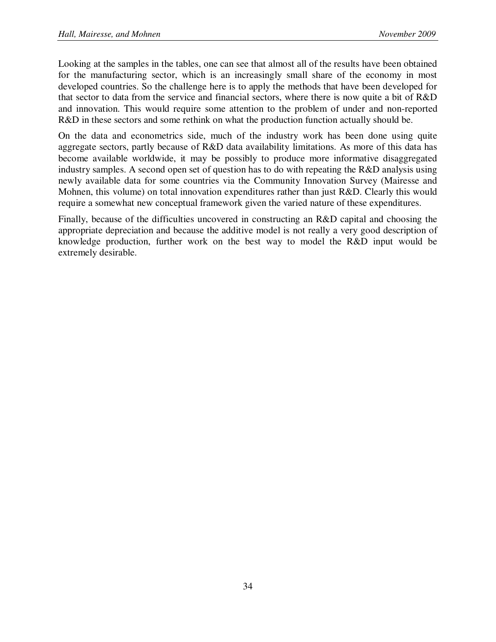Looking at the samples in the tables, one can see that almost all of the results have been obtained for the manufacturing sector, which is an increasingly small share of the economy in most developed countries. So the challenge here is to apply the methods that have been developed for that sector to data from the service and financial sectors, where there is now quite a bit of R&D and innovation. This would require some attention to the problem of under and non-reported R&D in these sectors and some rethink on what the production function actually should be.

On the data and econometrics side, much of the industry work has been done using quite aggregate sectors, partly because of R&D data availability limitations. As more of this data has become available worldwide, it may be possibly to produce more informative disaggregated industry samples. A second open set of question has to do with repeating the R&D analysis using newly available data for some countries via the Community Innovation Survey (Mairesse and Mohnen, this volume) on total innovation expenditures rather than just R&D. Clearly this would require a somewhat new conceptual framework given the varied nature of these expenditures.

Finally, because of the difficulties uncovered in constructing an R&D capital and choosing the appropriate depreciation and because the additive model is not really a very good description of knowledge production, further work on the best way to model the R&D input would be extremely desirable.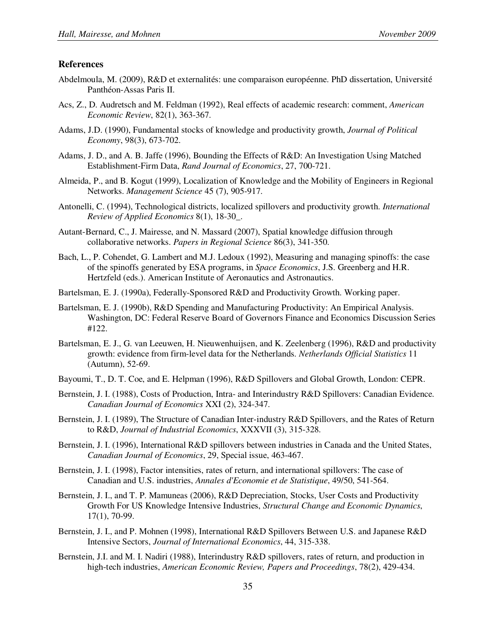#### **References**

- Abdelmoula, M. (2009), R&D et externalités: une comparaison européenne. PhD dissertation, Université Panthéon-Assas Paris II.
- Acs, Z., D. Audretsch and M. Feldman (1992), Real effects of academic research: comment, *American Economic Review*, 82(1), 363-367.
- Adams, J.D. (1990), Fundamental stocks of knowledge and productivity growth, *Journal of Political Economy*, 98(3), 673-702.
- Adams, J. D., and A. B. Jaffe (1996), Bounding the Effects of R&D: An Investigation Using Matched Establishment-Firm Data, *Rand Journal of Economics*, 27, 700-721.
- Almeida, P., and B. Kogut (1999), Localization of Knowledge and the Mobility of Engineers in Regional Networks. *Management Science* 45 (7), 905-917.
- Antonelli, C. (1994), Technological districts, localized spillovers and productivity growth. *International Review of Applied Economics* 8(1), 18-30\_.
- Autant-Bernard, C., J. Mairesse, and N. Massard (2007), Spatial knowledge diffusion through collaborative networks. *Papers in Regional Science* 86(3), 341-350.
- Bach, L., P. Cohendet, G. Lambert and M.J. Ledoux (1992), Measuring and managing spinoffs: the case of the spinoffs generated by ESA programs, in *Space Economics*, J.S. Greenberg and H.R. Hertzfeld (eds.). American Institute of Aeronautics and Astronautics.
- Bartelsman, E. J. (1990a), Federally-Sponsored R&D and Productivity Growth. Working paper.
- Bartelsman, E. J. (1990b), R&D Spending and Manufacturing Productivity: An Empirical Analysis. Washington, DC: Federal Reserve Board of Governors Finance and Economics Discussion Series #122.
- Bartelsman, E. J., G. van Leeuwen, H. Nieuwenhuijsen, and K. Zeelenberg (1996), R&D and productivity growth: evidence from firm-level data for the Netherlands. *Netherlands Official Statistics* 11 (Autumn), 52-69.
- Bayoumi, T., D. T. Coe, and E. Helpman (1996), R&D Spillovers and Global Growth, London: CEPR.
- Bernstein, J. I. (1988), Costs of Production, Intra- and Interindustry R&D Spillovers: Canadian Evidence. *Canadian Journal of Economics* XXI (2), 324-347.
- Bernstein, J. I. (1989), The Structure of Canadian Inter-industry R&D Spillovers, and the Rates of Return to R&D, *Journal of Industrial Economics*, XXXVII (3), 315-328.
- Bernstein, J. I. (1996), International R&D spillovers between industries in Canada and the United States, *Canadian Journal of Economics*, 29, Special issue, 463-467.
- Bernstein, J. I. (1998), Factor intensities, rates of return, and international spillovers: The case of Canadian and U.S. industries, *Annales d'Economie et de Statistique*, 49/50, 541-564.
- Bernstein, J. I., and T. P. Mamuneas (2006), R&D Depreciation, Stocks, User Costs and Productivity Growth For US Knowledge Intensive Industries, *Structural Change and Economic Dynamics*, 17(1), 70-99.
- Bernstein, J. I., and P. Mohnen (1998), International R&D Spillovers Between U.S. and Japanese R&D Intensive Sectors, *Journal of International Economics*, 44, 315-338.
- Bernstein, J.I. and M. I. Nadiri (1988), Interindustry R&D spillovers, rates of return, and production in high-tech industries, *American Economic Review, Papers and Proceedings*, 78(2), 429-434.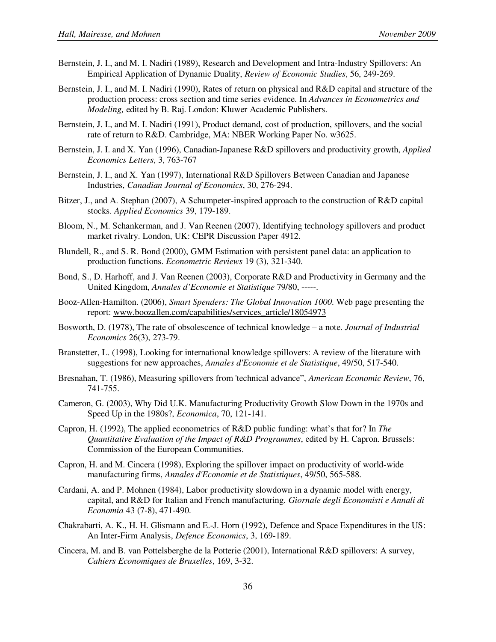- Bernstein, J. I., and M. I. Nadiri (1989), Research and Development and Intra-Industry Spillovers: An Empirical Application of Dynamic Duality, *Review of Economic Studies*, 56, 249-269.
- Bernstein, J. I., and M. I. Nadiri (1990), Rates of return on physical and R&D capital and structure of the production process: cross section and time series evidence. In *Advances in Econometrics and Modeling,* edited by B. Raj. London: Kluwer Academic Publishers.
- Bernstein, J. I., and M. I. Nadiri (1991), Product demand, cost of production, spillovers, and the social rate of return to R&D. Cambridge, MA: NBER Working Paper No. w3625.
- Bernstein, J. I. and X. Yan (1996), Canadian-Japanese R&D spillovers and productivity growth, *Applied Economics Letters*, 3, 763-767
- Bernstein, J. I., and X. Yan (1997), International R&D Spillovers Between Canadian and Japanese Industries, *Canadian Journal of Economics*, 30, 276-294.
- Bitzer, J., and A. Stephan (2007), A Schumpeter-inspired approach to the construction of R&D capital stocks. *Applied Economics* 39, 179-189.
- Bloom, N., M. Schankerman, and J. Van Reenen (2007), Identifying technology spillovers and product market rivalry. London, UK: CEPR Discussion Paper 4912.
- Blundell, R., and S. R. Bond (2000), GMM Estimation with persistent panel data: an application to production functions. *Econometric Reviews* 19 (3), 321-340.
- Bond, S., D. Harhoff, and J. Van Reenen (2003), Corporate R&D and Productivity in Germany and the United Kingdom, *Annales d'Economie et Statistique* 79/80, -----.
- Booz-Allen-Hamilton. (2006), *Smart Spenders: The Global Innovation 1000*. Web page presenting the report: www.boozallen.com/capabilities/services\_article/18054973
- Bosworth, D. (1978), The rate of obsolescence of technical knowledge a note. *Journal of Industrial Economics* 26(3), 273-79.
- Branstetter, L. (1998), Looking for international knowledge spillovers: A review of the literature with suggestions for new approaches, *Annales d'Economie et de Statistique*, 49/50, 517-540.
- Bresnahan, T. (1986), Measuring spillovers from 'technical advance", *American Economic Review*, 76, 741-755.
- Cameron, G. (2003), Why Did U.K. Manufacturing Productivity Growth Slow Down in the 1970s and Speed Up in the 1980s?, *Economica*, 70, 121-141.
- Capron, H. (1992), The applied econometrics of R&D public funding: what's that for? In *The Quantitative Evaluation of the Impact of R&D Programmes*, edited by H. Capron. Brussels: Commission of the European Communities.
- Capron, H. and M. Cincera (1998), Exploring the spillover impact on productivity of world-wide manufacturing firms, *Annales d'Economie et de Statistiques*, 49/50, 565-588.
- Cardani, A. and P. Mohnen (1984), Labor productivity slowdown in a dynamic model with energy, capital, and R&D for Italian and French manufacturing. *Giornale degli Economisti e Annali di Economia* 43 (7-8), 471-490.
- Chakrabarti, A. K., H. H. Glismann and E.-J. Horn (1992), Defence and Space Expenditures in the US: An Inter-Firm Analysis, *Defence Economics*, 3, 169-189.
- Cincera, M. and B. van Pottelsberghe de la Potterie (2001), International R&D spillovers: A survey, *Cahiers Economiques de Bruxelles*, 169, 3-32.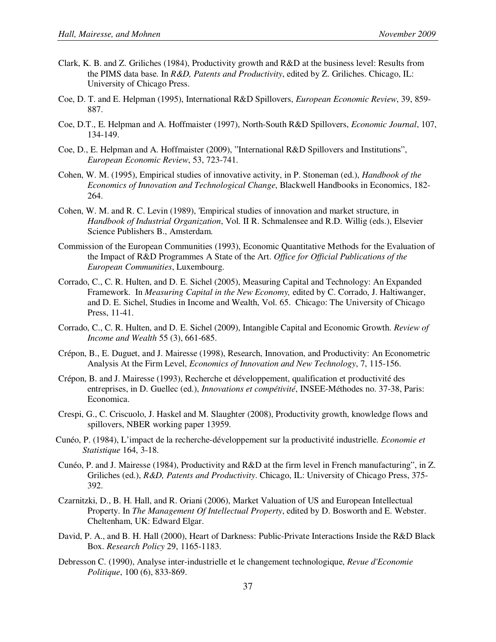- Clark, K. B. and Z. Griliches (1984), Productivity growth and R&D at the business level: Results from the PIMS data base. In *R&D, Patents and Productivity*, edited by Z. Griliches. Chicago, IL: University of Chicago Press.
- Coe, D. T. and E. Helpman (1995), International R&D Spillovers, *European Economic Review*, 39, 859- 887.
- Coe, D.T., E. Helpman and A. Hoffmaister (1997), North-South R&D Spillovers, *Economic Journal*, 107, 134-149.
- Coe, D., E. Helpman and A. Hoffmaister (2009), "International R&D Spillovers and Institutions", *European Economic Review*, 53, 723-741.
- Cohen, W. M. (1995), Empirical studies of innovative activity, in P. Stoneman (ed.), *Handbook of the Economics of Innovation and Technological Change*, Blackwell Handbooks in Economics, 182- 264.
- Cohen, W. M. and R. C. Levin (1989), 'Empirical studies of innovation and market structure, in *Handbook of Industrial Organization*, Vol. II R. Schmalensee and R.D. Willig (eds.), Elsevier Science Publishers B., Amsterdam.
- Commission of the European Communities (1993), Economic Quantitative Methods for the Evaluation of the Impact of R&D Programmes A State of the Art. *Office for Official Publications of the European Communities*, Luxembourg.
- Corrado, C., C. R. Hulten, and D. E. Sichel (2005), Measuring Capital and Technology: An Expanded Framework. In *Measuring Capital in the New Economy,* edited by C. Corrado, J. Haltiwanger, and D. E. Sichel, Studies in Income and Wealth, Vol. 65. Chicago: The University of Chicago Press, 11-41.
- Corrado, C., C. R. Hulten, and D. E. Sichel (2009), Intangible Capital and Economic Growth. *Review of Income and Wealth* 55 (3), 661-685.
- Crépon, B., E. Duguet, and J. Mairesse (1998), Research, Innovation, and Productivity: An Econometric Analysis At the Firm Level, *Economics of Innovation and New Technology*, 7, 115-156.
- Crépon, B. and J. Mairesse (1993), Recherche et développement, qualification et productivité des entreprises, in D. Guellec (ed.), *Innovations et compétivité*, INSEE-Méthodes no. 37-38, Paris: Economica.
- Crespi, G., C. Criscuolo, J. Haskel and M. Slaughter (2008), Productivity growth, knowledge flows and spillovers, NBER working paper 13959.
- Cunéo, P. (1984), L'impact de la recherche-développement sur la productivité industrielle. *Economie et Statistique* 164, 3-18.
- Cunéo, P. and J. Mairesse (1984), Productivity and R&D at the firm level in French manufacturing", in Z. Griliches (ed.), *R&D, Patents and Productivity*. Chicago, IL: University of Chicago Press, 375- 392.
- Czarnitzki, D., B. H. Hall, and R. Oriani (2006), Market Valuation of US and European Intellectual Property. In *The Management Of Intellectual Property*, edited by D. Bosworth and E. Webster. Cheltenham, UK: Edward Elgar.
- David, P. A., and B. H. Hall (2000), Heart of Darkness: Public-Private Interactions Inside the R&D Black Box. *Research Policy* 29, 1165-1183.
- Debresson C. (1990), Analyse inter-industrielle et le changement technologique, *Revue d'Economie Politique*, 100 (6), 833-869.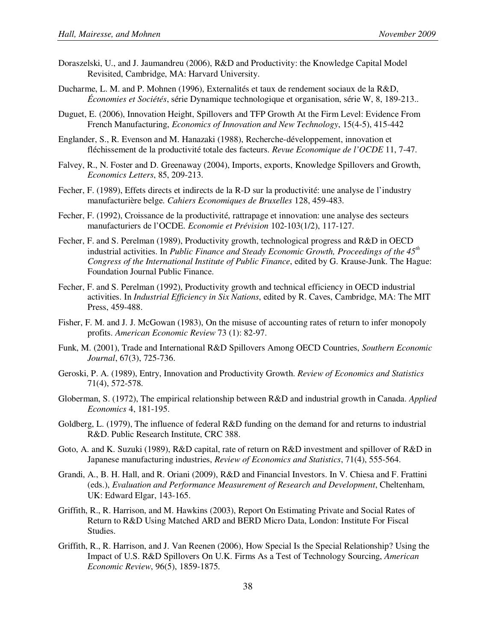- Doraszelski, U., and J. Jaumandreu (2006), R&D and Productivity: the Knowledge Capital Model Revisited, Cambridge, MA: Harvard University.
- Ducharme, L. M. and P. Mohnen (1996), Externalités et taux de rendement sociaux de la R&D, *Économies et Sociétés*, série Dynamique technologique et organisation, série W, 8, 189-213..
- Duguet, E. (2006), Innovation Height, Spillovers and TFP Growth At the Firm Level: Evidence From French Manufacturing, *Economics of Innovation and New Technology*, 15(4-5), 415-442
- Englander, S., R. Evenson and M. Hanazaki (1988), Recherche-développement, innovation et fléchissement de la productivité totale des facteurs. *Revue Economique de l'OCDE* 11, 7-47.
- Falvey, R., N. Foster and D. Greenaway (2004), Imports, exports, Knowledge Spillovers and Growth, *Economics Letters*, 85, 209-213.
- Fecher, F. (1989), Effets directs et indirects de la R-D sur la productivité: une analyse de l'industry manufacturière belge. *Cahiers Economiques de Bruxelles* 128, 459-483.
- Fecher, F. (1992), Croissance de la productivité, rattrapage et innovation: une analyse des secteurs manufacturiers de l'OCDE. *Economie et Prévision* 102-103(1/2), 117-127.
- Fecher, F. and S. Perelman (1989), Productivity growth, technological progress and R&D in OECD industrial activities. In *Public Finance and Steady Economic Growth, Proceedings of the 45th Congress of the International Institute of Public Finance*, edited by G. Krause-Junk. The Hague: Foundation Journal Public Finance.
- Fecher, F. and S. Perelman (1992), Productivity growth and technical efficiency in OECD industrial activities. In *Industrial Efficiency in Six Nations*, edited by R. Caves, Cambridge, MA: The MIT Press, 459-488.
- Fisher, F. M. and J. J. McGowan (1983), On the misuse of accounting rates of return to infer monopoly profits. *American Economic Review* 73 (1): 82-97.
- Funk, M. (2001), Trade and International R&D Spillovers Among OECD Countries, *Southern Economic Journal*, 67(3), 725-736.
- Geroski, P. A. (1989), Entry, Innovation and Productivity Growth. *Review of Economics and Statistics* 71(4), 572-578.
- Globerman, S. (1972), The empirical relationship between R&D and industrial growth in Canada. *Applied Economics* 4, 181-195.
- Goldberg, L. (1979), The influence of federal R&D funding on the demand for and returns to industrial R&D. Public Research Institute, CRC 388.
- Goto, A. and K. Suzuki (1989), R&D capital, rate of return on R&D investment and spillover of R&D in Japanese manufacturing industries, *Review of Economics and Statistics*, 71(4), 555-564.
- Grandi, A., B. H. Hall, and R. Oriani (2009), R&D and Financial Investors. In V. Chiesa and F. Frattini (eds.), *Evaluation and Performance Measurement of Research and Development*, Cheltenham, UK: Edward Elgar, 143-165.
- Griffith, R., R. Harrison, and M. Hawkins (2003), Report On Estimating Private and Social Rates of Return to R&D Using Matched ARD and BERD Micro Data, London: Institute For Fiscal Studies.
- Griffith, R., R. Harrison, and J. Van Reenen (2006), How Special Is the Special Relationship? Using the Impact of U.S. R&D Spillovers On U.K. Firms As a Test of Technology Sourcing, *American Economic Review*, 96(5), 1859-1875.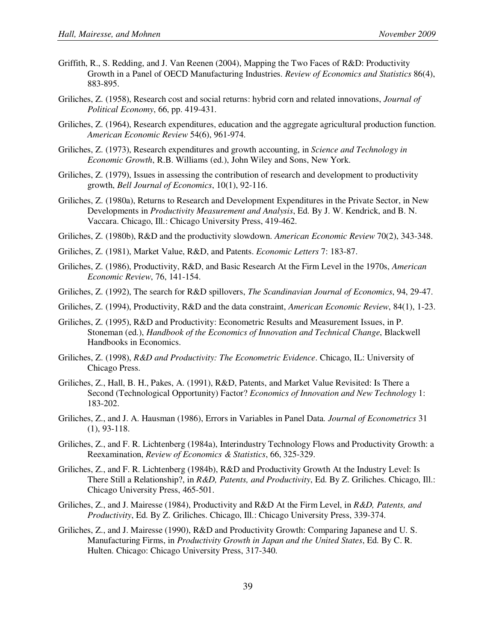- Griffith, R., S. Redding, and J. Van Reenen (2004), Mapping the Two Faces of R&D: Productivity Growth in a Panel of OECD Manufacturing Industries. *Review of Economics and Statistics* 86(4), 883-895.
- Griliches, Z. (1958), Research cost and social returns: hybrid corn and related innovations, *Journal of Political Economy*, 66, pp. 419-431.
- Griliches, Z. (1964), Research expenditures, education and the aggregate agricultural production function. *American Economic Review* 54(6), 961-974.
- Griliches, Z. (1973), Research expenditures and growth accounting, in *Science and Technology in Economic Growth*, R.B. Williams (ed.), John Wiley and Sons, New York.
- Griliches, Z. (1979), Issues in assessing the contribution of research and development to productivity growth, *Bell Journal of Economics*, 10(1), 92-116.
- Griliches, Z. (1980a), Returns to Research and Development Expenditures in the Private Sector, in New Developments in *Productivity Measurement and Analysis*, Ed. By J. W. Kendrick, and B. N. Vaccara. Chicago, Ill.: Chicago University Press, 419-462.

Griliches, Z. (1980b), R&D and the productivity slowdown. *American Economic Review* 70(2), 343-348.

- Griliches, Z. (1981), Market Value, R&D, and Patents. *Economic Letters* 7: 183-87.
- Griliches, Z. (1986), Productivity, R&D, and Basic Research At the Firm Level in the 1970s, *American Economic Review*, 76, 141-154.
- Griliches, Z. (1992), The search for R&D spillovers, *The Scandinavian Journal of Economics*, 94, 29-47.
- Griliches, Z. (1994), Productivity, R&D and the data constraint, *American Economic Review*, 84(1), 1-23.
- Griliches, Z. (1995), R&D and Productivity: Econometric Results and Measurement Issues, in P. Stoneman (ed.), *Handbook of the Economics of Innovation and Technical Change*, Blackwell Handbooks in Economics.
- Griliches, Z. (1998), *R&D and Productivity: The Econometric Evidence*. Chicago, IL: University of Chicago Press.
- Griliches, Z., Hall, B. H., Pakes, A. (1991), R&D, Patents, and Market Value Revisited: Is There a Second (Technological Opportunity) Factor? *Economics of Innovation and New Technology* 1: 183-202.
- Griliches, Z., and J. A. Hausman (1986), Errors in Variables in Panel Data*. Journal of Econometrics* 31 (1), 93-118.
- Griliches, Z., and F. R. Lichtenberg (1984a), Interindustry Technology Flows and Productivity Growth: a Reexamination, *Review of Economics & Statistics*, 66, 325-329.
- Griliches, Z., and F. R. Lichtenberg (1984b), R&D and Productivity Growth At the Industry Level: Is There Still a Relationship?, in *R&D, Patents, and Productivity*, Ed. By Z. Griliches. Chicago, Ill.: Chicago University Press, 465-501.
- Griliches, Z., and J. Mairesse (1984), Productivity and R&D At the Firm Level, in *R&D, Patents, and Productivity*, Ed. By Z. Griliches. Chicago, Ill.: Chicago University Press, 339-374.
- Griliches, Z., and J. Mairesse (1990), R&D and Productivity Growth: Comparing Japanese and U. S. Manufacturing Firms, in *Productivity Growth in Japan and the United States*, Ed. By C. R. Hulten. Chicago: Chicago University Press, 317-340.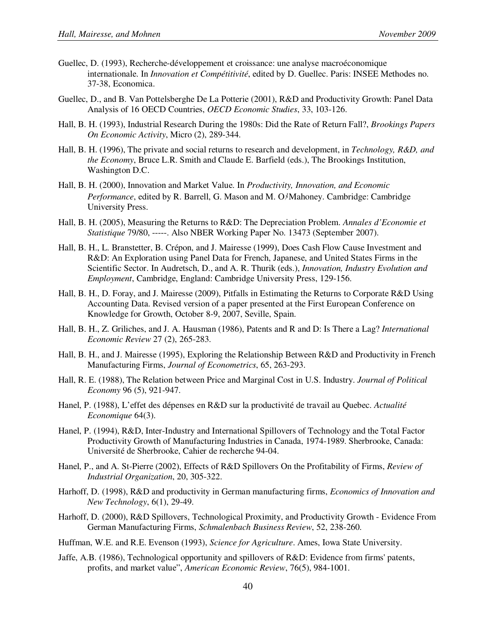- Guellec, D. (1993), Recherche-développement et croissance: une analyse macroéconomique internationale. In *Innovation et Compétitivité*, edited by D. Guellec. Paris: INSEE Methodes no. 37-38, Economica.
- Guellec, D., and B. Van Pottelsberghe De La Potterie (2001), R&D and Productivity Growth: Panel Data Analysis of 16 OECD Countries, *OECD Economic Studies*, 33, 103-126.
- Hall, B. H. (1993), Industrial Research During the 1980s: Did the Rate of Return Fall?, *Brookings Papers On Economic Activity*, Micro (2), 289-344.
- Hall, B. H. (1996), The private and social returns to research and development, in *Technology, R&D, and the Economy*, Bruce L.R. Smith and Claude E. Barfield (eds.), The Brookings Institution, Washington D.C.
- Hall, B. H. (2000), Innovation and Market Value. In *Productivity, Innovation, and Economic Performance*, edited by R. Barrell, G. Mason and M. OメMahoney. Cambridge: Cambridge University Press.
- Hall, B. H. (2005), Measuring the Returns to R&D: The Depreciation Problem. *Annales d'Economie et Statistique* 79/80, -----. Also NBER Working Paper No. 13473 (September 2007).
- Hall, B. H., L. Branstetter, B. Crépon, and J. Mairesse (1999), Does Cash Flow Cause Investment and R&D: An Exploration using Panel Data for French, Japanese, and United States Firms in the Scientific Sector. In Audretsch, D., and A. R. Thurik (eds.), *Innovation, Industry Evolution and Employment*, Cambridge, England: Cambridge University Press, 129-156.
- Hall, B. H., D. Foray, and J. Mairesse (2009), Pitfalls in Estimating the Returns to Corporate R&D Using Accounting Data. Revised version of a paper presented at the First European Conference on Knowledge for Growth, October 8-9, 2007, Seville, Spain.
- Hall, B. H., Z. Griliches, and J. A. Hausman (1986), Patents and R and D: Is There a Lag? *International Economic Review* 27 (2), 265-283.
- Hall, B. H., and J. Mairesse (1995), Exploring the Relationship Between R&D and Productivity in French Manufacturing Firms, *Journal of Econometrics*, 65, 263-293.
- Hall, R. E. (1988), The Relation between Price and Marginal Cost in U.S. Industry. *Journal of Political Economy* 96 (5), 921-947.
- Hanel, P. (1988), L'effet des dépenses en R&D sur la productivité de travail au Quebec. *Actualité Economique* 64(3).
- Hanel, P. (1994), R&D, Inter-Industry and International Spillovers of Technology and the Total Factor Productivity Growth of Manufacturing Industries in Canada, 1974-1989. Sherbrooke, Canada: Université de Sherbrooke, Cahier de recherche 94-04.
- Hanel, P., and A. St-Pierre (2002), Effects of R&D Spillovers On the Profitability of Firms, *Review of Industrial Organization*, 20, 305-322.
- Harhoff, D. (1998), R&D and productivity in German manufacturing firms, *Economics of Innovation and New Technology*, 6(1), 29-49.
- Harhoff, D. (2000), R&D Spillovers, Technological Proximity, and Productivity Growth Evidence From German Manufacturing Firms, *Schmalenbach Business Review*, 52, 238-260.

Huffman, W.E. and R.E. Evenson (1993), *Science for Agriculture*. Ames, Iowa State University.

Jaffe, A.B. (1986), Technological opportunity and spillovers of R&D: Evidence from firms' patents, profits, and market value", *American Economic Review*, 76(5), 984-1001.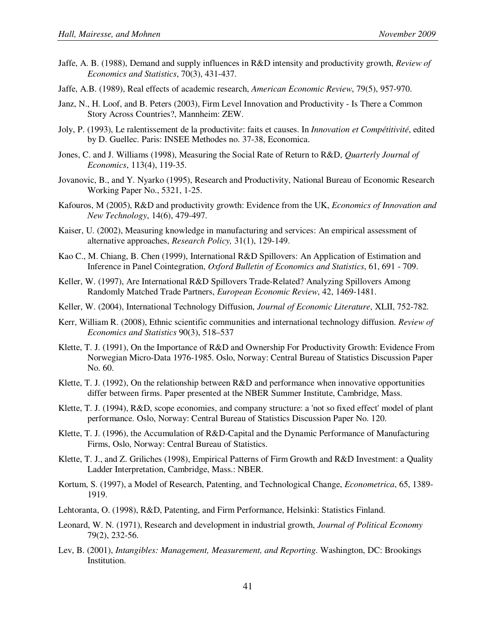- Jaffe, A. B. (1988), Demand and supply influences in R&D intensity and productivity growth, *Review of Economics and Statistics*, 70(3), 431-437.
- Jaffe, A.B. (1989), Real effects of academic research, *American Economic Review*, 79(5), 957-970.
- Janz, N., H. Loof, and B. Peters (2003), Firm Level Innovation and Productivity Is There a Common Story Across Countries?, Mannheim: ZEW.
- Joly, P. (1993), Le ralentissement de la productivit*e*: faits et causes. In *Innovation et Compétitivité*, edited by D. Guellec. Paris: INSEE Methodes no. 37-38, Economica.
- Jones, C. and J. Williams (1998), Measuring the Social Rate of Return to R&D, *Quarterly Journal of Economics*, 113(4), 119-35.
- Jovanovic, B., and Y. Nyarko (1995), Research and Productivity, National Bureau of Economic Research Working Paper No., 5321, 1-25.
- Kafouros, M (2005), R&D and productivity growth: Evidence from the UK, *Economics of Innovation and New Technology*, 14(6), 479-497.
- Kaiser, U. (2002), Measuring knowledge in manufacturing and services: An empirical assessment of alternative approaches, *Research Policy,* 31(1), 129-149.
- Kao C., M. Chiang, B. Chen (1999), International R&D Spillovers: An Application of Estimation and Inference in Panel Cointegration, *Oxford Bulletin of Economics and Statistics*, 61, 691 - 709.
- Keller, W. (1997), Are International R&D Spillovers Trade-Related? Analyzing Spillovers Among Randomly Matched Trade Partners, *European Economic Review*, 42, 1469-1481.
- Keller, W. (2004), International Technology Diffusion, *Journal of Economic Literature*, XLII, 752-782.
- Kerr, William R. (2008), Ethnic scientific communities and international technology diffusion. *Review of Economics and Statistics* 90(3), 518–537
- Klette, T. J. (1991), On the Importance of R&D and Ownership For Productivity Growth: Evidence From Norwegian Micro-Data 1976-1985. Oslo, Norway: Central Bureau of Statistics Discussion Paper No. 60.
- Klette, T. J. (1992), On the relationship between R&D and performance when innovative opportunities differ between firms. Paper presented at the NBER Summer Institute, Cambridge, Mass.
- Klette, T. J. (1994), R&D, scope economies, and company structure: a 'not so fixed effect' model of plant performance. Oslo, Norway: Central Bureau of Statistics Discussion Paper No. 120.
- Klette, T. J. (1996), the Accumulation of R&D-Capital and the Dynamic Performance of Manufacturing Firms, Oslo, Norway: Central Bureau of Statistics.
- Klette, T. J., and Z. Griliches (1998), Empirical Patterns of Firm Growth and R&D Investment: a Quality Ladder Interpretation, Cambridge, Mass.: NBER.
- Kortum, S. (1997), a Model of Research, Patenting, and Technological Change, *Econometrica*, 65, 1389- 1919.
- Lehtoranta, O. (1998), R&D, Patenting, and Firm Performance, Helsinki: Statistics Finland.
- Leonard, W. N. (1971), Research and development in industrial growth, *Journal of Political Economy* 79(2), 232-56.
- Lev, B. (2001), *Intangibles: Management, Measurement, and Reporting*. Washington, DC: Brookings Institution.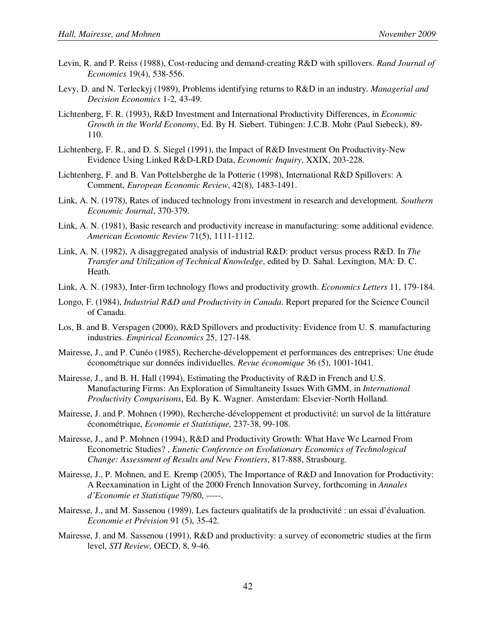- Levin, R. and P. Reiss (1988), Cost-reducing and demand-creating R&D with spillovers. *Rand Journal of Economics* 19(4), 538-556.
- Levy, D. and N. Terleckyj (1989), Problems identifying returns to R&D in an industry. *Managerial and Decision Economics* 1-2, 43-49.
- Lichtenberg, F. R. (1993), R&D Investment and International Productivity Differences, in *Economic Growth in the World Economy*, Ed. By H. Siebert. Tübingen: J.C.B. Mohr (Paul Siebeck), 89- 110.
- Lichtenberg, F. R., and D. S. Siegel (1991), the Impact of R&D Investment On Productivity-New Evidence Using Linked R&D-LRD Data, *Economic Inquiry*, XXIX, 203-228.
- Lichtenberg, F. and B. Van Pottelsberghe de la Potterie (1998), International R&D Spillovers: A Comment, *European Economic Review*, 42(8), 1483-1491.
- Link, A. N. (1978), Rates of induced technology from investment in research and development*. Southern Economic Journal*, 370-379.
- Link, A. N. (1981), Basic research and productivity increase in manufacturing: some additional evidence. *American Economic Review* 71(5), 1111-1112.
- Link, A. N. (1982), A disaggregated analysis of industrial R&D: product versus process R&D. In *The Transfer and Utilization of Technical Knowledge*, edited by D. Sahal. Lexington, MA: D. C. Heath.
- Link, A. N. (1983), Inter-firm technology flows and productivity growth. *Economics Letters* 11, 179-184.
- Longo, F. (1984), *Industrial R&D and Productivity in Canada*. Report prepared for the Science Council of Canada.
- Los, B. and B. Verspagen (2000), R&D Spillovers and productivity: Evidence from U. S. manufacturing industries. *Empirical Economics* 25, 127-148.
- Mairesse, J., and P. Cunéo (1985), Recherche-développement et performances des entreprises: Une étude économétrique sur données individuelles. *Revue économique* 36 (5), 1001-1041.
- Mairesse, J., and B. H. Hall (1994), Estimating the Productivity of R&D in French and U.S. Manufacturing Firms: An Exploration of Simultaneity Issues With GMM, in *International Productivity Comparisons*, Ed. By K. Wagner. Amsterdam: Elsevier-North Holland.
- Mairesse, J. and P. Mohnen (1990), Recherche-développement et productivité: un survol de la littérature économétrique, *Economie et Statistique*, 237-38, 99-108.
- Mairesse, J., and P. Mohnen (1994), R&D and Productivity Growth: What Have We Learned From Econometric Studies? , *Eunetic Conference on Evolutionary Economics of Technological Change: Assessment of Results and New Frontiers*, 817-888, Strasbourg.
- Mairesse, J., P. Mohnen, and E. Kremp (2005), The Importance of R&D and Innovation for Productivity: A Reexamination in Light of the 2000 French Innovation Survey, forthcoming in *Annales d'Economie et Statistique* 79/80, -----.
- Mairesse, J., and M. Sassenou (1989), Les facteurs qualitatifs de la productivité : un essai d'évaluation. *Economie et Prévision* 91 (5), 35-42.
- Mairesse, J. and M. Sassenou (1991), R&D and productivity: a survey of econometric studies at the firm level, *STI Review*, OECD, 8, 9-46.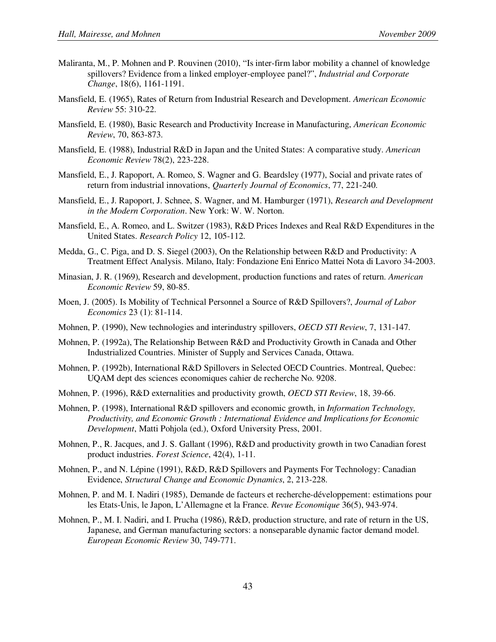- Maliranta, M., P. Mohnen and P. Rouvinen (2010), "Is inter-firm labor mobility a channel of knowledge spillovers? Evidence from a linked employer-employee panel?", *Industrial and Corporate Change*, 18(6), 1161-1191.
- Mansfield, E. (1965), Rates of Return from Industrial Research and Development. *American Economic Review* 55: 310-22.
- Mansfield, E. (1980), Basic Research and Productivity Increase in Manufacturing, *American Economic Review*, 70, 863-873.
- Mansfield, E. (1988), Industrial R&D in Japan and the United States: A comparative study. *American Economic Review* 78(2), 223-228.
- Mansfield, E., J. Rapoport, A. Romeo, S. Wagner and G. Beardsley (1977), Social and private rates of return from industrial innovations, *Quarterly Journal of Economics*, 77, 221-240.
- Mansfield, E., J. Rapoport, J. Schnee, S. Wagner, and M. Hamburger (1971), *Research and Development in the Modern Corporation*. New York: W. W. Norton.
- Mansfield, E., A. Romeo, and L. Switzer (1983), R&D Prices Indexes and Real R&D Expenditures in the United States. *Research Policy* 12, 105-112.
- Medda, G., C. Piga, and D. S. Siegel (2003), On the Relationship between R&D and Productivity: A Treatment Effect Analysis. Milano, Italy: Fondazione Eni Enrico Mattei Nota di Lavoro 34-2003.
- Minasian, J. R. (1969), Research and development, production functions and rates of return. *American Economic Review* 59, 80-85.
- Moen, J. (2005). Is Mobility of Technical Personnel a Source of R&D Spillovers?, *Journal of Labor Economics* 23 (1): 81-114.
- Mohnen, P. (1990), New technologies and interindustry spillovers, *OECD STI Review*, 7, 131-147.
- Mohnen, P. (1992a), The Relationship Between R&D and Productivity Growth in Canada and Other Industrialized Countries. Minister of Supply and Services Canada, Ottawa.
- Mohnen, P. (1992b), International R&D Spillovers in Selected OECD Countries. Montreal, Quebec: UQAM dept des sciences economiques cahier de recherche No. 9208.
- Mohnen, P. (1996), R&D externalities and productivity growth, *OECD STI Review*, 18, 39-66.
- Mohnen, P. (1998), International R&D spillovers and economic growth, in *Information Technology, Productivity, and Economic Growth : International Evidence and Implications for Economic Development*, Matti Pohjola (ed.), Oxford University Press, 2001.
- Mohnen, P., R. Jacques, and J. S. Gallant (1996), R&D and productivity growth in two Canadian forest product industries. *Forest Science*, 42(4), 1-11.
- Mohnen, P., and N. Lépine (1991), R&D, R&D Spillovers and Payments For Technology: Canadian Evidence, *Structural Change and Economic Dynamics*, 2, 213-228.
- Mohnen, P. and M. I. Nadiri (1985), Demande de facteurs et recherche-développement: estimations pour les Etats-Unis, le Japon, L'Allemagne et la France. *Revue Economique* 36(5), 943-974.
- Mohnen, P., M. I. Nadiri, and I. Prucha (1986), R&D, production structure, and rate of return in the US, Japanese, and German manufacturing sectors: a nonseparable dynamic factor demand model. *European Economic Review* 30, 749-771.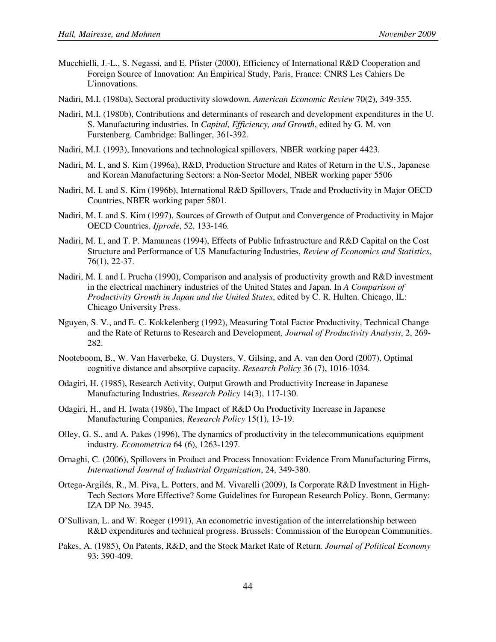- Mucchielli, J.-L., S. Negassi, and E. Pfister (2000), Efficiency of International R&D Cooperation and Foreign Source of Innovation: An Empirical Study, Paris, France: CNRS Les Cahiers De L'innovations.
- Nadiri, M.I. (1980a), Sectoral productivity slowdown. *American Economic Review* 70(2), 349-355.
- Nadiri, M.I. (1980b), Contributions and determinants of research and development expenditures in the U. S. Manufacturing industries. In *Capital, Efficiency, and Growth*, edited by G. M. von Furstenberg. Cambridge: Ballinger, 361-392.
- Nadiri, M.I. (1993), Innovations and technological spillovers, NBER working paper 4423.
- Nadiri, M. I., and S. Kim (1996a), R&D, Production Structure and Rates of Return in the U.S., Japanese and Korean Manufacturing Sectors: a Non-Sector Model, NBER working paper 5506
- Nadiri, M. I. and S. Kim (1996b), International R&D Spillovers, Trade and Productivity in Major OECD Countries, NBER working paper 5801.
- Nadiri, M. I. and S. Kim (1997), Sources of Growth of Output and Convergence of Productivity in Major OECD Countries, *Ijprode*, 52, 133-146.
- Nadiri, M. I., and T. P. Mamuneas (1994), Effects of Public Infrastructure and R&D Capital on the Cost Structure and Performance of US Manufacturing Industries, *Review of Economics and Statistics*, 76(1), 22-37.
- Nadiri, M. I. and I. Prucha (1990), Comparison and analysis of productivity growth and R&D investment in the electrical machinery industries of the United States and Japan. In *A Comparison of Productivity Growth in Japan and the United States*, edited by C. R. Hulten. Chicago, IL: Chicago University Press.
- Nguyen, S. V., and E. C. Kokkelenberg (1992), Measuring Total Factor Productivity, Technical Change and the Rate of Returns to Research and Development*, Journal of Productivity Analysis*, 2, 269- 282.
- Nooteboom, B., W. Van Haverbeke, G. Duysters, V. Gilsing, and A. van den Oord (2007), Optimal cognitive distance and absorptive capacity. *Research Policy* 36 (7), 1016-1034.
- Odagiri, H. (1985), Research Activity, Output Growth and Productivity Increase in Japanese Manufacturing Industries, *Research Policy* 14(3), 117-130.
- Odagiri, H., and H. Iwata (1986), The Impact of R&D On Productivity Increase in Japanese Manufacturing Companies, *Research Policy* 15(1), 13-19.
- Olley, G. S., and A. Pakes (1996), The dynamics of productivity in the telecommunications equipment industry. *Econometrica* 64 (6), 1263-1297.
- Ornaghi, C. (2006), Spillovers in Product and Process Innovation: Evidence From Manufacturing Firms, *International Journal of Industrial Organization*, 24, 349-380.
- Ortega-Argilés, R., M. Piva, L. Potters, and M. Vivarelli (2009), Is Corporate R&D Investment in High-Tech Sectors More Effective? Some Guidelines for European Research Policy. Bonn, Germany: IZA DP No. 3945.
- O'Sullivan, L. and W. Roeger (1991), An econometric investigation of the interrelationship between R&D expenditures and technical progress. Brussels: Commission of the European Communities.
- Pakes, A. (1985), On Patents, R&D, and the Stock Market Rate of Return. *Journal of Political Economy* 93: 390-409.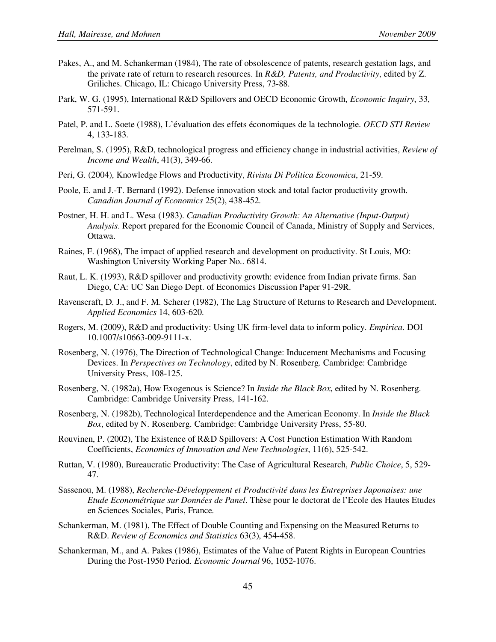- Pakes, A., and M. Schankerman (1984), The rate of obsolescence of patents, research gestation lags, and the private rate of return to research resources. In *R&D, Patents, and Productivity*, edited by Z. Griliches. Chicago, IL: Chicago University Press, 73-88.
- Park, W. G. (1995), International R&D Spillovers and OECD Economic Growth, *Economic Inquiry*, 33, 571-591.
- Patel, P. and L. Soete (1988), L'évaluation des effets économiques de la technologie. *OECD STI Review* 4, 133-183.
- Perelman, S. (1995), R&D, technological progress and efficiency change in industrial activities, *Review of Income and Wealth*, 41(3), 349-66.
- Peri, G. (2004), Knowledge Flows and Productivity, *Rivista Di Politica Economica*, 21-59.
- Poole, E. and J.-T. Bernard (1992). Defense innovation stock and total factor productivity growth. *Canadian Journal of Economics* 25(2), 438-452.
- Postner, H. H. and L. Wesa (1983). *Canadian Productivity Growth: An Alternative (Input-Output) Analysis*. Report prepared for the Economic Council of Canada, Ministry of Supply and Services, Ottawa.
- Raines, F. (1968), The impact of applied research and development on productivity. St Louis, MO: Washington University Working Paper No.. 6814.
- Raut, L. K. (1993), R&D spillover and productivity growth: evidence from Indian private firms. San Diego, CA: UC San Diego Dept. of Economics Discussion Paper 91-29R.
- Ravenscraft, D. J., and F. M. Scherer (1982), The Lag Structure of Returns to Research and Development. *Applied Economics* 14, 603-620.
- Rogers, M. (2009), R&D and productivity: Using UK firm-level data to inform policy. *Empirica*. DOI 10.1007/s10663-009-9111-x.
- Rosenberg, N. (1976), The Direction of Technological Change: Inducement Mechanisms and Focusing Devices. In *Perspectives on Technology*, edited by N. Rosenberg. Cambridge: Cambridge University Press, 108-125.
- Rosenberg, N. (1982a), How Exogenous is Science? In *Inside the Black Box*, edited by N. Rosenberg. Cambridge: Cambridge University Press, 141-162.
- Rosenberg, N. (1982b), Technological Interdependence and the American Economy. In *Inside the Black Box*, edited by N. Rosenberg. Cambridge: Cambridge University Press, 55-80.
- Rouvinen, P. (2002), The Existence of R&D Spillovers: A Cost Function Estimation With Random Coefficients, *Economics of Innovation and New Technologies*, 11(6), 525-542.
- Ruttan, V. (1980), Bureaucratic Productivity: The Case of Agricultural Research, *Public Choice*, 5, 529- 47.
- Sassenou, M. (1988), *Recherche-Développement et Productivité dans les Entreprises Japonaises: une Etude Econométrique sur Données de Panel*. Thèse pour le doctorat de l'Ecole des Hautes Etudes en Sciences Sociales, Paris, France.
- Schankerman, M. (1981), The Effect of Double Counting and Expensing on the Measured Returns to R&D. *Review of Economics and Statistics* 63(3), 454-458.
- Schankerman, M., and A. Pakes (1986), Estimates of the Value of Patent Rights in European Countries During the Post-1950 Period. *Economic Journal* 96, 1052-1076.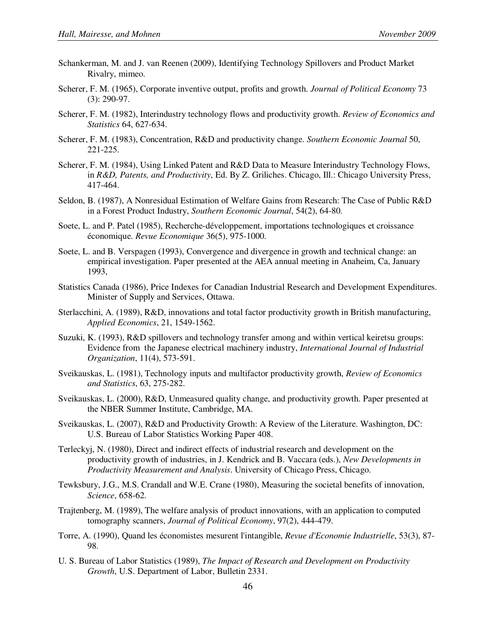- Schankerman, M. and J. van Reenen (2009), Identifying Technology Spillovers and Product Market Rivalry, mimeo.
- Scherer, F. M. (1965), Corporate inventive output, profits and growth. *Journal of Political Economy* 73 (3): 290-97.
- Scherer, F. M. (1982), Interindustry technology flows and productivity growth. *Review of Economics and Statistics* 64, 627-634.
- Scherer, F. M. (1983), Concentration, R&D and productivity change. *Southern Economic Journal* 50, 221-225.
- Scherer, F. M. (1984), Using Linked Patent and R&D Data to Measure Interindustry Technology Flows, in *R&D, Patents, and Productivity*, Ed. By Z. Griliches. Chicago, Ill.: Chicago University Press, 417-464.
- Seldon, B. (1987), A Nonresidual Estimation of Welfare Gains from Research: The Case of Public R&D in a Forest Product Industry, *Southern Economic Journal*, 54(2), 64-80.
- Soete, L. and P. Patel (1985), Recherche-développement, importations technologiques et croissance économique. *Revue Economique* 36(5), 975-1000.
- Soete, L. and B. Verspagen (1993), Convergence and divergence in growth and technical change: an empirical investigation. Paper presented at the AEA annual meeting in Anaheim, Ca, January 1993,
- Statistics Canada (1986), Price Indexes for Canadian Industrial Research and Development Expenditures. Minister of Supply and Services, Ottawa.
- Sterlacchini, A. (1989), R&D, innovations and total factor productivity growth in British manufacturing, *Applied Economics*, 21, 1549-1562.
- Suzuki, K. (1993), R&D spillovers and technology transfer among and within vertical keiretsu groups: Evidence from the Japanese electrical machinery industry, *International Journal of Industrial Organization*, 11(4), 573-591.
- Sveikauskas, L. (1981), Technology inputs and multifactor productivity growth, *Review of Economics and Statistics*, 63, 275-282.
- Sveikauskas, L. (2000), R&D, Unmeasured quality change, and productivity growth. Paper presented at the NBER Summer Institute, Cambridge, MA.
- Sveikauskas, L. (2007), R&D and Productivity Growth: A Review of the Literature. Washington, DC: U.S. Bureau of Labor Statistics Working Paper 408.
- Terleckyj, N. (1980), Direct and indirect effects of industrial research and development on the productivity growth of industries, in J. Kendrick and B. Vaccara (eds.), *New Developments in Productivity Measurement and Analysis*. University of Chicago Press, Chicago.
- Tewksbury, J.G., M.S. Crandall and W.E. Crane (1980), Measuring the societal benefits of innovation, *Science*, 658-62.
- Trajtenberg, M. (1989), The welfare analysis of product innovations, with an application to computed tomography scanners, *Journal of Political Economy*, 97(2), 444-479.
- Torre, A. (1990), Quand les économistes mesurent l'intangible, *Revue d'Economie Industrielle*, 53(3), 87- 98.
- U. S. Bureau of Labor Statistics (1989), *The Impact of Research and Development on Productivity Growth*, U.S. Department of Labor, Bulletin 2331.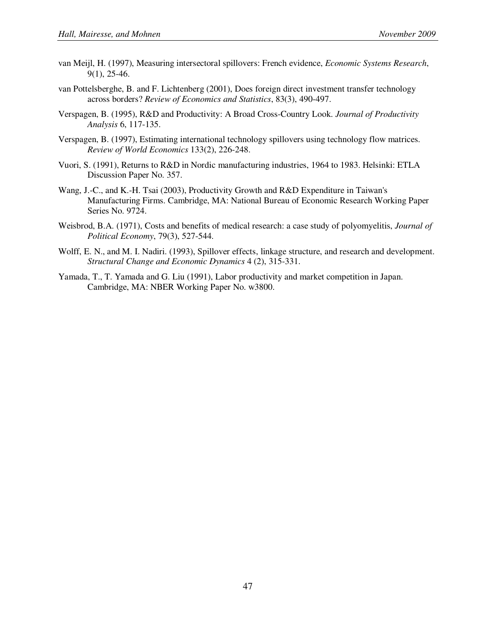- van Meijl, H. (1997), Measuring intersectoral spillovers: French evidence, *Economic Systems Research*, 9(1), 25-46.
- van Pottelsberghe, B. and F. Lichtenberg (2001), Does foreign direct investment transfer technology across borders? *Review of Economics and Statistics*, 83(3), 490-497.
- Verspagen, B. (1995), R&D and Productivity: A Broad Cross-Country Look. *Journal of Productivity Analysis* 6, 117-135.
- Verspagen, B. (1997), Estimating international technology spillovers using technology flow matrices. *Review of World Economics* 133(2), 226-248.
- Vuori, S. (1991), Returns to R&D in Nordic manufacturing industries, 1964 to 1983. Helsinki: ETLA Discussion Paper No. 357.
- Wang, J.-C., and K.-H. Tsai (2003), Productivity Growth and R&D Expenditure in Taiwan's Manufacturing Firms. Cambridge, MA: National Bureau of Economic Research Working Paper Series No. 9724.
- Weisbrod, B.A. (1971), Costs and benefits of medical research: a case study of polyomyelitis, *Journal of Political Economy*, 79(3), 527-544.
- Wolff, E. N., and M. I. Nadiri. (1993), Spillover effects, linkage structure, and research and development. *Structural Change and Economic Dynamics* 4 (2), 315-331.
- Yamada, T., T. Yamada and G. Liu (1991), Labor productivity and market competition in Japan. Cambridge, MA: NBER Working Paper No. w3800.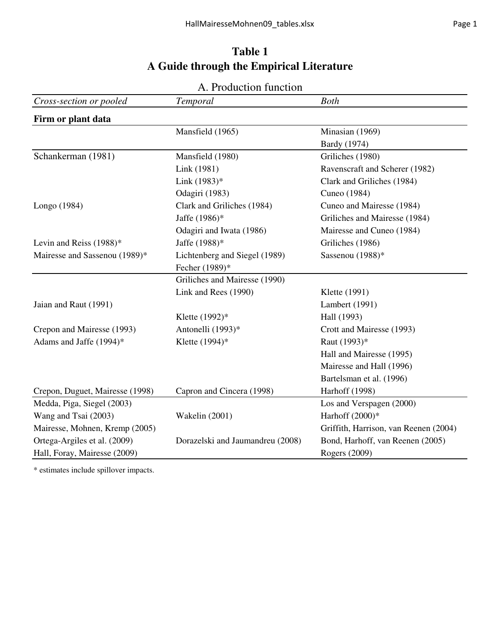## **Table 1 A Guide through the Empirical Literature**

## A. Production function

| Cross-section or pooled         | Temporal                         | <b>Both</b>                           |
|---------------------------------|----------------------------------|---------------------------------------|
| Firm or plant data              |                                  |                                       |
|                                 | Mansfield (1965)                 | Minasian (1969)                       |
|                                 |                                  | Bardy (1974)                          |
| Schankerman (1981)              | Mansfield (1980)                 | Griliches (1980)                      |
|                                 | Link (1981)                      | Ravenscraft and Scherer (1982)        |
|                                 | Link $(1983)*$                   | Clark and Griliches (1984)            |
|                                 | Odagiri (1983)                   | Cuneo (1984)                          |
| Longo (1984)                    | Clark and Griliches (1984)       | Cuneo and Mairesse (1984)             |
|                                 | Jaffe (1986)*                    | Griliches and Mairesse (1984)         |
|                                 | Odagiri and Iwata (1986)         | Mairesse and Cuneo (1984)             |
| Levin and Reiss (1988)*         | Jaffe (1988)*                    | Griliches (1986)                      |
| Mairesse and Sassenou (1989)*   | Lichtenberg and Siegel (1989)    | Sassenou (1988)*                      |
|                                 | Fecher (1989)*                   |                                       |
|                                 | Griliches and Mairesse (1990)    |                                       |
|                                 | Link and Rees (1990)             | Klette (1991)                         |
| Jaian and Raut (1991)           |                                  | Lambert (1991)                        |
|                                 | Klette (1992)*                   | Hall (1993)                           |
| Crepon and Mairesse (1993)      | Antonelli (1993)*                | Crott and Mairesse (1993)             |
| Adams and Jaffe (1994)*         | Klette (1994)*                   | Raut (1993)*                          |
|                                 |                                  | Hall and Mairesse (1995)              |
|                                 |                                  | Mairesse and Hall (1996)              |
|                                 |                                  | Bartelsman et al. (1996)              |
| Crepon, Duguet, Mairesse (1998) | Capron and Cincera (1998)        | <b>Harhoff</b> (1998)                 |
| Medda, Piga, Siegel (2003)      |                                  | Los and Verspagen (2000)              |
| Wang and Tsai (2003)            | Wakelin (2001)                   | Harhoff $(2000)*$                     |
| Mairesse, Mohnen, Kremp (2005)  |                                  | Griffith, Harrison, van Reenen (2004) |
| Ortega-Argiles et al. (2009)    | Dorazelski and Jaumandreu (2008) | Bond, Harhoff, van Reenen (2005)      |
| Hall, Foray, Mairesse (2009)    |                                  | Rogers (2009)                         |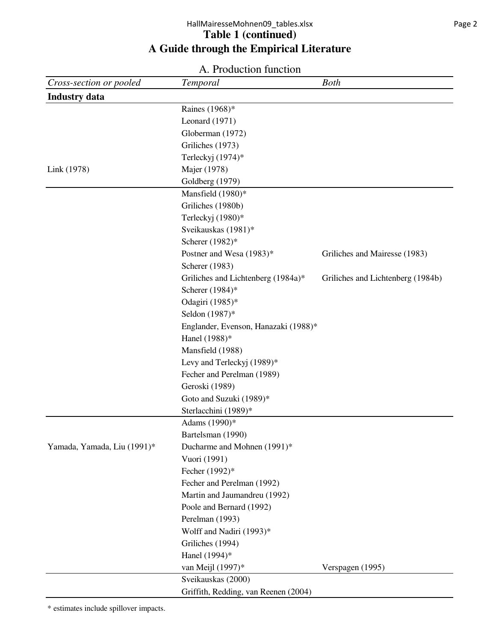### HallMairesseMohnen09\_tables.xlsx Page 2 **Table 1 (continued) A Guide through the Empirical Literature**

A. Production function

| Cross-section or pooled     | Temporal                             | <b>Both</b>                       |
|-----------------------------|--------------------------------------|-----------------------------------|
| <b>Industry data</b>        |                                      |                                   |
|                             | Raines (1968)*                       |                                   |
|                             | Leonard (1971)                       |                                   |
|                             | Globerman (1972)                     |                                   |
|                             | Griliches (1973)                     |                                   |
|                             | Terleckyj (1974)*                    |                                   |
| Link (1978)                 | Majer (1978)                         |                                   |
|                             | Goldberg (1979)                      |                                   |
|                             | Mansfield (1980)*                    |                                   |
|                             | Griliches (1980b)                    |                                   |
|                             | Terleckyj (1980)*                    |                                   |
|                             | Sveikauskas (1981)*                  |                                   |
|                             | Scherer (1982)*                      |                                   |
|                             | Postner and Wesa (1983)*             | Griliches and Mairesse (1983)     |
|                             | Scherer (1983)                       |                                   |
|                             | Griliches and Lichtenberg (1984a)*   | Griliches and Lichtenberg (1984b) |
|                             | Scherer (1984)*                      |                                   |
|                             | Odagiri (1985)*                      |                                   |
|                             | Seldon (1987)*                       |                                   |
|                             | Englander, Evenson, Hanazaki (1988)* |                                   |
|                             | Hanel (1988)*                        |                                   |
|                             | Mansfield (1988)                     |                                   |
|                             | Levy and Terleckyj (1989)*           |                                   |
|                             | Fecher and Perelman (1989)           |                                   |
|                             | Geroski (1989)                       |                                   |
|                             | Goto and Suzuki (1989)*              |                                   |
|                             | Sterlacchini (1989)*                 |                                   |
|                             | Adams (1990)*                        |                                   |
|                             | Bartelsman (1990)                    |                                   |
| Yamada, Yamada, Liu (1991)* | Ducharme and Mohnen (1991)*          |                                   |
|                             | Vuori (1991)                         |                                   |
|                             | Fecher (1992)*                       |                                   |
|                             | Fecher and Perelman (1992)           |                                   |
|                             | Martin and Jaumandreu (1992)         |                                   |
|                             | Poole and Bernard (1992)             |                                   |
|                             | Perelman (1993)                      |                                   |
|                             | Wolff and Nadiri (1993)*             |                                   |
|                             | Griliches (1994)                     |                                   |
|                             | Hanel (1994)*                        |                                   |
|                             | van Meijl (1997)*                    | Verspagen (1995)                  |
|                             | Sveikauskas (2000)                   |                                   |
|                             | Griffith, Redding, van Reenen (2004) |                                   |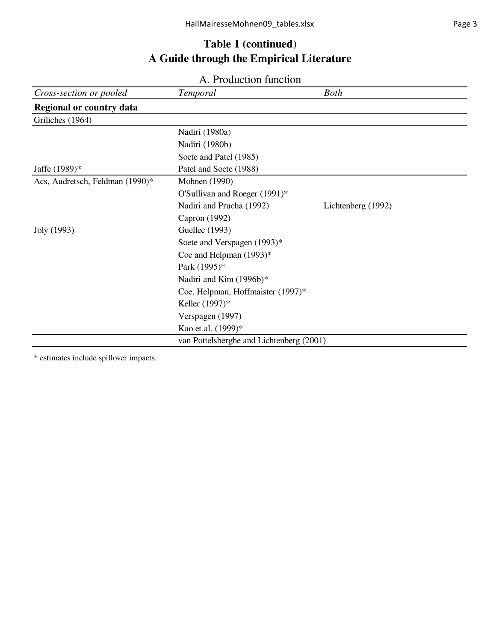## **Table 1 (continued) A Guide through the Empirical Literature**

| A. Production function          |                                          |                    |  |  |  |
|---------------------------------|------------------------------------------|--------------------|--|--|--|
| Cross-section or pooled         | Temporal<br><b>Both</b>                  |                    |  |  |  |
| <b>Regional or country data</b> |                                          |                    |  |  |  |
| Griliches (1964)                |                                          |                    |  |  |  |
|                                 | Nadiri (1980a)                           |                    |  |  |  |
|                                 | Nadiri (1980b)                           |                    |  |  |  |
|                                 | Soete and Patel (1985)                   |                    |  |  |  |
| Jaffe (1989)*                   | Patel and Soete (1988)                   |                    |  |  |  |
| Acs, Audretsch, Feldman (1990)* | <b>Mohnen</b> (1990)                     |                    |  |  |  |
|                                 | O'Sullivan and Roeger (1991)*            |                    |  |  |  |
|                                 | Nadiri and Prucha (1992)                 | Lichtenberg (1992) |  |  |  |
|                                 | Capron (1992)                            |                    |  |  |  |
| Joly (1993)                     | <b>Guellec</b> (1993)                    |                    |  |  |  |
|                                 | Soete and Verspagen (1993)*              |                    |  |  |  |
|                                 | Coe and Helpman $(1993)*$                |                    |  |  |  |
|                                 | Park (1995)*                             |                    |  |  |  |
|                                 | Nadiri and Kim (1996b)*                  |                    |  |  |  |
|                                 | Coe, Helpman, Hoffmaister (1997)*        |                    |  |  |  |
|                                 | Keller (1997)*                           |                    |  |  |  |
|                                 | Verspagen (1997)                         |                    |  |  |  |
|                                 | Kao et al. (1999)*                       |                    |  |  |  |
|                                 | van Pottelsberghe and Lichtenberg (2001) |                    |  |  |  |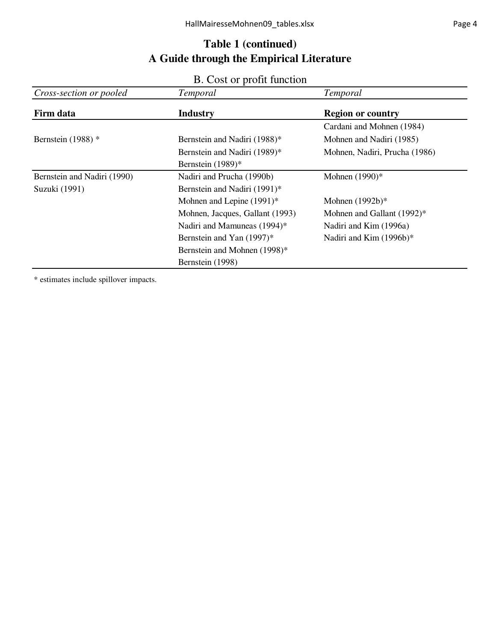## **Table 1 (continued) A Guide through the Empirical Literature**

B. Cost or profit function

| Cross-section or pooled     | Temporal                                | Temporal                      |
|-----------------------------|-----------------------------------------|-------------------------------|
| Firm data                   | <b>Industry</b>                         | <b>Region or country</b>      |
|                             |                                         | Cardani and Mohnen (1984)     |
| Bernstein $(1988)$ *        | Bernstein and Nadiri (1988)*            | Mohnen and Nadiri (1985)      |
|                             | Bernstein and Nadiri (1989)*            | Mohnen, Nadiri, Prucha (1986) |
|                             | Bernstein (1989)*                       |                               |
| Bernstein and Nadiri (1990) | Nadiri and Prucha (1990b)               | Mohnen (1990)*                |
| Suzuki (1991)               | Bernstein and Nadiri (1991)*            |                               |
|                             | Mohnen and Lepine $(1991)$ <sup>*</sup> | Mohnen $(1992b)*$             |
|                             | Mohnen, Jacques, Gallant (1993)         | Mohnen and Gallant (1992)*    |
|                             | Nadiri and Mamuneas (1994)*             | Nadiri and Kim (1996a)        |
|                             | Bernstein and Yan (1997)*               | Nadiri and Kim (1996b)*       |
|                             | Bernstein and Mohnen (1998)*            |                               |
|                             | Bernstein (1998)                        |                               |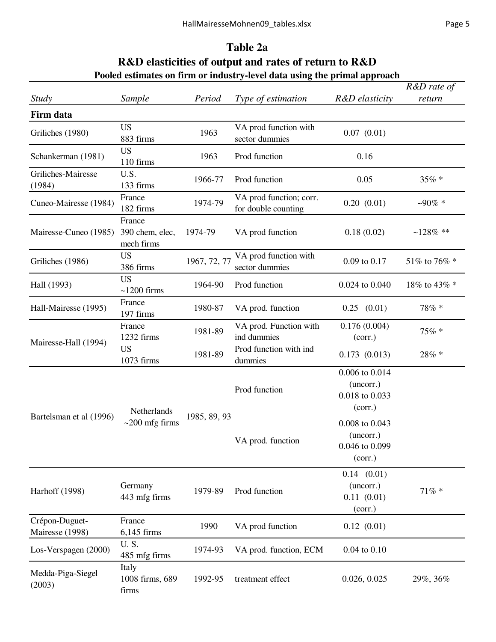## **Pooled estimates on firm or industry-level data using the primal approach R&D elasticities of output and rates of return to R&D Table 2a**

|                                   |                                         |              |                                                |                                                              | R&D rate of  |
|-----------------------------------|-----------------------------------------|--------------|------------------------------------------------|--------------------------------------------------------------|--------------|
| <b>Study</b>                      | Sample                                  | Period       | Type of estimation                             | R&D elasticity                                               | return       |
| Firm data                         |                                         |              |                                                |                                                              |              |
| Griliches (1980)                  | <b>US</b><br>883 firms                  | 1963         | VA prod function with<br>sector dummies        | 0.07(0.01)                                                   |              |
| Schankerman (1981)                | <b>US</b><br>110 firms                  | 1963         | Prod function                                  | 0.16                                                         |              |
| Griliches-Mairesse<br>(1984)      | U.S.<br>133 firms                       | 1966-77      | Prod function                                  | 0.05                                                         | 35% *        |
| Cuneo-Mairesse (1984)             | France<br>182 firms                     | 1974-79      | VA prod function; corr.<br>for double counting | 0.20(0.01)                                                   | $-90\%$ *    |
| Mairesse-Cuneo (1985)             | France<br>390 chem, elec,<br>mech firms | 1974-79      | VA prod function                               | 0.18(0.02)                                                   | $~128\%$ **  |
| Griliches (1986)                  | <b>US</b><br>386 firms                  | 1967, 72, 77 | VA prod function with<br>sector dummies        | 0.09 to 0.17                                                 | 51% to 76% * |
| Hall (1993)                       | <b>US</b><br>$\sim$ 1200 firms          | 1964-90      | Prod function                                  | 0.024 to 0.040                                               | 18% to 43% * |
| Hall-Mairesse (1995)              | France<br>197 firms                     | 1980-87      | VA prod. function                              | $0.25$ $(0.01)$                                              | 78% *        |
|                                   | France<br>1232 firms                    | 1981-89      | VA prod. Function with<br>ind dummies          | 0.176(0.004)<br>(corr.)                                      | 75% *        |
| Mairesse-Hall (1994)              | <b>US</b><br>1073 firms                 | 1981-89      | Prod function with ind<br>dummies              | 0.173(0.013)                                                 | 28% *        |
|                                   | Netherlands                             | 1985, 89, 93 | Prod function                                  | 0.006 to 0.014<br>(uncorr.)<br>0.018 to 0.033<br>(corr.)     |              |
| Bartelsman et al (1996)           | $\sim$ 200 mfg firms                    |              | VA prod. function                              | $0.008$ to $0.043$<br>(uncorr.)<br>0.046 to 0.099<br>(corr.) |              |
| <b>Harhoff</b> (1998)             | Germany<br>443 mfg firms                | 1979-89      | Prod function                                  | $0.14$ $(0.01)$<br>(uncorr.)<br>0.11(0.01)<br>(corr.)        | $71\% *$     |
| Crépon-Duguet-<br>Mairesse (1998) | France<br>$6,145$ firms                 | 1990         | VA prod function                               | 0.12(0.01)                                                   |              |
| Los-Verspagen (2000)              | U.S.<br>485 mfg firms                   | 1974-93      | VA prod. function, ECM                         | $0.04$ to $0.10$                                             |              |
| Medda-Piga-Siegel<br>(2003)       | Italy<br>1008 firms, 689<br>firms       | 1992-95      | treatment effect                               | 0.026, 0.025                                                 | 29%, 36%     |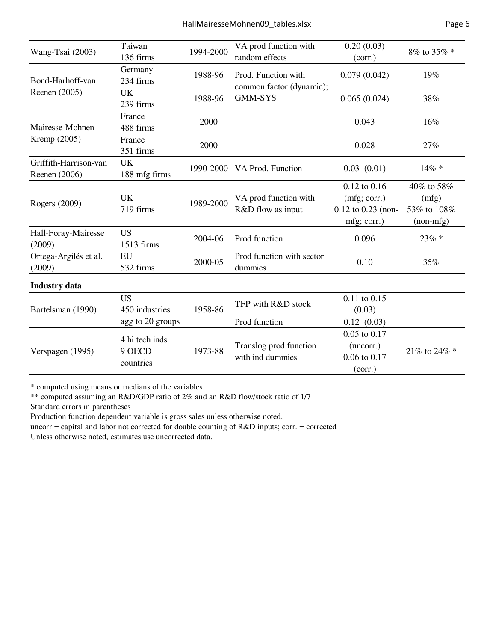| Wang-Tsai (2003)                       | Taiwan<br>136 firms                             | 1994-2000 | VA prod function with<br>random effects    | 0.20(0.03)<br>(corr.)                                                     | 8% to 35% *                                       |
|----------------------------------------|-------------------------------------------------|-----------|--------------------------------------------|---------------------------------------------------------------------------|---------------------------------------------------|
| Bond-Harhoff-van                       | Germany<br>234 firms                            | 1988-96   | Prod. Function with                        | 0.079(0.042)                                                              | 19%                                               |
| Reenen (2005)                          | <b>UK</b><br>239 firms                          | 1988-96   | common factor (dynamic);<br><b>GMM-SYS</b> |                                                                           | 38%                                               |
| Mairesse-Mohnen-                       | France<br>488 firms                             | 2000      |                                            | 0.043                                                                     | 16%                                               |
| Kremp (2005)                           | France<br>351 firms                             | 2000      |                                            | 0.028                                                                     | 27%                                               |
| Griffith-Harrison-van<br>Reenen (2006) | <b>UK</b><br>188 mfg firms                      | 1990-2000 | VA Prod. Function                          | 0.03(0.01)                                                                | $14\% *$                                          |
| Rogers (2009)                          | UK<br>719 firms                                 | 1989-2000 | VA prod function with<br>R&D flow as input | $0.12$ to $0.16$<br>(mfg; corr.)<br>$0.12$ to $0.23$ (non-<br>mfg; corr.) | 40% to 58%<br>(mfg)<br>53% to 108%<br>$(non-mfg)$ |
| Hall-Foray-Mairesse<br>(2009)          | <b>US</b><br>1513 firms                         | 2004-06   | Prod function                              | 0.096                                                                     | 23% *                                             |
| Ortega-Argilés et al.<br>(2009)        | EU<br>532 firms                                 | 2000-05   | Prod function with sector<br>dummies       | 0.10                                                                      | 35%                                               |
| <b>Industry</b> data                   |                                                 |           |                                            |                                                                           |                                                   |
| Bartelsman (1990)                      | <b>US</b><br>450 industries<br>agg to 20 groups | 1958-86   | TFP with R&D stock<br>Prod function        | $0.11$ to $0.15$<br>(0.03)                                                |                                                   |
|                                        |                                                 |           |                                            | 0.12(0.03)<br>$0.05$ to $0.17$                                            |                                                   |
| Verspagen (1995)                       | 4 hi tech inds<br>9 OECD<br>countries           | 1973-88   | Translog prod function<br>with ind dummies | (uncorr.)<br>0.06 to 0.17<br>(corr.)                                      | 21% to 24% *                                      |

\* computed using means or medians of the variables

\*\* computed assuming an R&D/GDP ratio of 2% and an R&D flow/stock ratio of 1/7

Standard errors in parentheses

Production function dependent variable is gross sales unless otherwise noted.

uncorr = capital and labor not corrected for double counting of R&D inputs; corr. = corrected Unless otherwise noted, estimates use uncorrected data.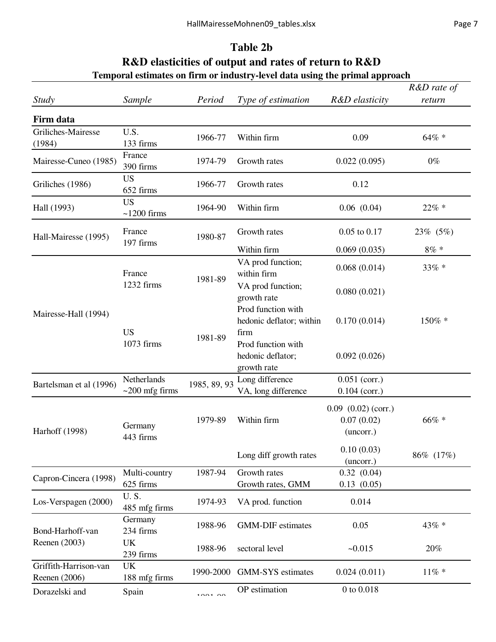## **Table 2b R&D elasticities of output and rates of return to R&D Temporal estimates on firm or industry-level data using the primal approach**

| <b>Study</b>                           | Sample                              | Period       | Type of estimation                                     | R&D elasticity                                     | R&D rate of<br>return |
|----------------------------------------|-------------------------------------|--------------|--------------------------------------------------------|----------------------------------------------------|-----------------------|
| Firm data                              |                                     |              |                                                        |                                                    |                       |
| Griliches-Mairesse<br>(1984)           | U.S.<br>133 firms                   | 1966-77      | Within firm                                            | 0.09                                               | 64% *                 |
| Mairesse-Cuneo (1985)                  | France<br>390 firms                 | 1974-79      | Growth rates                                           | 0.022(0.095)                                       | $0\%$                 |
| Griliches (1986)                       | <b>US</b><br>652 firms              | 1966-77      | Growth rates                                           | 0.12                                               |                       |
| Hall (1993)                            | <b>US</b><br>$~1200$ firms          | 1964-90      | Within firm                                            | $0.06$ $(0.04)$                                    | 22% *                 |
| Hall-Mairesse (1995)                   | France<br>197 firms                 | 1980-87      | Growth rates                                           | $0.05$ to $0.17$                                   | 23% (5%)              |
|                                        |                                     |              | Within firm                                            | 0.069(0.035)                                       | $8\%$ *               |
|                                        | France                              | 1981-89      | VA prod function;<br>within firm                       | 0.068(0.014)                                       | 33% *                 |
|                                        | 1232 firms                          |              | VA prod function;<br>growth rate                       | 0.080(0.021)                                       |                       |
| Mairesse-Hall (1994)                   | <b>US</b>                           | 1981-89      | Prod function with<br>hedonic deflator; within<br>firm | 0.170(0.014)                                       | 150% *                |
|                                        | 1073 firms                          |              | Prod function with<br>hedonic deflator;<br>growth rate | 0.092(0.026)                                       |                       |
| Bartelsman et al (1996)                | Netherlands<br>$\sim$ 200 mfg firms | 1985, 89, 93 | Long difference<br>VA, long difference                 | $0.051$ (corr.)<br>$0.104$ (corr.)                 |                       |
| <b>Harhoff</b> (1998)                  | Germany<br>443 firms                | 1979-89      | Within firm                                            | $0.09$ $(0.02)$ (corr.)<br>0.07(0.02)<br>(uncorr.) | 66% *                 |
|                                        |                                     |              | Long diff growth rates                                 | 0.10(0.03)<br>(uncorr.)                            | 86% (17%)             |
| Capron-Cincera (1998)                  | Multi-country<br>625 firms          | 1987-94      | Growth rates<br>Growth rates, GMM                      | 0.32(0.04)<br>0.13(0.05)                           |                       |
| Los-Verspagen (2000)                   | U.S.<br>485 mfg firms               | 1974-93      | VA prod. function                                      | 0.014                                              |                       |
| Bond-Harhoff-van                       | Germany<br>234 firms                | 1988-96      | <b>GMM-DIF</b> estimates                               | 0.05                                               | 43% *                 |
| Reenen (2003)                          | <b>UK</b><br>239 firms              | 1988-96      | sectoral level                                         | $-0.015$                                           | 20%                   |
| Griffith-Harrison-van<br>Reenen (2006) | <b>UK</b><br>188 mfg firms          | 1990-2000    | <b>GMM-SYS</b> estimates                               | 0.024(0.011)                                       | $11\% *$              |
| Dorazelski and                         | Spain                               | 100100       | OP estimation                                          | $0$ to $0.018\,$                                   |                       |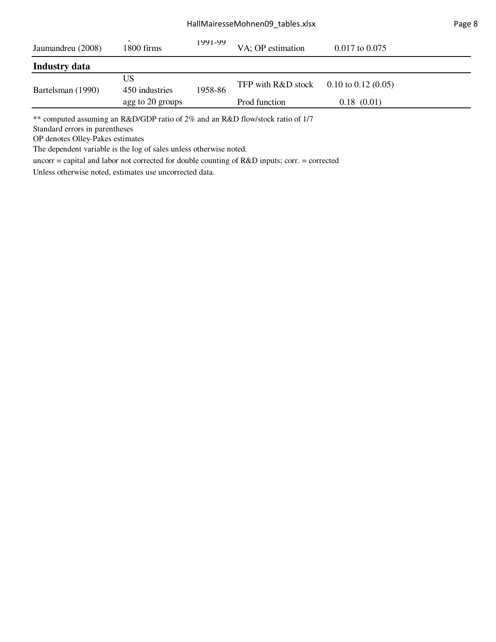#### HallMairesseMohnen09\_tables.xlsx extending the page 8

| Jaumandreu (2008) | $\ddot{\phantom{1}}$<br>1800 firms | 1991-99 | VA; OP estimation  | $0.017$ to $0.075$    |
|-------------------|------------------------------------|---------|--------------------|-----------------------|
| Industry data     |                                    |         |                    |                       |
| Bartelsman (1990) | US<br>450 industries               | 1958-86 | TFP with R&D stock | 0.10 to 0.12 $(0.05)$ |
|                   | agg to 20 groups                   |         | Prod function      | 0.18(0.01)            |

\*\* computed assuming an R&D/GDP ratio of 2% and an R&D flow/stock ratio of 1/7

Standard errors in parentheses

OP denotes Olley-Pakes estimates

The dependent variable is the log of sales unless otherwise noted.

uncorr = capital and labor not corrected for double counting of R&D inputs; corr. = corrected

Unless otherwise noted, estimates use uncorrected data.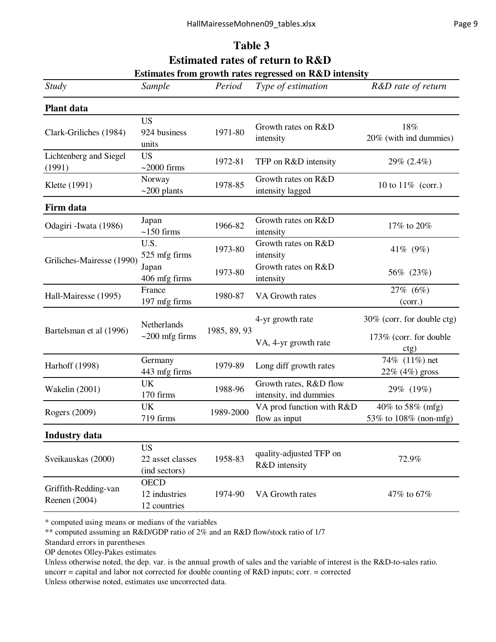|                                                        |                                                |              | <b>Estimated rates of return to R&amp;D</b>      |                                           |  |  |  |
|--------------------------------------------------------|------------------------------------------------|--------------|--------------------------------------------------|-------------------------------------------|--|--|--|
| Estimates from growth rates regressed on R&D intensity |                                                |              |                                                  |                                           |  |  |  |
| Study                                                  | Sample                                         | Period       | Type of estimation                               | R&D rate of return                        |  |  |  |
| <b>Plant</b> data                                      |                                                |              |                                                  |                                           |  |  |  |
| Clark-Griliches (1984)                                 | <b>US</b><br>924 business<br>units             | 1971-80      | Growth rates on R&D<br>intensity                 | 18%<br>20% (with ind dummies)             |  |  |  |
| Lichtenberg and Siegel<br>(1991)                       | <b>US</b><br>$\sim$ 2000 firms                 | 1972-81      | TFP on R&D intensity                             | 29% (2.4%)                                |  |  |  |
| Klette (1991)                                          | Norway<br>$\sim$ 200 plants                    | 1978-85      | Growth rates on R&D<br>intensity lagged          | 10 to 11% (corr.)                         |  |  |  |
| Firm data                                              |                                                |              |                                                  |                                           |  |  |  |
| Odagiri - Iwata (1986)                                 | Japan<br>$~150$ firms                          | 1966-82      | Growth rates on R&D<br>intensity                 | 17% to 20%                                |  |  |  |
|                                                        | U.S.<br>525 mfg firms                          | 1973-80      | Growth rates on R&D<br>intensity                 | 41\% (9\%)                                |  |  |  |
| Griliches-Mairesse (1990)                              | Japan<br>406 mfg firms                         | 1973-80      | Growth rates on R&D<br>intensity                 | 56\% (23\%)                               |  |  |  |
| Hall-Mairesse (1995)                                   | France<br>197 mfg firms                        | 1980-87      | VA Growth rates                                  | 27% (6%)<br>(corr.)                       |  |  |  |
| Bartelsman et al (1996)                                | Netherlands                                    | 1985, 89, 93 | 4-yr growth rate                                 | 30% (corr. for double ctg)                |  |  |  |
|                                                        | $\sim$ 200 mfg firms                           |              | VA, 4-yr growth rate                             | 173% (corr. for double<br>ctg)            |  |  |  |
| <b>Harhoff</b> (1998)                                  | Germany<br>443 mfg firms                       | 1979-89      | Long diff growth rates                           | 74% (11%) net<br>22% (4%) gross           |  |  |  |
| <b>Wakelin</b> (2001)                                  | <b>UK</b><br>170 firms                         | 1988-96      | Growth rates, R&D flow<br>intensity, ind dummies | 29% (19%)                                 |  |  |  |
| Rogers (2009)                                          | <b>UK</b><br>719 firms                         | 1989-2000    | VA prod function with R&D<br>flow as input       | 40% to 58% (mfg)<br>53% to 108% (non-mfg) |  |  |  |
| <b>Industry data</b>                                   |                                                |              |                                                  |                                           |  |  |  |
| Sveikauskas (2000)                                     | <b>US</b><br>22 asset classes<br>(ind sectors) | 1958-83      | quality-adjusted TFP on<br>R&D intensity         | 72.9%                                     |  |  |  |
| Griffith-Redding-van<br>Reenen (2004)                  | <b>OECD</b><br>12 industries<br>12 countries   | 1974-90      | VA Growth rates                                  | 47% to 67%                                |  |  |  |

# **Table 3 Estimated rates of return to R&D**

\* computed using means or medians of the variables

\*\* computed assuming an R&D/GDP ratio of 2% and an R&D flow/stock ratio of 1/7

Standard errors in parentheses

OP denotes Olley-Pakes estimates

Unless otherwise noted, the dep. var. is the annual growth of sales and the variable of interest is the R&D-to-sales ratio. uncorr = capital and labor not corrected for double counting of R&D inputs; corr. = corrected

Unless otherwise noted, estimates use uncorrected data.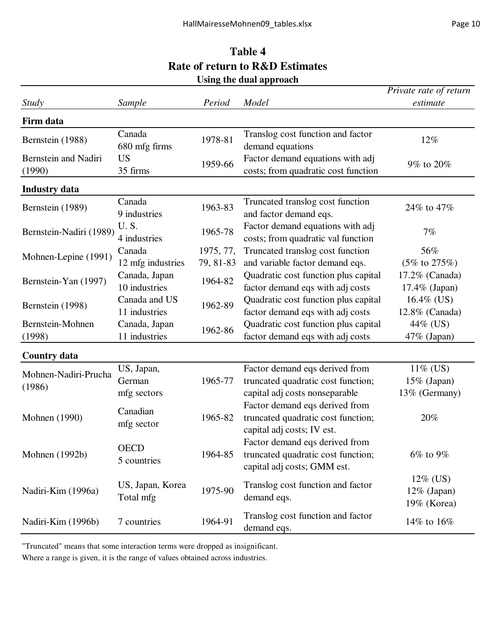| Table 4                         |
|---------------------------------|
| Rate of return to R&D Estimates |
| Using the dual approach         |

|                                |                                     |                        |                                                                                                        | Private rate of return                         |
|--------------------------------|-------------------------------------|------------------------|--------------------------------------------------------------------------------------------------------|------------------------------------------------|
| Study                          | Sample                              | Period                 | Model                                                                                                  | estimate                                       |
| Firm data                      |                                     |                        |                                                                                                        |                                                |
| Bernstein (1988)               | Canada<br>680 mfg firms             | 1978-81                | Translog cost function and factor<br>demand equations                                                  | 12%                                            |
| Bernstein and Nadiri<br>(1990) | <b>US</b><br>35 firms               | 1959-66                | Factor demand equations with adj<br>costs; from quadratic cost function                                | 9% to 20%                                      |
| <b>Industry data</b>           |                                     |                        |                                                                                                        |                                                |
| Bernstein (1989)               | Canada<br>9 industries              | 1963-83                | Truncated translog cost function<br>and factor demand eqs.                                             | 24% to 47%                                     |
| Bernstein-Nadiri (1989)        | U.S.<br>4 industries                | 1965-78                | Factor demand equations with adj<br>costs; from quadratic val function                                 | 7%                                             |
| Mohnen-Lepine (1991)           | Canada<br>12 mfg industries         | 1975, 77,<br>79, 81-83 | Truncated translog cost function<br>and variable factor demand eqs.                                    | 56%<br>$(5\% \text{ to } 275\%)$               |
| Bernstein-Yan (1997)           | Canada, Japan<br>10 industries      | 1964-82                | Quadratic cost function plus capital<br>factor demand eqs with adj costs                               | 17.2% (Canada)<br>17.4% (Japan)                |
| Bernstein (1998)               | Canada and US<br>11 industries      | 1962-89                | Quadratic cost function plus capital<br>factor demand eqs with adj costs                               | $16.4\%$ (US)<br>12.8% (Canada)                |
| Bernstein-Mohnen<br>(1998)     | Canada, Japan<br>11 industries      | 1962-86                | Quadratic cost function plus capital<br>factor demand eqs with adj costs                               | 44% (US)<br>$47\%$ (Japan)                     |
| <b>Country data</b>            |                                     |                        |                                                                                                        |                                                |
| Mohnen-Nadiri-Prucha<br>(1986) | US, Japan,<br>German<br>mfg sectors | 1965-77                | Factor demand eqs derived from<br>truncated quadratic cost function;<br>capital adj costs nonseparable | $11\%$ (US)<br>$15\%$ (Japan)<br>13% (Germany) |
| <b>Mohnen</b> (1990)           | Canadian<br>mfg sector              | 1965-82                | Factor demand eqs derived from<br>truncated quadratic cost function;<br>capital adj costs; IV est.     | 20%                                            |
| Mohnen (1992b)                 | <b>OECD</b><br>5 countries          | 1964-85                | Factor demand eqs derived from<br>truncated quadratic cost function;<br>capital adj costs; GMM est.    | $6\%$ to $9\%$                                 |
| Nadiri-Kim (1996a)             | US, Japan, Korea<br>Total mfg       | 1975-90                | Translog cost function and factor<br>demand eqs.                                                       | $12\%$ (US)<br>$12\%$ (Japan)<br>19% (Korea)   |
| Nadiri-Kim (1996b)             | 7 countries                         | 1964-91                | Translog cost function and factor<br>demand eqs.                                                       | 14% to 16%                                     |

"Truncated" means that some interaction terms were dropped as insignificant.

Where a range is given, it is the range of values obtained across industries.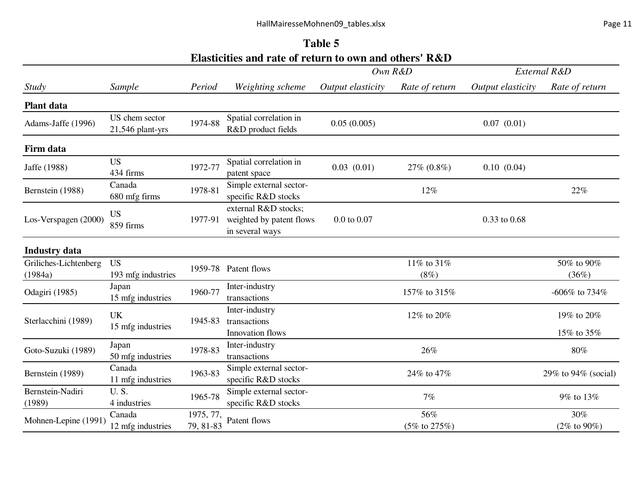## **Elasticities and rate of return to own and others' R&D Table 5**

|                                  |                                      |                        |                                                                     | Own R&D           |                                  | External R&D      |                                 |
|----------------------------------|--------------------------------------|------------------------|---------------------------------------------------------------------|-------------------|----------------------------------|-------------------|---------------------------------|
| <b>Study</b>                     | Sample                               | Period                 | Weighting scheme                                                    | Output elasticity | Rate of return                   | Output elasticity | Rate of return                  |
| <b>Plant</b> data                |                                      |                        |                                                                     |                   |                                  |                   |                                 |
| Adams-Jaffe (1996)               | US chem sector<br>$21,546$ plant-yrs | 1974-88                | Spatial correlation in<br>R&D product fields                        | 0.05(0.005)       |                                  | 0.07(0.01)        |                                 |
| Firm data                        |                                      |                        |                                                                     |                   |                                  |                   |                                 |
| Jaffe (1988)                     | <b>US</b><br>434 firms               | 1972-77                | Spatial correlation in<br>patent space                              | 0.03(0.01)        | 27% (0.8%)                       | 0.10(0.04)        |                                 |
| Bernstein (1988)                 | Canada<br>680 mfg firms              | 1978-81                | Simple external sector-<br>specific R&D stocks                      |                   | 12%                              |                   | 22%                             |
| Los-Verspagen (2000)             | <b>US</b><br>859 firms               | 1977-91                | external R&D stocks;<br>weighted by patent flows<br>in several ways | $0.0$ to $0.07$   |                                  | 0.33 to 0.68      |                                 |
| <b>Industry</b> data             |                                      |                        |                                                                     |                   |                                  |                   |                                 |
| Griliches-Lichtenberg<br>(1984a) | <b>US</b><br>193 mfg industries      |                        | 1959-78 Patent flows                                                |                   | 11% to 31%<br>$(8\%)$            |                   | 50% to 90%<br>(36%)             |
| Odagiri (1985)                   | Japan<br>15 mfg industries           | 1960-77                | Inter-industry<br>transactions                                      |                   | 157% to 315%                     |                   | -606% to 734%                   |
| Sterlacchini (1989)              | <b>UK</b><br>15 mfg industries       | 1945-83                | Inter-industry<br>transactions                                      |                   | 12% to 20%                       |                   | 19% to 20%                      |
|                                  |                                      |                        | Innovation flows                                                    |                   |                                  |                   | 15% to 35%                      |
| Goto-Suzuki (1989)               | Japan<br>50 mfg industries           | 1978-83                | Inter-industry<br>transactions                                      |                   | 26%                              |                   | 80%                             |
| Bernstein (1989)                 | Canada<br>11 mfg industries          | 1963-83                | Simple external sector-<br>specific R&D stocks                      |                   | 24% to 47%                       |                   | 29% to 94% (social)             |
| Bernstein-Nadiri<br>(1989)       | <b>U.S.</b><br>4 industries          | 1965-78                | Simple external sector-<br>specific R&D stocks                      |                   | 7%                               |                   | 9% to 13%                       |
| Mohnen-Lepine (1991)             | Canada<br>12 mfg industries          | 1975, 77,<br>79, 81-83 | Patent flows                                                        |                   | 56%<br>$(5\% \text{ to } 275\%)$ |                   | 30%<br>$(2\% \text{ to } 90\%)$ |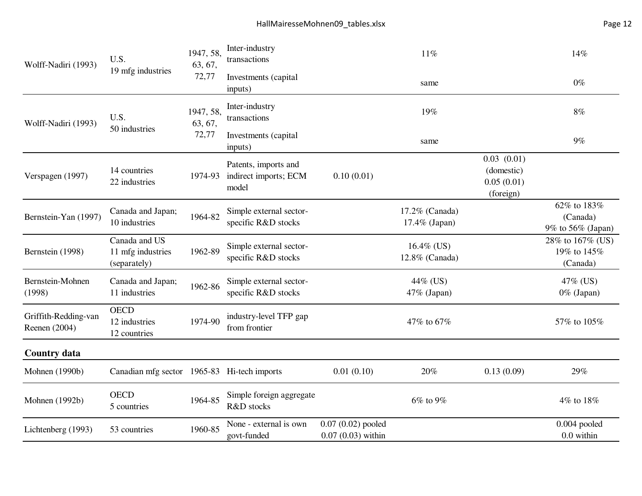| Lichtenberg (1993)                    | 53 countries                                       | 1960-85                       | None - external is own<br>govt-funded                  | $0.07(0.02)$ pooled<br>$0.07(0.03)$ within |                                 |                                                     | $0.004$ pooled<br>0.0 within                 |
|---------------------------------------|----------------------------------------------------|-------------------------------|--------------------------------------------------------|--------------------------------------------|---------------------------------|-----------------------------------------------------|----------------------------------------------|
| Mohnen (1992b)                        | <b>OECD</b><br>5 countries                         | 1964-85                       | Simple foreign aggregate<br>R&D stocks                 |                                            | 6% to 9%                        |                                                     | 4% to 18%                                    |
| Mohnen (1990b)                        | Canadian mfg sector 1965-83 Hi-tech imports        |                               |                                                        | 0.01(0.10)                                 | 20%                             | 0.13(0.09)                                          | 29%                                          |
| <b>Country data</b>                   |                                                    |                               |                                                        |                                            |                                 |                                                     |                                              |
| Griffith-Redding-van<br>Reenen (2004) | <b>OECD</b><br>12 industries<br>12 countries       | 1974-90                       | industry-level TFP gap<br>from frontier                |                                            | 47% to 67%                      |                                                     | 57% to 105%                                  |
| Bernstein-Mohnen<br>(1998)            | Canada and Japan;<br>11 industries                 | 1962-86                       | Simple external sector-<br>specific R&D stocks         |                                            | 44% (US)<br>$47\%$ (Japan)      |                                                     | 47% (US)<br>0% (Japan)                       |
| Bernstein (1998)                      | Canada and US<br>11 mfg industries<br>(separately) | 1962-89                       | Simple external sector-<br>specific R&D stocks         |                                            | $16.4\%$ (US)<br>12.8% (Canada) |                                                     | 28% to 167% (US)<br>19% to 145%<br>(Canada)  |
| Bernstein-Yan (1997)                  | Canada and Japan;<br>10 industries                 | 1964-82                       | Simple external sector-<br>specific R&D stocks         |                                            | 17.2% (Canada)<br>17.4% (Japan) |                                                     | 62% to 183%<br>(Canada)<br>9% to 56% (Japan) |
| Verspagen (1997)                      | 14 countries<br>22 industries                      | 1974-93                       | Patents, imports and<br>indirect imports; ECM<br>model | 0.10(0.01)                                 |                                 | 0.03(0.01)<br>(domestic)<br>0.05(0.01)<br>(foreign) |                                              |
|                                       | 50 industries                                      | 72,77                         | Investments (capital<br>inputs)                        |                                            | same                            |                                                     | 9%                                           |
| Wolff-Nadiri (1993)                   | 19 mfg industries<br>U.S.                          | 72,77<br>1947, 58,<br>63, 67, | Inter-industry<br>transactions                         |                                            | 19%                             |                                                     | 8%                                           |
|                                       |                                                    |                               | Investments (capital<br>inputs)                        |                                            | same                            |                                                     | $0\%$                                        |
| Wolff-Nadiri (1993)                   | U.S.                                               | 1947, 58,<br>63, 67,          | Inter-industry<br>transactions                         |                                            | 11%                             |                                                     | 14%                                          |